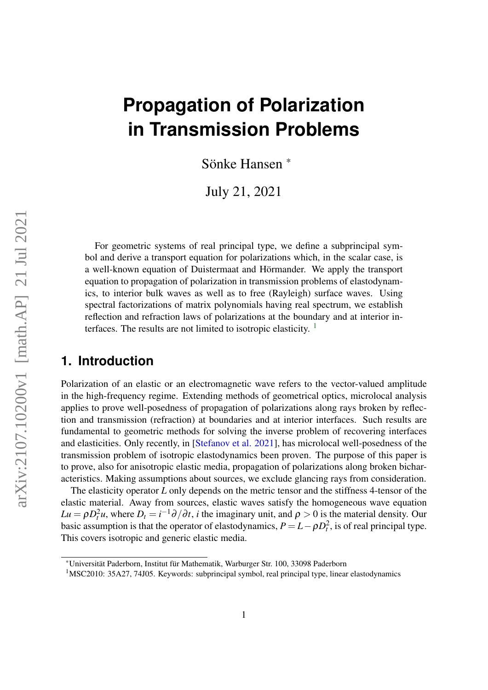# **Propagation of Polarization in Transmission Problems**

Sönke Hansen \*

July 21, 2021

For geometric systems of real principal type, we define a subprincipal symbol and derive a transport equation for polarizations which, in the scalar case, is a well-known equation of Duistermaat and Hörmander. We apply the transport equation to propagation of polarization in transmission problems of elastodynamics, to interior bulk waves as well as to free (Rayleigh) surface waves. Using spectral factorizations of matrix polynomials having real spectrum, we establish reflection and refraction laws of polarizations at the boundary and at interior interfaces. The results are not limited to isotropic elasticity.  $\frac{1}{1}$  $\frac{1}{1}$  $\frac{1}{1}$ 

# **1. Introduction**

Polarization of an elastic or an electromagnetic wave refers to the vector-valued amplitude in the high-frequency regime. Extending methods of geometrical optics, microlocal analysis applies to prove well-posedness of propagation of polarizations along rays broken by reflection and transmission (refraction) at boundaries and at interior interfaces. Such results are fundamental to geometric methods for solving the inverse problem of recovering interfaces and elasticities. Only recently, in [\[Stefanov et al. 2021\]](#page-40-0), has microlocal well-posedness of the transmission problem of isotropic elastodynamics been proven. The purpose of this paper is to prove, also for anisotropic elastic media, propagation of polarizations along broken bicharacteristics. Making assumptions about sources, we exclude glancing rays from consideration.

The elasticity operator *L* only depends on the metric tensor and the stiffness 4-tensor of the elastic material. Away from sources, elastic waves satisfy the homogeneous wave equation  $Lu = \rho D_t^2 u$ , where  $D_t = i^{-1} \partial/\partial t$ , *i* the imaginary unit, and  $\rho > 0$  is the material density. Our basic assumption is that the operator of elastodynamics,  $P = L - \rho D_t^2$ , is of real principal type. This covers isotropic and generic elastic media.

<sup>\*</sup>Universität Paderborn, Institut für Mathematik, Warburger Str. 100, 33098 Paderborn

<span id="page-0-0"></span><sup>1</sup>MSC2010: 35A27, 74J05. Keywords: subprincipal symbol, real principal type, linear elastodynamics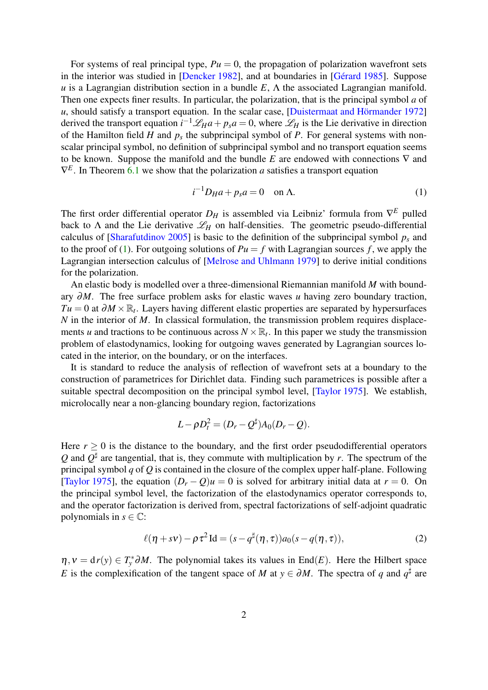For systems of real principal type,  $Pu = 0$ , the propagation of polarization wavefront sets in the interior was studied in [\[Dencker 1982\]](#page-38-0), and at boundaries in [\[Gérard 1985\]](#page-39-0). Suppose *u* is a Lagrangian distribution section in a bundle *E*, Λ the associated Lagrangian manifold. Then one expects finer results. In particular, the polarization, that is the principal symbol *a* of *u*, should satisfy a transport equation. In the scalar case, [\[Duistermaat and Hörmander 1972\]](#page-38-1) derived the transport equation  $i^{-1}\mathcal{L}_H a + p_s a = 0$ , where  $\mathcal{L}_H$  is the Lie derivative in direction of the Hamilton field  $H$  and  $p_s$  the subprincipal symbol of  $P$ . For general systems with nonscalar principal symbol, no definition of subprincipal symbol and no transport equation seems to be known. Suppose the manifold and the bundle *E* are endowed with connections ∇ and  $\nabla^E$ . In Theorem [6.1](#page-18-0) we show that the polarization *a* satisfies a transport equation

<span id="page-1-0"></span>
$$
i^{-1}D_H a + p_s a = 0 \quad \text{on } \Lambda. \tag{1}
$$

The first order differential operator *D<sup>H</sup>* is assembled via Leibniz' formula from ∇ *<sup>E</sup>* pulled back to  $\Lambda$  and the Lie derivative  $\mathcal{L}_H$  on half-densities. The geometric pseudo-differential calculus of [\[Sharafutdinov 2005\]](#page-40-1) is basic to the definition of the subprincipal symbol  $p_s$  and to the proof of [\(1\)](#page-1-0). For outgoing solutions of  $Pu = f$  with Lagrangian sources f, we apply the Lagrangian intersection calculus of [\[Melrose and Uhlmann 1979\]](#page-40-2) to derive initial conditions for the polarization.

An elastic body is modelled over a three-dimensional Riemannian manifold *M* with boundary ∂*M*. The free surface problem asks for elastic waves *u* having zero boundary traction, *Tu* = 0 at  $\partial M \times \mathbb{R}_t$ . Layers having different elastic properties are separated by hypersurfaces *N* in the interior of *M*. In classical formulation, the transmission problem requires displacements *u* and tractions to be continuous across  $N \times \mathbb{R}$ , In this paper we study the transmission problem of elastodynamics, looking for outgoing waves generated by Lagrangian sources located in the interior, on the boundary, or on the interfaces.

It is standard to reduce the analysis of reflection of wavefront sets at a boundary to the construction of parametrices for Dirichlet data. Finding such parametrices is possible after a suitable spectral decomposition on the principal symbol level, [\[Taylor 1975\]](#page-40-3). We establish, microlocally near a non-glancing boundary region, factorizations

$$
L - \rho D_t^2 = (D_r - Q^{\sharp}) A_0 (D_r - Q).
$$

Here  $r \geq 0$  is the distance to the boundary, and the first order pseudodifferential operators Q and  $Q^{\sharp}$  are tangential, that is, they commute with multiplication by r. The spectrum of the principal symbol *q* of *Q* is contained in the closure of the complex upper half-plane. Following [\[Taylor 1975\]](#page-40-3), the equation  $(D_r - Q)u = 0$  is solved for arbitrary initial data at  $r = 0$ . On the principal symbol level, the factorization of the elastodynamics operator corresponds to, and the operator factorization is derived from, spectral factorizations of self-adjoint quadratic polynomials in  $s \in \mathbb{C}$ :

<span id="page-1-1"></span>
$$
\ell(\eta + s\nu) - \rho \tau^2 \operatorname{Id} = (s - q^{\sharp}(\eta, \tau)) a_0(s - q(\eta, \tau)), \tag{2}
$$

 $\eta, v = dr(y) \in T_y^* \partial M$ . The polynomial takes its values in End(*E*). Here the Hilbert space *E* is the complexification of the tangent space of *M* at  $y \in \partial M$ . The spectra of *q* and  $q^{\sharp}$  are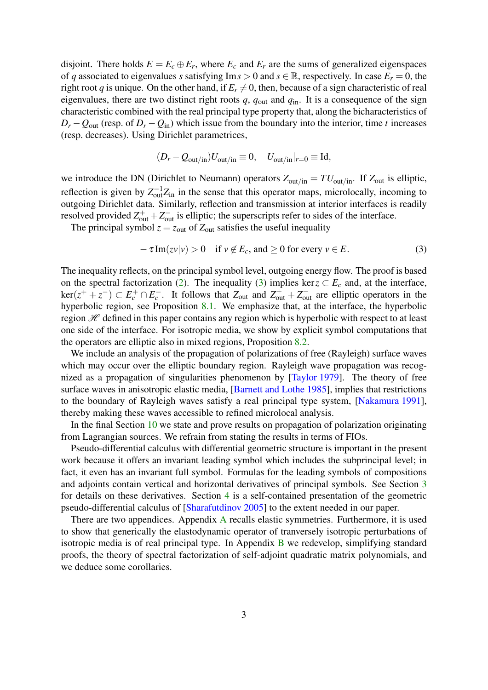disjoint. There holds  $E = E_c \oplus E_r$ , where  $E_c$  and  $E_r$  are the sums of generalized eigenspaces of *q* associated to eigenvalues *s* satisfying Im  $s > 0$  and  $s \in \mathbb{R}$ , respectively. In case  $E_r = 0$ , the right root *q* is unique. On the other hand, if  $E_r \neq 0$ , then, because of a sign characteristic of real eigenvalues, there are two distinct right roots *q*, *q*out and *q*in. It is a consequence of the sign characteristic combined with the real principal type property that, along the bicharacteristics of  $D_r - Q_{\text{out}}$  (resp. of  $D_r - Q_{\text{in}}$ ) which issue from the boundary into the interior, time *t* increases (resp. decreases). Using Dirichlet parametrices,

$$
(D_r - Q_{\text{out/in}})U_{\text{out/in}} \equiv 0, \quad U_{\text{out/in}}|_{r=0} \equiv \text{Id},
$$

we introduce the DN (Dirichlet to Neumann) operators  $Z_{\text{out/in}} = T U_{\text{out/in}}$ . If  $Z_{\text{out}}$  is elliptic, reflection is given by  $Z_{\text{out}}^{-1}Z_{\text{in}}$  in the sense that this operator maps, microlocally, incoming to outgoing Dirichlet data. Similarly, reflection and transmission at interior interfaces is readily resolved provided  $Z_{\text{out}}^+ + Z_{\text{out}}^-$  is elliptic; the superscripts refer to sides of the interface.

The principal symbol  $z = z_{\text{out}}$  of  $Z_{\text{out}}$  satisfies the useful inequality

<span id="page-2-0"></span>
$$
-\tau \operatorname{Im}(zv|v) > 0 \quad \text{if } v \notin E_c \text{, and } \ge 0 \text{ for every } v \in E. \tag{3}
$$

The inequality reflects, on the principal symbol level, outgoing energy flow. The proof is based on the spectral factorization [\(2\)](#page-1-1). The inequality [\(3\)](#page-2-0) implies ker  $z \subset E_c$  and, at the interface,  $\ker(z^+ + z^-) \subset E_c^+ \cap E_c^-$ . It follows that  $Z_{out}$  and  $Z_{out}^+ + Z_{out}^-$  are elliptic operators in the hyperbolic region, see Proposition [8.1.](#page-25-0) We emphasize that, at the interface, the hyperbolic region  $H$  defined in this paper contains any region which is hyperbolic with respect to at least one side of the interface. For isotropic media, we show by explicit symbol computations that the operators are elliptic also in mixed regions, Proposition [8.2.](#page-26-0)

We include an analysis of the propagation of polarizations of free (Rayleigh) surface waves which may occur over the elliptic boundary region. Rayleigh wave propagation was recognized as a propagation of singularities phenomenon by [\[Taylor 1979\]](#page-40-4). The theory of free surface waves in anisotropic elastic media, [\[Barnett and Lothe 1985\]](#page-38-2), implies that restrictions to the boundary of Rayleigh waves satisfy a real principal type system, [\[Nakamura 1991\]](#page-40-5), thereby making these waves accessible to refined microlocal analysis.

In the final Section [10](#page-29-0) we state and prove results on propagation of polarization originating from Lagrangian sources. We refrain from stating the results in terms of FIOs.

Pseudo-differential calculus with differential geometric structure is important in the present work because it offers an invariant leading symbol which includes the subprincipal level; in fact, it even has an invariant full symbol. Formulas for the leading symbols of compositions and adjoints contain vertical and horizontal derivatives of principal symbols. See Section [3](#page-5-0) for details on these derivatives. Section [4](#page-9-0) is a self-contained presentation of the geometric pseudo-differential calculus of [\[Sharafutdinov 2005\]](#page-40-1) to the extent needed in our paper.

There are two appendices. [A](#page-31-0)ppendix A recalls elastic symmetries. Furthermore, it is used to show that generically the elastodynamic operator of tranversely isotropic perturbations of isotropic media is of real principal type. In Appendix  $\overline{B}$  $\overline{B}$  $\overline{B}$  we redevelop, simplifying standard proofs, the theory of spectral factorization of self-adjoint quadratic matrix polynomials, and we deduce some corollaries.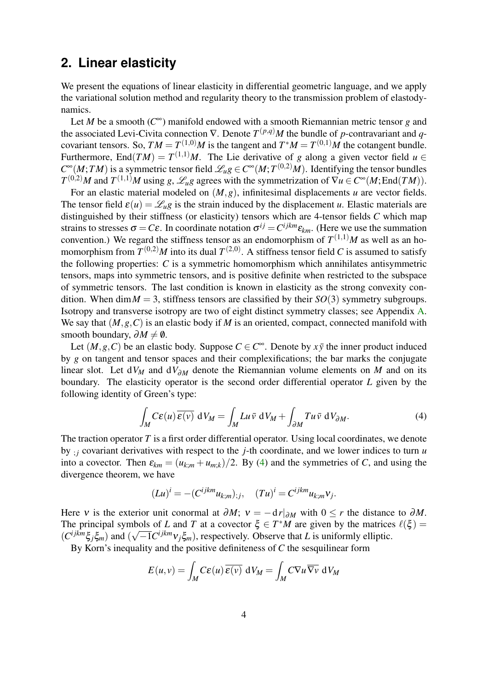# <span id="page-3-1"></span>**2. Linear elasticity**

We present the equations of linear elasticity in differential geometric language, and we apply the variational solution method and regularity theory to the transmission problem of elastodynamics.

Let *M* be a smooth (*C* <sup>∞</sup>) manifold endowed with a smooth Riemannian metric tensor *g* and the associated Levi-Civita connection  $\nabla$ . Denote  $T^{(p,q)}M$  the bundle of *p*-contravariant and *q*covariant tensors. So,  $TM = T^{(1,0)}M$  is the tangent and  $T^*M = T^{(0,1)}M$  the cotangent bundle. Furthermore, End $(TM) = T^{(1,1)}M$ . The Lie derivative of *g* along a given vector field  $u \in$  $C^{\infty}(M; TM)$  is a symmetric tensor field  $\mathscr{L}_u g \in C^{\infty}(M; T^{(0,2)}M)$ . Identifying the tensor bundles  $T^{(0,2)}M$  and  $T^{(1,1)}M$  using *g*,  $\mathscr{L}_u$ *g* agrees with the symmetrization of  $\nabla u \in C^{\infty}(M; \text{End}(TM))$ .

For an elastic material modeled on (*M*,*g*), infinitesimal displacements *u* are vector fields. The tensor field  $\varepsilon(u) = \mathcal{L}_u g$  is the strain induced by the displacement *u*. Elastic materials are distinguished by their stiffness (or elasticity) tensors which are 4-tensor fields *C* which map strains to stresses  $\sigma = C\varepsilon$ . In coordinate notation  $\sigma^{ij} = C^{ijkm}\varepsilon_{km}$ . (Here we use the summation convention.) We regard the stiffness tensor as an endomorphism of  $T^{(1,1)}M$  as well as an homomorphism from  $T^{(0,2)}M$  into its dual  $T^{(2,0)}$ . A stiffness tensor field C is assumed to satisfy the following properties: *C* is a symmetric homomorphism which annihilates antisymmetric tensors, maps into symmetric tensors, and is positive definite when restricted to the subspace of symmetric tensors. The last condition is known in elasticity as the strong convexity condition. When dim  $M = 3$ , stiffness tensors are classified by their *SO*(3) symmetry subgroups. Isotropy and transverse isotropy are two of eight distinct symmetry classes; see Appendix [A.](#page-31-0) We say that (*M*,*g*,*C*) is an elastic body if *M* is an oriented, compact, connected manifold with smooth boundary,  $\partial M \neq \emptyset$ .

Let  $(M, g, C)$  be an elastic body. Suppose  $C \in C^{\infty}$ . Denote by  $x\bar{y}$  the inner product induced by *g* on tangent and tensor spaces and their complexifications; the bar marks the conjugate linear slot. Let d*V<sup>M</sup>* and d*V*∂*<sup>M</sup>* denote the Riemannian volume elements on *M* and on its boundary. The elasticity operator is the second order differential operator *L* given by the following identity of Green's type:

<span id="page-3-0"></span>
$$
\int_{M} C\varepsilon(u) \,\overline{\varepsilon(v)} \, \mathrm{d}V_{M} = \int_{M} Lu \,\overline{v} \, \mathrm{d}V_{M} + \int_{\partial M} Tu \,\overline{v} \, \mathrm{d}V_{\partial M}.\tag{4}
$$

The traction operator *T* is a first order differential operator. Using local coordinates, we denote by  $\chi$ *j* covariant derivatives with respect to the *j*-th coordinate, and we lower indices to turn *u* into a covector. Then  $\varepsilon_{km} = (u_{k,m} + u_{m,k})/2$ . By [\(4\)](#page-3-0) and the symmetries of *C*, and using the divergence theorem, we have

$$
(Lu)^i = -(C^{ijkm}u_{k;m});j, \quad (Tu)^i = C^{ijkm}u_{k;m}\mathbf{v}_j.
$$

Here v is the exterior unit conormal at  $\partial M$ ;  $v = -dr|_{\partial M}$  with  $0 \le r$  the distance to  $\partial M$ . The principal symbols of *L* and *T* at a covector  $\xi \in T^*M$  are given by the matrices  $\ell(\xi) =$  $(C^{ijkm}\xi_j\xi_m)$  and  $(\sqrt{-1}C^{ijkm}v_j\xi_m)$ , respectively. Observe that *L* is uniformly elliptic.

By Korn's inequality and the positive definiteness of *C* the sesquilinear form

$$
E(u, v) = \int_M C\varepsilon(u) \overline{\varepsilon(v)} \, dV_M = \int_M C \nabla u \overline{\nabla v} \, dV_M
$$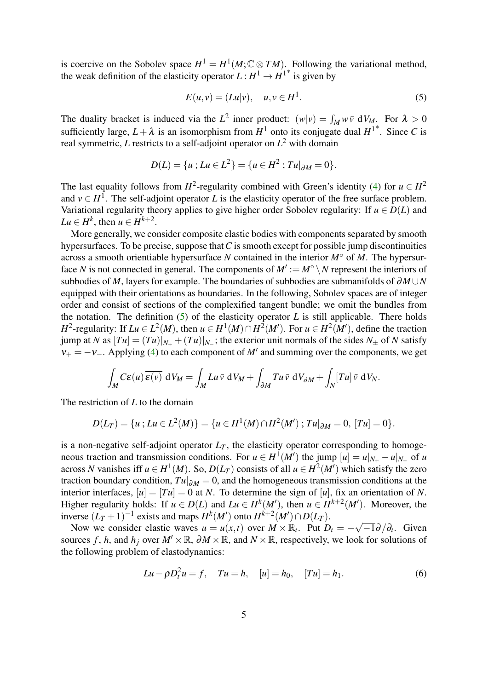is coercive on the Sobolev space  $H^1 = H^1(M; \mathbb{C} \otimes TM)$ . Following the variational method, the weak definition of the elasticity operator  $L: H^1 \to H^{1*}$  is given by

<span id="page-4-0"></span>
$$
E(u, v) = (Lu|v), \quad u, v \in H^1. \tag{5}
$$

The duality bracket is induced via the  $L^2$  inner product:  $(w|v) = \int_M w \bar{v} \ dV_M$ . For  $\lambda > 0$ sufficiently large,  $L + \lambda$  is an isomorphism from  $H^1$  onto its conjugate dual  $H^{1*}$ . Since C is real symmetric, *L* restricts to a self-adjoint operator on *L* <sup>2</sup> with domain

$$
D(L) = \{u : Lu \in L^2\} = \{u \in H^2 : Tu|_{\partial M} = 0\}.
$$

The last equality follows from  $H^2$ -regularity combined with Green's identity [\(4\)](#page-3-0) for  $u \in H^2$ and  $v \in H^1$ . The self-adjoint operator *L* is the elasticity operator of the free surface problem. Variational regularity theory applies to give higher order Sobolev regularity: If  $u \in D(L)$  and  $Lu \in H^k$ , then  $u \in H^{k+2}$ .

More generally, we consider composite elastic bodies with components separated by smooth hypersurfaces. To be precise, suppose that*C* is smooth except for possible jump discontinuities across a smooth orientiable hypersurface *N* contained in the interior *M*◦ of *M*. The hypersurface *N* is not connected in general. The components of  $M' := M^\circ \setminus N$  represent the interiors of subbodies of *M*, layers for example. The boundaries of subbodies are submanifolds of ∂*M* ∪*N* equipped with their orientations as boundaries. In the following, Sobolev spaces are of integer order and consist of sections of the complexified tangent bundle; we omit the bundles from the notation. The definition  $(5)$  of the elasticity operator *L* is still applicable. There holds *H*<sup>2</sup>-regularity: If  $Lu \in L^2(M)$ , then  $u \in H^1(M) \cap H^2(M')$ . For  $u \in H^2(M')$ , define the traction jump at *N* as  $[Tu] = (Tu)|_{N_+} + (Tu)|_{N_-}$ ; the exterior unit normals of the sides  $N_{\pm}$  of *N* satisfy  $v_+ = -v_-\right.$  Applying [\(4\)](#page-3-0) to each component of *M'* and summing over the components, we get

$$
\int_M C\varepsilon(u) \overline{\varepsilon(v)} \, dV_M = \int_M Lu \overline{v} \, dV_M + \int_{\partial M} Tu \overline{v} \, dV_{\partial M} + \int_N [Tu] \overline{v} \, dV_N.
$$

The restriction of *L* to the domain

$$
D(L_T) = \{u : Lu \in L^2(M)\} = \{u \in H^1(M) \cap H^2(M') : Tu|_{\partial M} = 0, [Tu] = 0\}.
$$

is a non-negative self-adjoint operator  $L_T$ , the elasticity operator corresponding to homogeneous traction and transmission conditions. For  $u \in H^1(M')$  the jump  $[u] = u|_{N_+} - u|_{N_-}$  of *u* across *N* vanishes iff  $u \in H^1(M)$ . So,  $D(L_T)$  consists of all  $u \in H^2(M')$  which satisfy the zero traction boundary condition,  $Tu|_{\partial M} = 0$ , and the homogeneous transmission conditions at the interior interfaces,  $[u] = [Tu] = 0$  at *N*. To determine the sign of [*u*], fix an orientation of *N*. Higher regularity holds: If  $u \in D(L)$  and  $Lu \in H^k(M')$ , then  $u \in H^{k+2}(M')$ . Moreover, the inverse  $(L_T + 1)^{-1}$  exists and maps  $H^k(M')$  onto  $H^{k+2}(M') \cap D(L_T)$ . √

Now we consider elastic waves  $u = u(x,t)$  over  $M \times \mathbb{R}_t$ . Put  $D_t = \overline{-1}\partial/\partial_t$ . Given sources *f*, *h*, and *h*<sub>*j*</sub> over  $M' \times \mathbb{R}$ ,  $\partial M \times \mathbb{R}$ , and  $N \times \mathbb{R}$ , respectively, we look for solutions of the following problem of elastodynamics:

<span id="page-4-1"></span>
$$
Lu - \rho D_t^2 u = f
$$
,  $Tu = h$ ,  $[u] = h_0$ ,  $[Tu] = h_1$ . (6)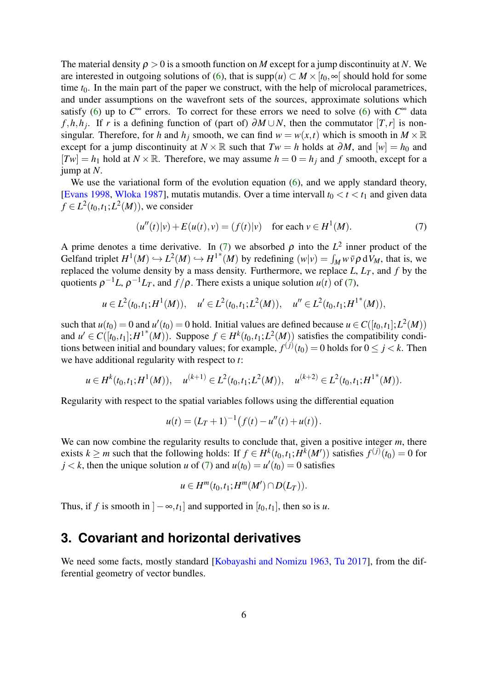The material density  $\rho > 0$  is a smooth function on *M* except for a jump discontinuity at *N*. We are interested in outgoing solutions of [\(6\)](#page-4-1), that is  $supp(u) \subset M \times [t_0, \infty]$  should hold for some time  $t_0$ . In the main part of the paper we construct, with the help of microlocal parametrices, and under assumptions on the wavefront sets of the sources, approximate solutions which satisfy [\(6\)](#page-4-1) up to  $C^{\infty}$  errors. To correct for these errors we need to solve (6) with  $C^{\infty}$  data *f*,*h*,*h*<sub>*j*</sub>. If *r* is a defining function of (part of) ∂*M* ∪ *N*, then the commutator  $[T, r]$  is nonsingular. Therefore, for *h* and  $h_j$  smooth, we can find  $w = w(x,t)$  which is smooth in  $M \times \mathbb{R}$ except for a jump discontinuity at  $N \times \mathbb{R}$  such that  $Tw = h$  holds at  $\partial M$ , and  $[w] = h_0$  and  $[Tw] = h_1$  hold at  $N \times \mathbb{R}$ . Therefore, we may assume  $h = 0 = h_j$  and f smooth, except for a jump at *N*.

We use the variational form of the evolution equation [\(6\)](#page-4-1), and we apply standard theory, [\[Evans 1998,](#page-38-3) [Wloka 1987\]](#page-41-0), mutatis mutandis. Over a time intervall  $t_0 < t < t_1$  and given data  $f \in L^2(t_0,t_1;L^2(M))$ , we consider

<span id="page-5-1"></span>
$$
(u''(t)|v) + E(u(t), v) = (f(t)|v) \text{ for each } v \in H^{1}(M).
$$
 (7)

A prime denotes a time derivative. In [\(7\)](#page-5-1) we absorbed  $\rho$  into the  $L^2$  inner product of the Gelfand triplet  $H^1(M) \hookrightarrow L^2(M) \hookrightarrow H^{1*}(M)$  by redefining  $(w|v) = \int_M w \overline{v} \rho dV_M$ , that is, we replaced the volume density by a mass density. Furthermore, we replace  $L$ ,  $L_T$ , and  $f$  by the quotients  $\rho^{-1}L$ ,  $\rho^{-1}L_T$ , and  $f/\rho$ . There exists a unique solution  $u(t)$  of [\(7\)](#page-5-1),

$$
u \in L^2(t_0,t_1;H^1(M)), \quad u' \in L^2(t_0,t_1;L^2(M)), \quad u'' \in L^2(t_0,t_1;H^{1*}(M)),
$$

such that  $u(t_0) = 0$  and  $u'(t_0) = 0$  hold. Initial values are defined because  $u \in C([t_0, t_1]; L^2(M))$ and  $u' \in C([t_0,t_1];H^{1*}(M))$ . Suppose  $f \in H^k(t_0,t_1;L^2(M))$  satisfies the compatibility conditions between initial and boundary values; for example,  $f^{(j)}(t_0) = 0$  holds for  $0 \le j < k$ . Then we have additional regularity with respect to *t*:

$$
u \in H^k(t_0,t_1;H^1(M)), \quad u^{(k+1)} \in L^2(t_0,t_1;L^2(M)), \quad u^{(k+2)} \in L^2(t_0,t_1;H^{1*}(M)).
$$

Regularity with respect to the spatial variables follows using the differential equation

$$
u(t) = (L_T + 1)^{-1} (f(t) - u''(t) + u(t)).
$$

We can now combine the regularity results to conclude that, given a positive integer *m*, there exists  $k \ge m$  such that the following holds: If  $f \in H^k(t_0,t_1;H^k(M'))$  satisfies  $f^{(j)}(t_0) = 0$  for  $j < k$ , then the unique solution *u* of [\(7\)](#page-5-1) and  $u(t_0) = u'(t_0) = 0$  satisfies

$$
u\in H^m(t_0,t_1;H^m(M')\cap D(L_T)).
$$

Thus, if *f* is smooth in  $]-\infty$ ,  $t_1$  and supported in  $[t_0, t_1]$ , then so is *u*.

#### <span id="page-5-0"></span>**3. Covariant and horizontal derivatives**

We need some facts, mostly standard [\[Kobayashi and Nomizu 1963,](#page-39-1) [Tu 2017\]](#page-40-6), from the differential geometry of vector bundles.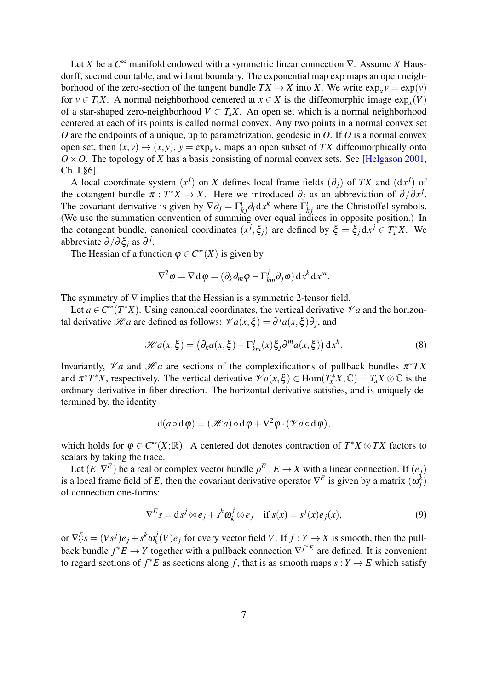Let *X* be a *C* <sup>∞</sup> manifold endowed with a symmetric linear connection ∇. Assume *X* Hausdorff, second countable, and without boundary. The exponential map exp maps an open neighborhood of the zero-section of the tangent bundle  $TX \to X$  into *X*. We write  $\exp_x v = \exp(v)$ for  $v \in T_xX$ . A normal neighborhood centered at  $x \in X$  is the diffeomorphic image  $exp_x(V)$ of a star-shaped zero-neighborhood  $V \subset T_xX$ . An open set which is a normal neighborhood centered at each of its points is called normal convex. Any two points in a normal convex set *O* are the endpoints of a unique, up to parametrization, geodesic in *O*. If *O* is a normal convex open set, then  $(x, y) \mapsto (x, y)$ ,  $y = \exp_x y$ , maps an open subset of *TX* diffeomorphically onto  $O \times O$ . The topology of *X* has a basis consisting of normal convex sets. See [\[Helgason 2001,](#page-39-2) Ch. I §6].

A local coordinate system  $(x^{j})$  on *X* defines local frame fields  $(\partial_{j})$  of *TX* and  $(dx^{j})$  of the cotangent bundle  $\pi : T^*X \to X$ . Here we introduced  $\partial_j$  as an abbreviation of  $\partial/\partial x^j$ . The covariant derivative is given by  $\nabla \partial_j = \Gamma^i_{kj} \partial_i dx^k$  where  $\Gamma^i_{kj}$  are the Christoffel symbols. (We use the summation convention of summing over equal indices in opposite position.) In the cotangent bundle, canonical coordinates  $(x^j, \xi_j)$  are defined by  $\xi = \xi_j dx^j \in T^*_x X$ . We abbreviate ∂/∂ ξ*<sup>j</sup>* as ∂ *j* .

The Hessian of a function  $\varphi \in C^{\infty}(X)$  is given by

$$
\nabla^2 \varphi = \nabla \mathbf{d} \varphi = (\partial_k \partial_m \varphi - \Gamma^j_{km} \partial_j \varphi) \mathbf{d} x^k \mathbf{d} x^m.
$$

The symmetry of  $\nabla$  implies that the Hessian is a symmetric 2-tensor field.

Let  $a \in C^{\infty}(T^*X)$ . Using canonical coordinates, the vertical derivative  $\mathcal{V}a$  and the horizontal derivative  $\mathcal{H}a$  are defined as follows:  $\mathcal{V}a(x,\xi) = \partial^j a(x,\xi)\partial_j$ , and

<span id="page-6-1"></span>
$$
\mathcal{H}a(x,\xi) = \left(\partial_k a(x,\xi) + \Gamma^j_{km}(x)\xi_j \partial^m a(x,\xi)\right) dx^k.
$$
 (8)

Invariantly,  $\mathcal{V}a$  and  $\mathcal{H}a$  are sections of the complexifications of pullback bundles  $\pi^*TX$ and  $\pi^*T^*X$ , respectively. The vertical derivative  $\mathscr{V}a(x,\xi) \in \text{Hom}(T^*_xX,\mathbb{C}) = T_xX \otimes \mathbb{C}$  is the ordinary derivative in fiber direction. The horizontal derivative satisfies, and is uniquely determined by, the identity

$$
d(a\circ d\varphi)=(\mathscr{H}a)\circ d\varphi+\nabla^2\varphi\cdot(\mathscr{V}a\circ d\varphi),
$$

which holds for  $\varphi \in C^{\infty}(X;\mathbb{R})$ . A centered dot denotes contraction of  $T^*X \otimes TX$  factors to scalars by taking the trace.

Let  $(E, \nabla^E)$  be a real or complex vector bundle  $p^E : E \to X$  with a linear connection. If  $(e_j)$ is a local frame field of *E*, then the covariant derivative operator  $\nabla^E$  is given by a matrix  $(\omega_j^k)$ of connection one-forms:

<span id="page-6-0"></span>
$$
\nabla^{E} s = ds^{j} \otimes e_{j} + s^{k} \omega_{k}^{j} \otimes e_{j} \quad \text{if } s(x) = s^{j}(x) e_{j}(x), \tag{9}
$$

or  $\nabla^E_V s = (Vs^j)e_j + s^k\omega^j_k$  $h_k^J(V)e_j$  for every vector field *V*. If  $f: Y \to X$  is smooth, then the pullback bundle  $f^*E \to Y$  together with a pullback connection  $\nabla^{f^*E}$  are defined. It is convenient to regard sections of  $f^*E$  as sections along f, that is as smooth maps  $s: Y \to E$  which satisfy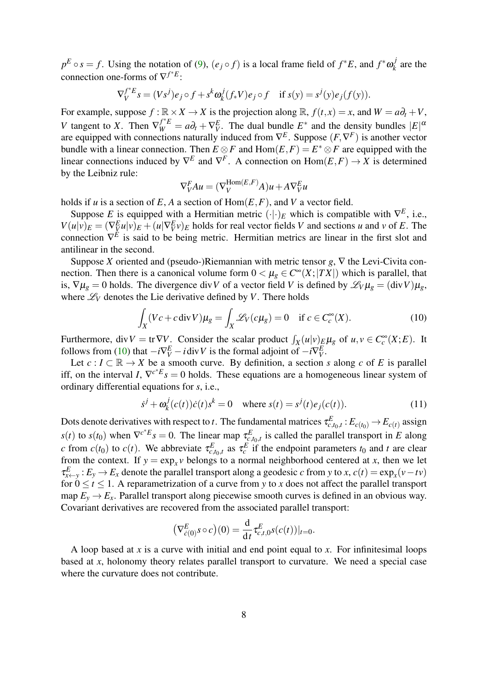$p^E \circ s = f$ . Using the notation of [\(9\)](#page-6-0),  $(e_j \circ f)$  is a local frame field of  $f^*E$ , and  $f^*\omega_k^j$  $p_k^J$  are the connection one-forms of  $\nabla^{f^*E}$ :

$$
\nabla_V^{f^*E} s = (Vs^j)e_j \circ f + s^k \omega_k^j(f_*V)e_j \circ f \quad \text{if } s(y) = s^j(y)e_j(f(y)).
$$

For example, suppose  $f : \mathbb{R} \times X \to X$  is the projection along  $\mathbb{R}$ ,  $f(t, x) = x$ , and  $W = a\partial_t + V$ , *V* tangent to *X*. Then  $\nabla_W^{f^*E} = a\partial_t + \nabla_V^E$ . The dual bundle  $E^*$  and the density bundles  $|E|^{\alpha}$ are equipped with connections naturally induced from ∇ *E* . Suppose (*F*,∇ *F* ) is another vector bundle with a linear connection. Then  $E \otimes F$  and  $Hom(E, F) = E^* \otimes F$  are equipped with the linear connections induced by  $\nabla^E$  and  $\nabla^F$ . A connection on  $Hom(E, F) \to X$  is determined by the Leibniz rule:

$$
\nabla_V^F A u = (\nabla_V^{\text{Hom}(E,F)} A) u + A \nabla_V^E u
$$

holds if *u* is a section of *E*, *A* a section of  $\text{Hom}(E, F)$ , and *V* a vector field.

Suppose *E* is equipped with a Hermitian metric  $(·)$ <sub>*E*</sub> which is compatible with  $\nabla^E$ , i.e.,  $V(u|v)_E = (\nabla_{\underline{V}}^E u|v)_E + (u|\nabla_{\underline{V}}^E v)_E$  holds for real vector fields V and sections u and v of E. The connection  $\nabla^{\vec{E}}$  is said to be being metric. Hermitian metrics are linear in the first slot and antilinear in the second.

Suppose *X* oriented and (pseudo-)Riemannian with metric tensor *g*, ∇ the Levi-Civita connection. Then there is a canonical volume form  $0 < \mu_{g} \in C^{\infty}(X; |TX|)$  which is parallel, that is,  $\nabla \mu_{g} = 0$  holds. The divergence div*V* of a vector field *V* is defined by  $\mathscr{L}_{V} \mu_{g} = (\text{div }V)\mu_{g}$ , where  $\mathcal{L}_V$  denotes the Lie derivative defined by *V*. There holds

<span id="page-7-0"></span>
$$
\int_X (Vc + c \operatorname{div} V)\mu_g = \int_X \mathcal{L}_V(c\mu_g) = 0 \quad \text{if } c \in C_c^{\infty}(X). \tag{10}
$$

Furthermore, div $V = \text{tr} \nabla V$ . Consider the scalar product  $\int_X (u|v)_{E} \mu_g$  of  $u, v \in C_c^{\infty}(X; E)$ . It follows from [\(10\)](#page-7-0) that  $-i\nabla^E_V - i \text{div } V$  is the formal adjoint of  $-i\nabla^E_V$ .

Let  $c: I \subset \mathbb{R} \to X$  be a smooth curve. By definition, a section *s* along *c* of *E* is parallel iff, on the interval *I*,  $\nabla^{c*} E_s = 0$  holds. These equations are a homogeneous linear system of ordinary differential equations for *s*, i.e.,

<span id="page-7-1"></span>
$$
\dot{s}^{j} + \omega_{k}^{j}(c(t))\dot{c}(t)s^{k} = 0 \quad \text{where } s(t) = s^{j}(t)e_{j}(c(t)). \tag{11}
$$

Dots denote derivatives with respect to *t*. The fundamental matrices  $\tau_{c,t_0,t}^E : E_{c(t_0)} \to E_{c(t)}$  assign *s*(*t*) to *s*(*t*<sub>0</sub>) when  $\nabla^{c^*E} s = 0$ . The linear map  $\tau_{c,t_0,t}^E$  is called the parallel transport in *E* along *c* from  $c(t_0)$  to  $c(t)$ . We abbreviate  $\tau_{c,t_0,t}^E$  as  $\tau_c^E$  if the endpoint parameters  $t_0$  and  $t$  are clear from the context. If  $y = \exp_x v$  belongs to a normal neighborhood centered at *x*, then we let  $\tau_{x \leftarrow y}^E : E_y \to E_x$  denote the parallel transport along a geodesic *c* from *y* to *x*, *c*(*t*) = exp<sub>*x*</sub>(*v*−*tv*) for  $0 \le t \le 1$ . A reparametrization of a curve from y to x does not affect the parallel transport map  $E_y \rightarrow E_x$ . Parallel transport along piecewise smooth curves is defined in an obvious way. Covariant derivatives are recovered from the associated parallel transport:

$$
\left(\nabla_{\dot{c}(0)}^{E}s \circ c\right)(0) = \frac{d}{dt}\tau_{c,t,0}^{E}s(c(t))|_{t=0}.
$$

A loop based at *x* is a curve with initial and end point equal to *x*. For infinitesimal loops based at *x*, holonomy theory relates parallel transport to curvature. We need a special case where the curvature does not contribute.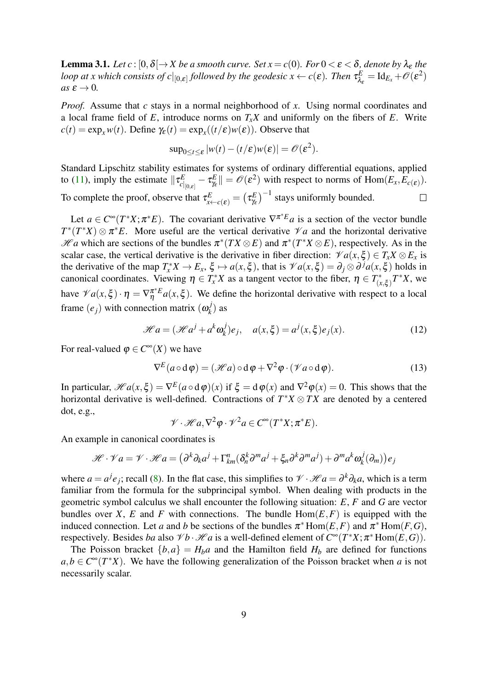<span id="page-8-2"></span>**Lemma 3.1.** *Let*  $c : [0, \delta] \to X$  *be a smooth curve. Set*  $x = c(0)$ *. For*  $0 < \varepsilon < \delta$ *, denote by*  $\lambda_{\varepsilon}$  *the loop at x which consists of c* $|_{[0,\varepsilon]}$  *followed by the geodesic x*  $\leftarrow$  *c*( $\varepsilon$ ). Then  $\tau_\lambda^E$  $\mathcal{L}^E_{\lambda_{\varepsilon}} = \mathrm{Id}_{E_x} + \mathscr{O}(\varepsilon^2)$  $as \epsilon \rightarrow 0$ .

*Proof.* Assume that *c* stays in a normal neighborhood of *x*. Using normal coordinates and a local frame field of  $E$ , introduce norms on  $T_xX$  and uniformly on the fibers of  $E$ . Write  $c(t) = \exp_x w(t)$ . Define  $\gamma_{\varepsilon}(t) = \exp_x((t/\varepsilon)w(\varepsilon))$ . Observe that

$$
\sup_{0\leq t\leq \varepsilon}|w(t)-(t/\varepsilon)w(\varepsilon)|=\mathscr{O}(\varepsilon^2).
$$

Standard Lipschitz stability estimates for systems of ordinary differential equations, applied to [\(11\)](#page-7-1), imply the estimate  $\|\tau_{c}^{E}$  $\left. \frac{E}{c} \right|_{[0,\varepsilon]} - \tau_\gamma^E$  $\mathcal{L}_{\gamma_{\epsilon}}^{E}$   $\|\ = \mathcal{O}(\epsilon^2)$  with respect to norms of Hom $(E_x, E_{c(\epsilon)})$ .  $\left(\frac{E}{\gamma_{\varepsilon}}\right)^{-1}$  stays uniformly bounded. To complete the proof, observe that  $\tau^E_{\chi \leftarrow c(\boldsymbol{\varepsilon})} = \left( \tau^E_{\chi} \right)$  $\Box$ 

Let  $a \in C^{\infty}(T^*X; \pi^*E)$ . The covariant derivative  $\nabla^{\pi^*E}a$  is a section of the vector bundle  $T^*(T^*X) \otimes \pi^*E$ . More useful are the vertical derivative  $\mathcal{V}a$  and the horizontal derivative  $\mathcal{H}a$  which are sections of the bundles  $\pi^*(TX \otimes E)$  and  $\pi^*(T^*X \otimes E)$ , respectively. As in the scalar case, the vertical derivative is the derivative in fiber direction:  $\mathcal{V}a(x,\xi) \in T_x X \otimes E_x$  is the derivative of the map  $T_x^*X \to E_x$ ,  $\xi \mapsto a(x,\xi)$ , that is  $\mathcal{V}a(x,\xi) = \partial_j \otimes \partial^j a(x,\xi)$  holds in canonical coordinates. Viewing  $\eta \in T^*_x X$  as a tangent vector to the fiber,  $\eta \in T^*_y$  $\int_{(x,\xi)}^{*} T^* X$ , we have  $\mathscr{V}a(x,\xi)\cdot \eta = \nabla_{\eta}^{\pi^*E}a(x,\xi)$ . We define the horizontal derivative with respect to a local frame  $(e_j)$  with connection matrix  $(\omega_k^j)$  $h_k^J$ ) as

<span id="page-8-0"></span>
$$
\mathcal{H}a = (\mathcal{H}a^j + a^k \omega_k^j)e_j, \quad a(x, \xi) = a^j(x, \xi)e_j(x). \tag{12}
$$

For real-valued  $\varphi \in C^{\infty}(X)$  we have

<span id="page-8-1"></span>
$$
\nabla^{E}(a \circ d\varphi) = (\mathscr{H}a) \circ d\varphi + \nabla^{2}\varphi \cdot (\mathscr{V}a \circ d\varphi). \tag{13}
$$

In particular,  $\mathscr{H}a(x,\xi) = \nabla^E(a \circ d\varphi)(x)$  if  $\xi = d\varphi(x)$  and  $\nabla^2\varphi(x) = 0$ . This shows that the horizontal derivative is well-defined. Contractions of  $T^*X \otimes TX$  are denoted by a centered dot, e.g.,

$$
\mathscr{V}\cdot\mathscr{H}a,\nabla^2\varphi\cdot\mathscr{V}^2a\in C^\infty(T^*X;\pi^*E).
$$

An example in canonical coordinates is

$$
\mathcal{H} \cdot \mathcal{V} a = \mathcal{V} \cdot \mathcal{H} a = (\partial^k \partial_k a^j + \Gamma_{km}^n (\delta_n^k \partial^m a^j + \xi_n \partial^k \partial^m a^j) + \partial^m a^k \omega_k^j (\partial_m)) e_j
$$

where  $a = a^j e_j$ ; recall [\(8\)](#page-6-1). In the flat case, this simplifies to  $\mathcal{V} \cdot \mathcal{H}a = \partial^k \partial_k a$ , which is a term familiar from the formula for the subprincipal symbol. When dealing with products in the geometric symbol calculus we shall encounter the following situation: *E*, *F* and *G* are vector bundles over *X*, *E* and *F* with connections. The bundle  $Hom(E, F)$  is equipped with the induced connection. Let *a* and *b* be sections of the bundles  $\pi^*$  Hom $(E, F)$  and  $\pi^*$  Hom $(F, G)$ , respectively. Besides *ba* also  $\mathscr{V}b \cdot \mathscr{H}a$  is a well-defined element of  $C^{\infty}(T^*X; \pi^* \text{Hom}(E, G))$ .

The Poisson bracket  $\{b,a\} = H_b a$  and the Hamilton field  $H_b$  are defined for functions  $a, b \in C^{\infty}(T^*X)$ . We have the following generalization of the Poisson bracket when *a* is not necessarily scalar.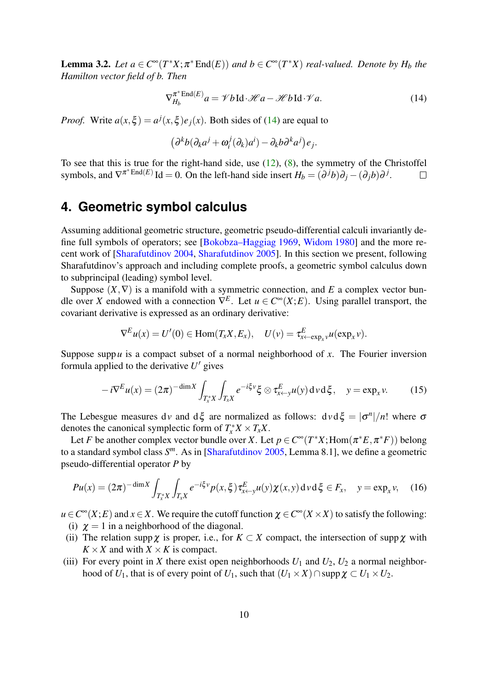**Lemma 3.2.** Let  $a \in C^{\infty}(T^*X; \pi^*End(E))$  and  $b \in C^{\infty}(T^*X)$  real-valued. Denote by  $H_b$  the *Hamilton vector field of b. Then*

<span id="page-9-1"></span>
$$
\nabla_{H_b}^{\pi^* \text{End}(E)} a = \mathscr{V} b \text{Id} \cdot \mathscr{H} a - \mathscr{H} b \text{Id} \cdot \mathscr{V} a. \tag{14}
$$

*Proof.* Write  $a(x,\xi) = a^j(x,\xi)e_j(x)$ . Both sides of [\(14\)](#page-9-1) are equal to

$$
(\partial^k b (\partial_k a^j + \omega_i^j (\partial_k) a^i) - \partial_k b \partial^k a^j) e_j.
$$

To see that this is true for the right-hand side, use [\(12\)](#page-8-0), [\(8\)](#page-6-1), the symmetry of the Christoffel symbols, and  $\nabla^{\pi^*}\text{End}(E)$  Id = 0. On the left-hand side insert  $H_b = (\partial^j b)\partial_j - (\partial_j b)\partial^j$ .  $\Box$ 

# <span id="page-9-0"></span>**4. Geometric symbol calculus**

Assuming additional geometric structure, geometric pseudo-differential calculi invariantly define full symbols of operators; see [\[Bokobza–Haggiag 1969,](#page-38-4) [Widom 1980\]](#page-41-1) and the more recent work of [\[Sharafutdinov 2004,](#page-40-7) [Sharafutdinov 2005\]](#page-40-1). In this section we present, following Sharafutdinov's approach and including complete proofs, a geometric symbol calculus down to subprincipal (leading) symbol level.

Suppose  $(X, \nabla)$  is a manifold with a symmetric connection, and *E* a complex vector bundle over *X* endowed with a connection  $\nabla^{E}$ . Let  $u \in C^{\infty}(X; E)$ . Using parallel transport, the covariant derivative is expressed as an ordinary derivative:

$$
\nabla^{E} u(x) = U'(0) \in \text{Hom}(T_x X, E_x), \quad U(v) = \tau_{x \leftarrow \exp_x v}^{E} u(\exp_x v).
$$

Suppose supp*u* is a compact subset of a normal neighborhood of *x*. The Fourier inversion formula applied to the derivative  $U'$  gives

<span id="page-9-5"></span>
$$
-i\nabla^{E}u(x) = (2\pi)^{-\dim X} \int_{T_x^*X} \int_{T_x^*X} e^{-i\xi v} \xi \otimes \tau_{x \leftarrow y}^E u(y) \, dv \, d\xi, \quad y = \exp_x v. \tag{15}
$$

The Lebesgue measures dv and  $d\xi$  are normalized as follows:  $dvd\xi = |\sigma^n|/n!$  where  $\sigma$ denotes the canonical symplectic form of  $T_x^*X \times T_xX$ .

Let *F* be another complex vector bundle over *X*. Let  $p \in C^\infty(T^*X; \text{Hom}(\pi^*E, \pi^*F))$  belong to a standard symbol class *S <sup>m</sup>*. As in [\[Sharafutdinov 2005,](#page-40-1) Lemma 8.1], we define a geometric pseudo-differential operator *P* by

<span id="page-9-3"></span>
$$
Pu(x) = (2\pi)^{-\dim X} \int_{T_x^* X} \int_{T_x X} e^{-i\xi \cdot y} p(x, \xi) \tau_{x \leftarrow y}^E u(y) \chi(x, y) d\nu d\xi \in F_x, \quad y = \exp_x \nu, \quad (16)
$$

 $u \in C^{\infty}(X;E)$  and  $x \in X$ . We require the cutoff function  $\chi \in C^{\infty}(X \times X)$  to satisfy the following: (i)  $\chi = 1$  in a neighborhood of the diagonal.

- <span id="page-9-4"></span>(ii) The relation supp  $\chi$  is proper, i.e., for  $K \subset X$  compact, the intersection of supp  $\chi$  with  $K \times X$  and with  $X \times K$  is compact.
- <span id="page-9-2"></span>(iii) For every point in *X* there exist open neighborhoods  $U_1$  and  $U_2$ ,  $U_2$  a normal neighborhood of *U*<sub>1</sub>, that is of every point of *U*<sub>1</sub>, such that  $(U_1 \times X) \cap \text{supp }\chi \subset U_1 \times U_2$ .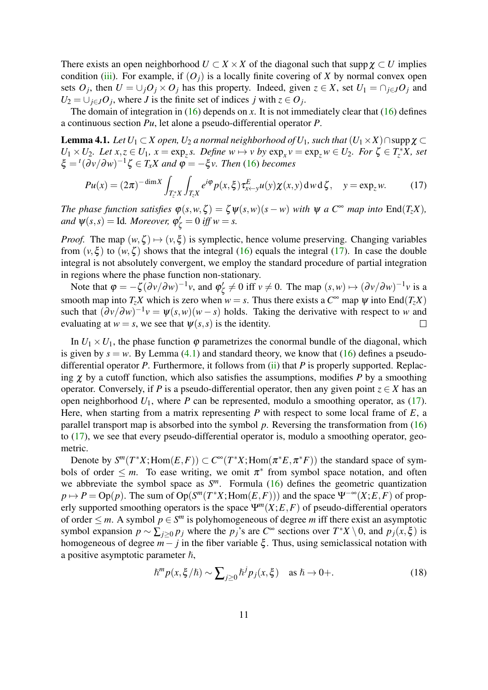There exists an open neighborhood  $U \subset X \times X$  of the diagonal such that supp  $\chi \subset U$  implies condition [\(iii\)](#page-9-2). For example, if  $(O_i)$  is a locally finite covering of *X* by normal convex open sets  $O_j$ , then  $U = \bigcup_j O_j \times O_j$  has this property. Indeed, given  $z \in X$ , set  $U_1 = \bigcap_{j \in J} O_j$  and  $U_2 = \bigcup_{j \in J} O_j$ , where *J* is the finite set of indices *j* with  $z \in O_j$ .

The domain of integration in  $(16)$  depends on *x*. It is not immediately clear that  $(16)$  defines a continuous section *Pu*, let alone a pseudo-differential operator *P*.

<span id="page-10-1"></span>**Lemma 4.1.** *Let*  $U_1 \subset X$  *open,*  $U_2$  *a normal neighborhood of*  $U_1$ *, such that*  $(U_1 \times X) \cap \text{supp } \chi \subset \mathbb{R}$  $U_1 \times U_2$ *. Let*  $x, z \in U_1$ ,  $x = \exp_z s$ *. Define*  $w \mapsto v$  by  $\exp_x v = \exp_z w \in U_2$ *. For*  $\zeta \in T_z^*X$ *, set*  $\xi =$ <sup>t</sup>( $\partial v / \partial w$ )<sup>-1</sup> $\zeta \in T_x X$  and  $\varphi = -\xi v$ . Then [\(16\)](#page-9-3) becomes

<span id="page-10-0"></span>
$$
Pu(x) = (2\pi)^{-\dim X} \int_{T_z^* X} \int_{T_z X} e^{i\varphi} p(x,\xi) \tau_{x \leftarrow y}^E u(y) \chi(x,y) d\omega d\zeta, \quad y = \exp_z w. \tag{17}
$$

*The phase function satisfies*  $\varphi(s, w, \zeta) = \zeta \psi(s, w)(s - w)$  *with*  $\psi$  *a*  $C^{\infty}$  *map into* End(*T*<sub>*z</sub>X*)*,*</sub> *and*  $\psi(s,s) =$  Id. Moreover,  $\varphi'_{\zeta} = 0$  *iff*  $w = s$ .

*Proof.* The map  $(w, \zeta) \mapsto (v, \xi)$  is symplectic, hence volume preserving. Changing variables from  $(v, \xi)$  to  $(w, \zeta)$  shows that the integral [\(16\)](#page-9-3) equals the integral [\(17\)](#page-10-0). In case the double integral is not absolutely convergent, we employ the standard procedure of partial integration in regions where the phase function non-stationary.

Note that  $\varphi = -\zeta (\partial v/\partial w)^{-1}v$ , and  $\varphi'_{\zeta}$  $\mathcal{O}'_{\zeta} \neq 0$  iff  $v \neq 0$ . The map  $(s, w) \mapsto (\partial v / \partial w)^{-1} v$  is a smooth map into  $T_zX$  which is zero when  $w = s$ . Thus there exists a  $C^{\infty}$  map  $\psi$  into End $(T_zX)$ such that  $(\partial v/\partial w)^{-1}v = \psi(s, w)(w - s)$  holds. Taking the derivative with respect to *w* and evaluating at  $w = s$ , we see that  $\psi(s, s)$  is the identity.  $\Box$ 

In  $U_1 \times U_1$ , the phase function  $\varphi$  parametrizes the conormal bundle of the diagonal, which is given by  $s = w$ . By Lemma [\(4.1\)](#page-10-1) and standard theory, we know that [\(16\)](#page-9-3) defines a pseudodifferential operator *P*. Furthermore, it follows from [\(ii\)](#page-9-4) that *P* is properly supported. Replacing  $\chi$  by a cutoff function, which also satisfies the assumptions, modifies *P* by a smoothing operator. Conversely, if *P* is a pseudo-differential operator, then any given point  $z \in X$  has an open neighborhood  $U_1$ , where  $P$  can be represented, modulo a smoothing operator, as [\(17\)](#page-10-0). Here, when starting from a matrix representing *P* with respect to some local frame of *E*, a parallel transport map is absorbed into the symbol *p*. Reversing the transformation from [\(16\)](#page-9-3) to [\(17\)](#page-10-0), we see that every pseudo-differential operator is, modulo a smoothing operator, geometric.

Denote by  $S^m(T^*X; \text{Hom}(E, F)) \subset C^\infty(T^*X; \text{Hom}(\pi^*E, \pi^*F))$  the standard space of symbols of order  $\leq m$ . To ease writing, we omit  $\pi^*$  from symbol space notation, and often we abbreviate the symbol space as *S <sup>m</sup>*. Formula [\(16\)](#page-9-3) defines the geometric quantization  $p \mapsto P = \text{Op}(p)$ . The sum of  $\text{Op}(S^m(T^*X; \text{Hom}(E, F)))$  and the space  $\Psi^{-\infty}(X; E, F)$  of properly supported smoothing operators is the space  $\Psi^m(X;E,F)$  of pseudo-differential operators of order  $\leq m$ . A symbol  $p \in S^m$  is polyhomogeneous of degree m iff there exist an asymptotic symbol expansion  $p \sim \sum_{j \geq 0} p_j$  where the  $p_j$ 's are  $C^{\infty}$  sections over  $T^*X \setminus 0$ , and  $p_j(x, \xi)$  is homogeneous of degree  $m-j$  in the fiber variable  $\xi$ . Thus, using semiclassical notation with a positive asymptotic parameter  $\hbar$ ,

<span id="page-10-2"></span>
$$
\hbar^m p(x,\xi/\hbar) \sim \sum_{j\geq 0} \hbar^j p_j(x,\xi) \quad \text{as } \hbar \to 0+.
$$
 (18)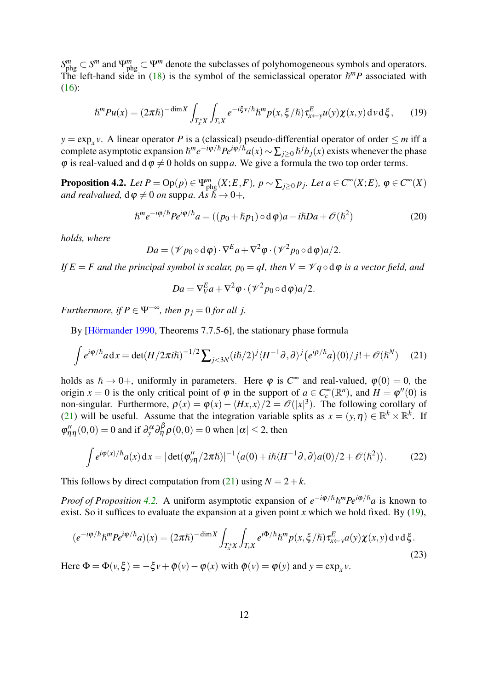*S*<sup>*m*</sup><sub>*m*</sub> ⊂ *S<sup><i>m*</sup> and Ψ<sup>*m*</sup><sub>phg</sub> ⊂ Ψ<sup>*m*</sup> denote the subclasses of polyhomogeneous symbols and operators. The left-hand side in [\(18\)](#page-10-2) is the symbol of the semiclassical operator  $\hbar^m P$  associated with [\(16\)](#page-9-3):

<span id="page-11-2"></span>
$$
\hbar^m P u(x) = (2\pi\hbar)^{-\dim X} \int_{T_x^* X} \int_{T_x X} e^{-i\xi v/\hbar} \hbar^m p(x, \xi/\hbar) \tau_{x \leftarrow y}^E u(y) \chi(x, y) d\mathbf{v} d\xi, \qquad (19)
$$

 $y = \exp_x v$ . A linear operator *P* is a (classical) pseudo-differential operator of order  $\leq m$  iff a complete asymptotic expansion  $\hbar^m e^{-i\varphi/\hbar}Pe^{i\varphi/\hbar}a(x) \sim \sum_{j\geq 0} \hbar^j b_j(x)$  exists whenever the phase  $\varphi$  is real-valued and  $d\varphi \neq 0$  holds on supp*a*. We give a formula the two top order terms.

<span id="page-11-1"></span>**Proposition 4.2.** Let  $P = \text{Op}(p) \in \Psi_{\text{phg}}^m(X; E, F)$ ,  $p \sim \sum_{j \ge 0} p_j$ . Let  $a \in C^{\infty}(X; E)$ ,  $\varphi \in C^{\infty}(X)$ *and realvalued,*  $d\varphi \neq 0$  *on* supp*a.*  $A \overrightarrow{s} \overrightarrow{h} \rightarrow 0^+$ *,* 

<span id="page-11-5"></span>
$$
\hbar^m e^{-i\varphi/\hbar} P e^{i\varphi/\hbar} a = ((p_0 + \hbar p_1) \circ d\varphi) a - i\hbar D a + \mathcal{O}(\hbar^2)
$$
\n(20)

*holds, where*

$$
Da = (\mathscr{V}p_0 \circ d\varphi) \cdot \nabla^E a + \nabla^2 \varphi \cdot (\mathscr{V}^2 p_0 \circ d\varphi) a/2.
$$

*If*  $E = F$  and the principal symbol is scalar,  $p_0 = qI$ , then  $V = \mathcal{V} q \circ d\varphi$  is a vector field, and

$$
Da = \nabla_V^E a + \nabla^2 \varphi \cdot (\mathscr{V}^2 p_0 \circ d\varphi) a/2.
$$

*Furthermore, if*  $P \in \Psi^{-\infty}$ *, then*  $p_j = 0$  *for all j.* 

By [\[Hörmander 1990,](#page-39-3) Theorems 7.7.5-6], the stationary phase formula

<span id="page-11-0"></span>
$$
\int e^{i\varphi/\hbar} a \, dx = \det(H/2\pi i\hbar)^{-1/2} \sum_{j < 3N} (i\hbar/2)^j \langle H^{-1} \partial, \partial \rangle^j \big( e^{i\varphi/\hbar} a \big) (0) / j! + \mathcal{O}(\hbar^N) \tag{21}
$$

holds as  $h \to 0^+$ , uniformly in parameters. Here  $\varphi$  is  $C^{\infty}$  and real-valued,  $\varphi(0) = 0$ , the origin  $x = 0$  is the only critical point of  $\varphi$  in the support of  $a \in C_c^{\infty}(\mathbb{R}^n)$ , and  $H = \varphi''(0)$  is non-singular. Furthermore,  $\rho(x) = \phi(x) - \langle Hx, x \rangle/2 = \mathcal{O}(|x|^3)$ . The following corollary of [\(21\)](#page-11-0) will be useful. Assume that the integration variable splits as  $x = (y, \eta) \in \mathbb{R}^k \times \mathbb{R}^k$ . If  $\varphi''_{\eta\eta}(0,0) = 0$  and if  $\partial_y^{\alpha} \partial_{\eta}^{\beta} \rho(0,0) = 0$  when  $|\alpha| \le 2$ , then

<span id="page-11-3"></span>
$$
\int e^{i\varphi(x)/\hbar} a(x) dx = |\det(\varphi_{y\eta}''/2\pi\hbar)|^{-1} (a(0) + i\hbar \langle H^{-1}\partial, \partial \rangle a(0)/2 + \mathcal{O}(\hbar^2)). \tag{22}
$$

This follows by direct computation from [\(21\)](#page-11-0) using  $N = 2 + k$ .

*Proof of Proposition* [4.2.](#page-11-1) A uniform asymptotic expansion of  $e^{-i\phi/\hslash} \hslash^m Pe^{i\phi/\hslash} a$  is known to exist. So it suffices to evaluate the expansion at a given point  $x$  which we hold fixed. By [\(19\)](#page-11-2),

<span id="page-11-4"></span>
$$
(e^{-i\varphi/\hbar}\hbar^mPe^{i\varphi/\hbar}a)(x) = (2\pi\hbar)^{-\dim X} \int_{T_x^*X} \int_{T_xX} e^{i\Phi/\hbar}\hbar^m p(x,\xi/\hbar) \tau_{x\leftarrow y}^E a(y)\chi(x,y) d\nu d\xi.
$$
\n(23)

Here  $\Phi = \Phi(v, \xi) = -\xi v + \tilde{\phi}(v) - \phi(x)$  with  $\tilde{\phi}(v) = \phi(y)$  and  $y = \exp_x v$ .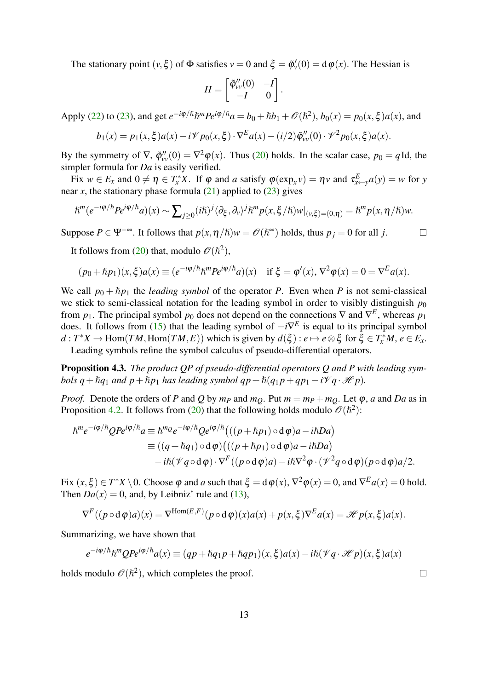The stationary point  $(v, \xi)$  of  $\Phi$  satisfies  $v = 0$  and  $\xi = \tilde{\varphi}'_v(0) = d\varphi(x)$ . The Hessian is

$$
H = \begin{bmatrix} \tilde{\varphi}_{\scriptscriptstyle VV}^{\prime\prime}(0) & -I \\ -I & 0 \end{bmatrix}.
$$

Apply [\(22\)](#page-11-3) to [\(23\)](#page-11-4), and get  $e^{-i\phi/\hbar} \hbar^m P e^{i\phi/\hbar} a = b_0 + \hbar b_1 + \mathcal{O}(\hbar^2)$ ,  $b_0(x) = p_0(x, \xi) a(x)$ , and

$$
b_1(x) = p_1(x,\xi)a(x) - i\mathcal{V}p_0(x,\xi) \cdot \nabla^E a(x) - (i/2)\tilde{\varphi}_{vv}''(0) \cdot \mathcal{V}^2 p_0(x,\xi)a(x).
$$

By the symmetry of  $\nabla$ ,  $\tilde{\varphi}_{vv}''(0) = \nabla^2 \varphi(x)$ . Thus [\(20\)](#page-11-5) holds. In the scalar case,  $p_0 = q$ Id, the simpler formula for *Da* is easily verified.

Fix  $w \in E_x$  and  $0 \neq \eta \in T_x^*X$ . If  $\varphi$  and *a* satisfy  $\varphi(\exp_x v) = \eta v$  and  $\tau_{x \leftarrow y}^E a(y) = w$  for *y* near *x*, the stationary phase formula  $(21)$  applied to  $(23)$  gives

$$
\hbar^{m}(e^{-i\varphi/\hbar}Pe^{i\varphi/\hbar}a)(x) \sim \sum_{j\geq 0} (i\hbar)^{j} \langle \partial_{\xi}, \partial_{\nu} \rangle^{j} \hbar^{m} p(x, \xi/\hbar) w|_{(\nu, \xi)=(0, \eta)} = \hbar^{m} p(x, \eta/\hbar) w.
$$

Suppose  $P \in \Psi^{-\infty}$ . It follows that  $p(x, \eta/\hbar)w = \mathcal{O}(\hbar^{\infty})$  holds, thus  $p_j = 0$  for all *j*.  $\Box$ 

It follows from [\(20\)](#page-11-5) that, modulo  $\mathcal{O}(\hbar^2)$ ,

$$
(p_0 + \hbar p_1)(x, \xi)a(x) \equiv (e^{-i\phi/\hbar} \hbar^m P e^{i\phi/\hbar} a)(x) \quad \text{if } \xi = \varphi'(x), \nabla^2 \varphi(x) = 0 = \nabla^E a(x).
$$

We call  $p_0 + \hbar p_1$  the *leading symbol* of the operator *P*. Even when *P* is not semi-classical we stick to semi-classical notation for the leading symbol in order to visibly distinguish  $p_0$ from  $p_1$ . The principal symbol  $p_0$  does not depend on the connections  $\nabla$  and  $\nabla^E$ , whereas  $p_1$ does. It follows from [\(15\)](#page-9-5) that the leading symbol of −*i*∇ *E* is equal to its principal symbol  $d: T^*X \to \text{Hom}(TM, \text{Hom}(TM, E))$  which is given by  $d(\xi): e \mapsto e \otimes \xi$  for  $\xi \in T^*_xM, e \in E_x$ .

Leading symbols refine the symbol calculus of pseudo-differential operators.

<sup>−</sup>*i*ϕ/}*Qei*ϕ/}

<span id="page-12-0"></span>Proposition 4.3. *The product QP of pseudo-differential operators Q and P with leading symbols*  $q + \hbar q_1$  *and*  $p + \hbar p_1$  *has leading symbol*  $qp + \hbar (q_1 p + qp_1 - i\mathcal{V}q \cdot \mathcal{H}p)$ *.* 

*Proof.* Denote the orders of *P* and *Q* by  $m_p$  and  $m_Q$ . Put  $m = m_p + m_Q$ . Let  $\varphi$ , *a* and *Da* as in Proposition [4.2.](#page-11-1) It follows from [\(20\)](#page-11-5) that the following holds modulo  $\mathcal{O}(\hbar^2)$ :

$$
\begin{split} \hbar^m e^{-i\varphi/\hbar} Q P e^{i\varphi/\hbar} a & \equiv \hbar^m e^{-i\varphi/\hbar} Q e^{i\varphi/\hbar} \big( ((p + \hbar p_1) \circ d\varphi) a - i\hbar D a \big) \\ & \equiv ((q + \hbar q_1) \circ d\varphi) \big( ((p + \hbar p_1) \circ d\varphi) a - i\hbar D a \big) \\ &\quad - i\hbar (\mathcal{V} q \circ d\varphi) \cdot \nabla^F ((p \circ d\varphi) a) - i\hbar \nabla^2 \varphi \cdot (\mathcal{V}^2 q \circ d\varphi) (p \circ d\varphi) a/2. \end{split}
$$

Fix  $(x, \xi) \in T^*X \setminus 0$ . Choose  $\varphi$  and *a* such that  $\xi = d\varphi(x)$ ,  $\nabla^2 \varphi(x) = 0$ , and  $\nabla^E a(x) = 0$  hold. Then  $Da(x) = 0$ , and, by Leibniz' rule and [\(13\)](#page-8-1),

$$
\nabla^F((p \circ d\varphi)a)(x) = \nabla^{\text{Hom}(E,F)}(p \circ d\varphi)(x)a(x) + p(x,\xi)\nabla^E a(x) = \mathcal{H}p(x,\xi)a(x).
$$

Summarizing, we have shown that

$$
e^{-i\varphi/\hslash}\hslash^m QPe^{i\varphi/\hslash}a(x) \equiv (qp + \hslash q_1p + \hslash qp_1)(x,\xi)a(x) - i\hslash(\mathscr{V}q \cdot \mathscr{H}p)(x,\xi)a(x)
$$

holds modulo  $\mathscr{O}(\hbar^2)$ , which completes the proof.

13

 $\Box$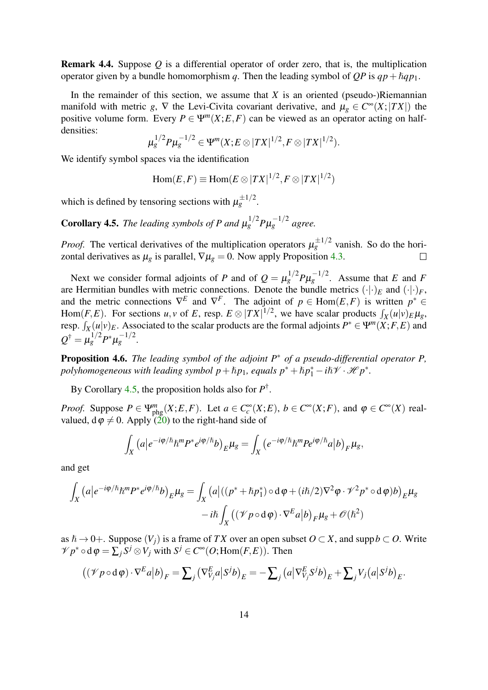<span id="page-13-2"></span>Remark 4.4. Suppose *Q* is a differential operator of order zero, that is, the multiplication operator given by a bundle homomorphism *q*. Then the leading symbol of *QP* is  $qp + \hbar qp_1$ .

In the remainder of this section, we assume that  $X$  is an oriented (pseudo-)Riemannian manifold with metric *g*,  $\nabla$  the Levi-Civita covariant derivative, and  $\mu_g \in C^{\infty}(X; |TX|)$  the positive volume form. Every  $P \in \Psi^m(X; E, F)$  can be viewed as an operator acting on halfdensities:

$$
\mu_g^{1/2} P \mu_g^{-1/2} \in \Psi^m(X; E \otimes |TX|^{1/2}, F \otimes |TX|^{1/2}).
$$

We identify symbol spaces via the identification

$$
\operatorname{Hom}(E,F) \equiv \operatorname{Hom}(E \otimes |TX|^{1/2}, F \otimes |TX|^{1/2})
$$

which is defined by tensoring sections with  $\mu_g^{\pm 1/2}$ .

<span id="page-13-0"></span>**Corollary 4.5.** The leading symbols of P and  $\mu_g^{1/2} P \mu_g^{-1/2}$  agree.

*Proof.* The vertical derivatives of the multiplication operators  $\mu_g^{\pm 1/2}$  vanish. So do the horizontal derivatives as  $\mu_g$  is parallel,  $\nabla \mu_g = 0$ . Now apply Proposition [4.3.](#page-12-0)  $\Box$ 

Next we consider formal adjoints of *P* and of  $Q = \mu_g^{1/2} P \mu_g^{-1/2}$ . Assume that *E* and *F* are Hermitian bundles with metric connections. Denote the bundle metrics  $(\cdot | \cdot)_E$  and  $(\cdot | \cdot)_F$ , and the metric connections  $\nabla^E$  and  $\nabla^F$ . The adjoint of  $p \in Hom(E, F)$  is written  $p^* \in$ Hom(*F*,*E*). For sections *u*, *v* of *E*, resp.  $E \otimes |TX|^{1/2}$ , we have scalar products  $\int_X (u|v)_{E} \mu_g$ , resp.  $\int_X (u|v)_E$ . Associated to the scalar products are the formal adjoints  $P^* \in \Psi^m(X;F,E)$  and *X*  $Q^{\dagger} = \mu_g^{1/2} P^* \mu_g^{-1/2}.$ 

<span id="page-13-1"></span>Proposition 4.6. *The leading symbol of the adjoint P*<sup>∗</sup> *of a pseudo-differential operator P, polyhomogeneous with leading symbol*  $p + \hbar p_1$ *, equals*  $p^* + \hbar p_1^* - i\hbar \mathscr{V} \cdot \mathscr{H} p^*$ *.* 

By Corollary [4.5,](#page-13-0) the proposition holds also for *P* † .

*Proof.* Suppose  $P \in \Psi_{\text{phg}}^{m}(X;E,F)$ . Let  $a \in C_c^{\infty}(X;E)$ ,  $b \in C^{\infty}(X;F)$ , and  $\varphi \in C^{\infty}(X)$  realvalued,  $d\varphi \neq 0$ . Apply [\(20\)](#page-11-5) to the right-hand side of

$$
\int_X \left( a \left| e^{-i\varphi/\hbar} \hbar^m P^* e^{i\varphi/\hbar} b \right)_{E} \mu_g = \int_X \left( e^{-i\varphi/\hbar} \hbar^m P e^{i\varphi/\hbar} a \right| b \right)_F \mu_g,
$$

and get

$$
\int_X (a|e^{-i\varphi/\hbar} \hbar^m P^* e^{i\varphi/\hbar} b)_{E} \mu_g = \int_X (a|((p^* + \hbar p_1^*) \circ d\varphi + (i\hbar/2)\nabla^2 \varphi \cdot \mathcal{V}^2 p^* \circ d\varphi) b)_{E} \mu_g
$$

$$
-i\hbar \int_X ((\mathcal{V} \rho \circ d\varphi) \cdot \nabla^E a|b)_{F} \mu_g + \mathcal{O}(\hbar^2)
$$

as  $h \to 0+$ . Suppose  $(V_i)$  is a frame of *TX* over an open subset  $O \subset X$ , and supp $b \subset O$ . Write  $\mathcal{V} p^* \circ d\varphi = \sum_j S^j \otimes V_j$  with  $S^j \in C^\infty(\mathcal{O}; \text{Hom}(F, E))$ . Then

$$
((\mathscr{V}p \circ d\varphi) \cdot \nabla^E a | b)_F = \sum_j (\nabla^E_{V_j} a | S^j b)_E = - \sum_j (a | \nabla^E_{V_j} S^j b)_E + \sum_j V_j (a | S^j b)_E.
$$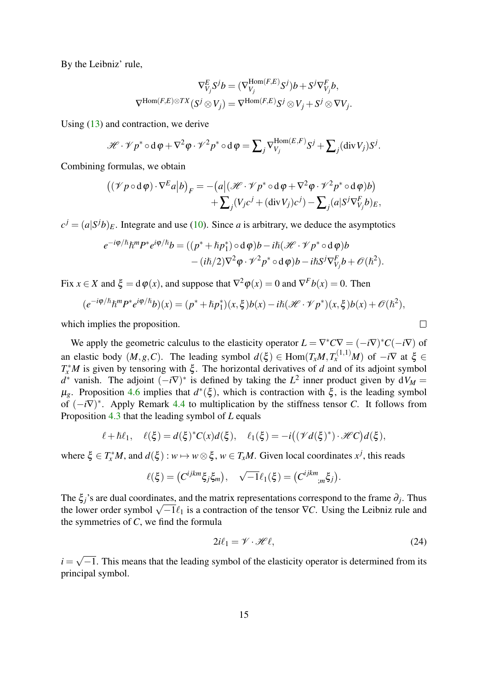By the Leibniz' rule,

$$
\nabla^E_{V_j} S^j b = (\nabla^{\text{Hom}(F,E)}_{V_j} S^j) b + S^j \nabla^F_{V_j} b,
$$
  

$$
\nabla^{\text{Hom}(F,E)\otimes TX}(S^j \otimes V_j) = \nabla^{\text{Hom}(F,E)} S^j \otimes V_j + S^j \otimes \nabla V_j.
$$

Using [\(13\)](#page-8-1) and contraction, we derive

$$
\mathscr{H} \cdot \mathscr{V} p^* \circ d\varphi + \nabla^2 \varphi \cdot \mathscr{V}^2 p^* \circ d\varphi = \sum_j \nabla_{V_j}^{\text{Hom}(E,F)} S^j + \sum_j (\text{div}\, V_j) S^j.
$$

Combining formulas, we obtain

$$
\begin{aligned} \left( (\mathscr{V}p \circ d\varphi) \cdot \nabla^E a | b \right)_F &= -\left( a \middle| (\mathscr{H} \cdot \mathscr{V}p^* \circ d\varphi + \nabla^2 \varphi \cdot \mathscr{V}^2 p^* \circ d\varphi) b \right) \\ &+ \sum_j (V_j c^j + (\text{div}\, V_j) c^j) - \sum_j (a | S^j \nabla^F_{V_j} b)_E, \end{aligned}
$$

 $c^{j} = (a|S^{j}b)_{E}$ . Integrate and use [\(10\)](#page-7-0). Since *a* is arbitrary, we deduce the asymptotics

$$
e^{-i\varphi/\hslash} \hslash^m P^* e^{i\varphi/\hslash} b = ((p^* + \hslash p_1^*) \circ d\varphi) b - i\hslash (\mathcal{H} \cdot \mathcal{V} p^* \circ d\varphi) b - (i\hslash/2) \nabla^2 \varphi \cdot \mathcal{V}^2 p^* \circ d\varphi) b - i\hslash S^j \nabla_{V_j}^F b + \mathcal{O}(\hslash^2).
$$

Fix  $x \in X$  and  $\xi = d\varphi(x)$ , and suppose that  $\nabla^2 \varphi(x) = 0$  and  $\nabla^F b(x) = 0$ . Then

$$
(e^{-i\varphi/\hslash}\hslash^m P^* e^{i\varphi/\hslash} b)(x) = (p^* + \hslash p_1^*)(x,\xi)b(x) - i\hslash(\mathcal{H} \cdot \mathcal{V} p^*)(x,\xi)b(x) + \mathcal{O}(\hslash^2),
$$

which implies the proposition.

We apply the geometric calculus to the elasticity operator  $L = \nabla^* C \nabla = (-i\nabla)^* C (-i\nabla)$  of an elastic body  $(M, g, C)$ . The leading symbol  $d(\xi) \in \text{Hom}(T_xM, T_x^{(1,1)}M)$  of  $-i\nabla$  at  $\xi \in$ *T*<sup>\*</sup>*M* is given by tensoring with ξ. The horizontal derivatives of *d* and of its adjoint symbol  $d^*$  vanish. The adjoint  $(-i\nabla)^*$  is defined by taking the  $L^2$  inner product given by  $dV_M =$  $\mu_g$ . Proposition [4.6](#page-13-1) implies that  $d^*(\xi)$ , which is contraction with  $\xi$ , is the leading symbol of (−*i*∇) ∗ . Apply Remark [4.4](#page-13-2) to multiplication by the stiffness tensor *C*. It follows from Proposition [4.3](#page-12-0) that the leading symbol of *L* equals

$$
\ell + \hbar \ell_1, \quad \ell(\xi) = d(\xi)^* C(x) d(\xi), \quad \ell_1(\xi) = -i\big( (\mathscr{V}d(\xi)^*) \cdot \mathscr{H}C\big) d(\xi),
$$

where  $\xi \in T_x^*M$ , and  $d(\xi) : w \mapsto w \otimes \xi$ ,  $w \in T_xM$ . Given local coordinates  $x^j$ , this reads

$$
\ell(\xi) = (C^{ijkm}\xi_j\xi_m), \quad \sqrt{-1}\ell_1(\xi) = (C^{ijkm}{}_{;m}\xi_j).
$$

The  $\xi_j$ 's are dual coordinates, and the matrix representations correspond to the frame  $\partial_j$ . Thus The  $\zeta_j$  is are dual coordinates, and the matrix representations correspond to the frame  $\sigma_j$ . Thus the lower order symbol  $\sqrt{-1}\ell_1$  is a contraction of the tensor  $\nabla C$ . Using the Leibniz rule and the symmetries of *C*, we find the formula

<span id="page-14-0"></span>
$$
2i\ell_1 = \mathcal{V} \cdot \mathcal{H}\ell,\tag{24}
$$

 $\Box$ 

 $i =$ √  $-1$ . This means that the leading symbol of the elasticity operator is determined from its principal symbol.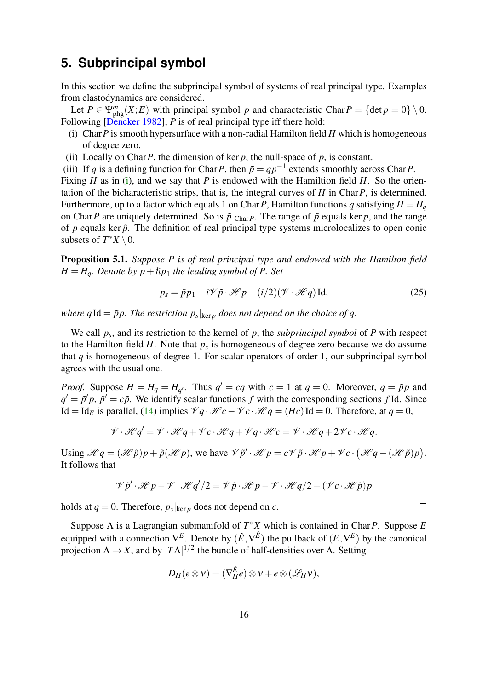# **5. Subprincipal symbol**

In this section we define the subprincipal symbol of systems of real principal type. Examples from elastodynamics are considered.

Let  $P \in \Psi_{phg}^{m}(X;E)$  with principal symbol *p* and characteristic Char $P = \{\text{det } p = 0\} \setminus 0$ . Following [\[Dencker 1982\]](#page-38-0), *P* is of real principal type iff there hold:

- <span id="page-15-0"></span>(i) Char*P* is smooth hypersurface with a non-radial Hamilton field *H* which is homogeneous of degree zero.
- (ii) Locally on Char  $P$ , the dimension of ker  $p$ , the null-space of  $p$ , is constant.
- <span id="page-15-2"></span>(iii) If *q* is a defining function for Char *P*, then  $\tilde{p} = qp^{-1}$  extends smoothly across Char *P*.

Fixing *H* as in [\(i\)](#page-15-0), and we say that *P* is endowed with the Hamiltion field *H*. So the orientation of the bicharacteristic strips, that is, the integral curves of *H* in Char*P*, is determined. Furthermore, up to a factor which equals 1 on Char *P*, Hamilton functions *q* satisfying  $H = H<sub>q</sub>$ on Char*P* are uniquely determined. So is  $\tilde{p}|_{Char}$ *P*. The range of  $\tilde{p}$  equals ker *p*, and the range of  $p$  equals ker  $\tilde{p}$ . The definition of real principal type systems microlocalizes to open conic subsets of  $T^*X \setminus 0$ .

Proposition 5.1. *Suppose P is of real principal type and endowed with the Hamilton field*  $H = H<sub>q</sub>$ *. Denote by p* +  $\hbar p_1$  *the leading symbol of P. Set* 

<span id="page-15-1"></span>
$$
p_s = \tilde{p}p_1 - i\mathscr{V}\tilde{p}\cdot\mathscr{H}p + (i/2)(\mathscr{V}\cdot\mathscr{H}q)\operatorname{Id},\tag{25}
$$

where  $q \operatorname{Id} = \tilde{p} p$ . The restriction  $p_s|_{\ker p}$  does not depend on the choice of  $q$ .

We call *p<sup>s</sup>* , and its restriction to the kernel of *p*, the *subprincipal symbol* of *P* with respect to the Hamilton field  $H$ . Note that  $p_s$  is homogeneous of degree zero because we do assume that *q* is homogeneous of degree 1. For scalar operators of order 1, our subprincipal symbol agrees with the usual one.

*Proof.* Suppose  $H = H_q = H_{q'}$ . Thus  $q' = cq$  with  $c = 1$  at  $q = 0$ . Moreover,  $q = \tilde{p}p$  and  $q' = \tilde{p}'p$ ,  $\tilde{p}' = c\tilde{p}$ . We identify scalar functions *f* with the corresponding sections *f* Id. Since Id = Id<sub>E</sub> is parallel, [\(14\)](#page-9-1) implies  $\mathcal{V}_q \cdot \mathcal{H}_c - \mathcal{V}_c \cdot \mathcal{H}_q = (H_c)$  Id = 0. Therefore, at  $q = 0$ ,

$$
\mathcal{V} \cdot \mathcal{H} q' = \mathcal{V} \cdot \mathcal{H} q + \mathcal{V} c \cdot \mathcal{H} q + \mathcal{V} q \cdot \mathcal{H} c = \mathcal{V} \cdot \mathcal{H} q + 2 \mathcal{V} c \cdot \mathcal{H} q.
$$

Using  $\mathcal{H}q = (\mathcal{H}\tilde{p})p + \tilde{p}(\mathcal{H}p)$ , we have  $\mathcal{V}\tilde{p}' \cdot \mathcal{H}p = c\mathcal{V}\tilde{p} \cdot \mathcal{H}p + \mathcal{V}c \cdot (\mathcal{H}q - (\mathcal{H}\tilde{p})p)$ . It follows that

$$
\mathcal{V}\tilde{p}'\cdot\mathcal{H}p-\mathcal{V}\cdot\mathcal{H}q'/2=\mathcal{V}\tilde{p}\cdot\mathcal{H}p-\mathcal{V}\cdot\mathcal{H}q/2-(\mathcal{V}c\cdot\mathcal{H}\tilde{p})p
$$

holds at  $q = 0$ . Therefore,  $p_s|_{\text{ker } p}$  does not depend on  $c$ .

Suppose Λ is a Lagrangian submanifold of *T* <sup>∗</sup>*X* which is contained in Char*P*. Suppose *E* equipped with a connection  $\nabla^E$ . Denote by  $(\hat{E}, \nabla^{\hat{E}})$  the pullback of  $(E, \nabla^E)$  by the canonical projection  $\Lambda \to X$ , and by  $|T\Lambda|^{1/2}$  the bundle of half-densities over  $\Lambda$ . Setting

$$
D_H(e \otimes v) = (\nabla_H^{\hat{E}} e) \otimes v + e \otimes (\mathscr{L}_H v),
$$

 $\Box$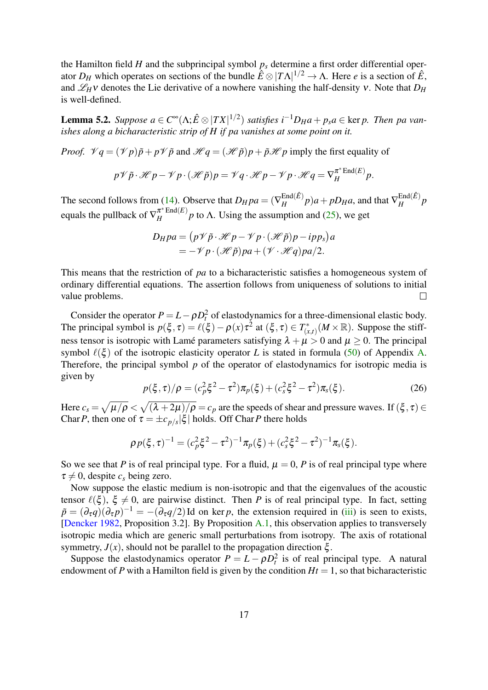the Hamilton field *H* and the subprincipal symbol  $p<sub>s</sub>$  determine a first order differential operator  $D_H$  which operates on sections of the bundle  $\hat{E} \otimes |T\Lambda|^{1/2} \to \Lambda$ . Here *e* is a section of  $\hat{E}$ , and  $\mathscr{L}_H$ ν denotes the Lie derivative of a nowhere vanishing the half-density v. Note that  $D_H$ is well-defined.

<span id="page-16-0"></span>**Lemma 5.2.** Suppose  $a \in C^{\infty}(\Lambda; \hat{E} \otimes |TX|^{1/2})$  satisfies  $i^{-1}D_Ha + p_sa \in \text{ker } p$ . Then pa van*ishes along a bicharacteristic strip of H if pa vanishes at some point on it.*

*Proof.*  $\mathcal{V}q = (\mathcal{V}p)\tilde{p} + p\mathcal{V}\tilde{p}$  and  $\mathcal{H}q = (\mathcal{H}\tilde{p})p + \tilde{p}\mathcal{H}p$  imply the first equality of

$$
p\mathscr{V}\tilde{p}\cdot\mathscr{H}p-\mathscr{V}p\cdot(\mathscr{H}\tilde{p})p=\mathscr{V}q\cdot\mathscr{H}p-\mathscr{V}p\cdot\mathscr{H}q=\nabla_H^{\pi^*\mathrm{End}(E)}p.
$$

The second follows from [\(14\)](#page-9-1). Observe that  $D_H pa = (\nabla_H^{\text{End}(\hat{E})})$  $\frac{\text{End}(\hat{E})}{H}p$ )*a* + *pD<sub>H</sub>a*, and that  $\nabla_H^{\text{End}(\hat{E})}$  $\frac{p}{H}$ <sup>*p*</sup> equals the pullback of  $\nabla_H^{\pi^* \text{End}(E)}$  $\frac{h}{H}$  Eliq(E) p to  $\Lambda$ . Using the assumption and [\(25\)](#page-15-1), we get

$$
D_H pa = (p\mathscr{V}\tilde{p}\cdot\mathscr{H}p - \mathscr{V}p\cdot(\mathscr{H}\tilde{p})p - ipp_s)a
$$
  
= -\mathscr{V}p\cdot(\mathscr{H}\tilde{p})pa + (\mathscr{V}\cdot\mathscr{H}q)pa/2.

This means that the restriction of *pa* to a bicharacteristic satisfies a homogeneous system of ordinary differential equations. The assertion follows from uniqueness of solutions to initial value problems.  $\Box$ 

Consider the operator  $P = L - \rho D_t^2$  of elastodynamics for a three-dimensional elastic body. The principal symbol is  $p(\xi, \tau) = \ell(\xi) - \rho(x)\tau^2$  at  $(\xi, \tau) \in T^*_{\{x\}}$  $\chi^*_{(x,t)}(M\times\mathbb{R})$ . Suppose the stiffness tensor is isotropic with Lamé parameters satisfying  $\lambda + \mu > 0$  and  $\mu \ge 0$ . The principal symbol  $\ell(\xi)$  of the isotropic elasticity operator *L* is stated in formula [\(50\)](#page-32-1) of Appendix [A.](#page-31-0) Therefore, the principal symbol *p* of the operator of elastodynamics for isotropic media is given by

<span id="page-16-1"></span>
$$
p(\xi,\tau)/\rho = (c_p^2 \xi^2 - \tau^2) \pi_p(\xi) + (c_s^2 \xi^2 - \tau^2) \pi_s(\xi).
$$
 (26)

Here  $c_s=\sqrt{\mu/\rho}<\sqrt{(\lambda+2\mu)/\rho}=c_p$  are the speeds of shear and pressure waves. If  $(\xi,\tau)\in$ Char *P*, then one of  $\tau = \pm c_{p/s} |\xi|$  holds. Off Char *P* there holds

$$
\rho p(\xi,\tau)^{-1} = (c_p^2 \xi^2 - \tau^2)^{-1} \pi_p(\xi) + (c_s^2 \xi^2 - \tau^2)^{-1} \pi_s(\xi).
$$

So we see that *P* is of real principal type. For a fluid,  $\mu = 0$ , *P* is of real principal type where  $\tau \neq 0$ , despite  $c_s$  being zero.

Now suppose the elastic medium is non-isotropic and that the eigenvalues of the acoustic tensor  $\ell(\xi)$ ,  $\xi \neq 0$ , are pairwise distinct. Then *P* is of real principal type. In fact, setting  $\tilde{p} = (\partial_{\tau}q)(\partial_{\tau}p)^{-1} = -(\partial_{\tau}q/2)$ Id on ker *p*, the extension required in [\(iii\)](#page-15-2) is seen to exists, [\[Dencker 1982,](#page-38-0) Proposition 3.2]. By Proposition [A.1,](#page-32-2) this observation applies to transversely isotropic media which are generic small perturbations from isotropy. The axis of rotational symmetry,  $J(x)$ , should not be parallel to the propagation direction  $\xi$ .

Suppose the elastodynamics operator  $P = L - \rho D_t^2$  is of real principal type. A natural endowment of *P* with a Hamilton field is given by the condition  $Ht = 1$ , so that bicharacteristic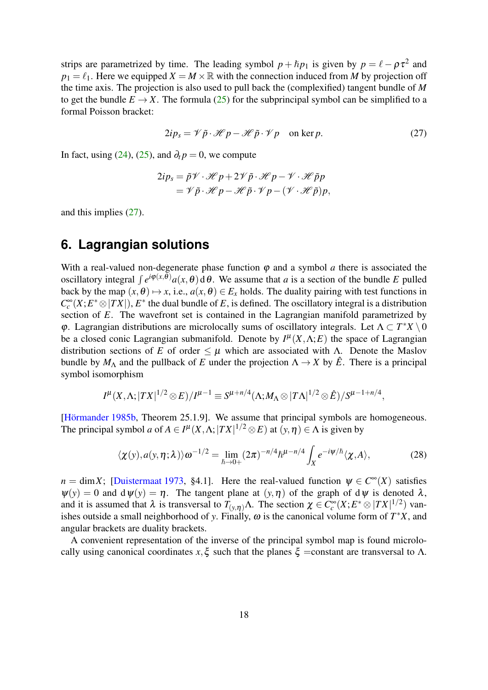strips are parametrized by time. The leading symbol  $p + \hbar p_1$  is given by  $p = \ell - \rho \tau^2$  and  $p_1 = \ell_1$ . Here we equipped  $X = M \times \mathbb{R}$  with the connection induced from *M* by projection off the time axis. The projection is also used to pull back the (complexified) tangent bundle of *M* to get the bundle  $E \to X$ . The formula [\(25\)](#page-15-1) for the subprincipal symbol can be simplified to a formal Poisson bracket:

<span id="page-17-0"></span>
$$
2ip_s = \mathcal{V}\,\tilde{p}\cdot\mathcal{H}\,p - \mathcal{H}\,\tilde{p}\cdot\mathcal{V}\,p \quad \text{on ker}\,p. \tag{27}
$$

In fact, using [\(24\)](#page-14-0), [\(25\)](#page-15-1), and  $\partial_t p = 0$ , we compute

$$
2ip_s = \tilde{p}\mathscr{V} \cdot \mathscr{H} p + 2\mathscr{V}\tilde{p} \cdot \mathscr{H} p - \mathscr{V} \cdot \mathscr{H}\tilde{p}p
$$
  
=  $\mathscr{V}\tilde{p} \cdot \mathscr{H} p - \mathscr{H}\tilde{p} \cdot \mathscr{V} p - (\mathscr{V} \cdot \mathscr{H}\tilde{p})p$ ,

and this implies [\(27\)](#page-17-0).

#### <span id="page-17-2"></span>**6. Lagrangian solutions**

With a real-valued non-degenerate phase function  $\varphi$  and a symbol  $\alpha$  there is associated the oscillatory integral  $\int e^{i\phi(x,\theta)} a(x,\theta) d\theta$ . We assume that *a* is a section of the bundle *E* pulled back by the map  $(x, \theta) \mapsto x$ , i.e.,  $a(x, \theta) \in E_x$  holds. The duality pairing with test functions in  $C_c^{\infty}(X; E^* \otimes |TX|)$ ,  $E^*$  the dual bundle of *E*, is defined. The oscillatory integral is a distribution section of *E*. The wavefront set is contained in the Lagrangian manifold parametrized by φ. Lagrangian distributions are microlocally sums of oscillatory integrals. Let  $Λ ⊂ T^*X \setminus 0$ be a closed conic Lagrangian submanifold. Denote by  $I^{\mu}(X,\Lambda;E)$  the space of Lagrangian distribution sections of *E* of order  $\leq \mu$  which are associated with Λ. Denote the Maslov bundle by  $M_\Lambda$  and the pullback of *E* under the projection  $\Lambda \to X$  by  $\hat{E}$ . There is a principal symbol isomorphism

$$
I^{\mu}(X,\Lambda;|TX|^{1/2}\otimes E)/I^{\mu-1}\equiv S^{\mu+n/4}(\Lambda;M_{\Lambda}\otimes |T\Lambda|^{1/2}\otimes \hat{E})/S^{\mu-1+n/4},
$$

[\[Hörmander 1985b,](#page-39-4) Theorem 25.1.9]. We assume that principal symbols are homogeneous. The principal symbol *a* of  $A \in I^{\mu}(X, \Lambda; |TX|^{1/2} \otimes E)$  at  $(y, \eta) \in \Lambda$  is given by

<span id="page-17-1"></span>
$$
\langle \chi(y), a(y, \eta; \lambda) \rangle \omega^{-1/2} = \lim_{\hbar \to 0+} (2\pi)^{-n/4} \hbar^{\mu - n/4} \int_X e^{-i\psi/\hbar} \langle \chi, A \rangle, \tag{28}
$$

 $n = \dim X$ ; [\[Duistermaat 1973,](#page-38-5) §4.1]. Here the real-valued function  $\psi \in C^{\infty}(X)$  satisfies  $\psi(y) = 0$  and  $\psi(y) = \eta$ . The tangent plane at  $(y, \eta)$  of the graph of  $d\psi$  is denoted  $\lambda$ , and it is assumed that  $\lambda$  is transversal to  $T_{(y,\eta)}\Lambda$ . The section  $\chi \in C_c^{\infty}(X; E^* \otimes |TX|^{1/2})$  vanishes outside a small neighborhood of *y*. Finally,  $\omega$  is the canonical volume form of  $T^*X$ , and angular brackets are duality brackets.

A convenient representation of the inverse of the principal symbol map is found microlocally using canonical coordinates  $x, \xi$  such that the planes  $\xi$  =constant are transversal to  $\Lambda$ .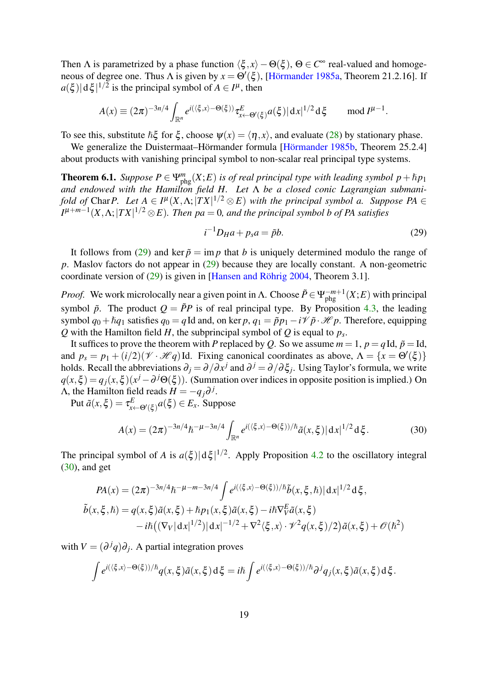Then  $\Lambda$  is parametrized by a phase function  $\langle \xi , x \rangle - \Theta(\xi)$ ,  $\Theta \in C^{\infty}$  real-valued and homogeneous of degree one. Thus  $\Lambda$  is given by  $x = \Theta'(\xi)$ , [\[Hörmander 1985a,](#page-39-5) Theorem 21.2.16]. If  $a(\xi) | d\xi|^{1/2}$  is the principal symbol of  $A \in I^{\mu}$ , then

$$
A(x) \equiv (2\pi)^{-3n/4} \int_{\mathbb{R}^n} e^{i(\langle \xi, x \rangle - \Theta(\xi))} \tau_{x \leftarrow \Theta'(\xi)}^E a(\xi) |dx|^{1/2} d\xi \quad \mod I^{\mu-1}.
$$

To see this, substitute  $\hbar \xi$  for  $\xi$ , choose  $\psi(x) = \langle \eta, x \rangle$ , and evaluate [\(28\)](#page-17-1) by stationary phase.

We generalize the Duistermaat–Hörmander formula [\[Hörmander 1985b,](#page-39-4) Theorem 25.2.4] about products with vanishing principal symbol to non-scalar real principal type systems.

<span id="page-18-0"></span>**Theorem 6.1.** *Suppose*  $P \in \Psi_{phg}^{m}(X;E)$  *is of real principal type with leading symbol*  $p + \hbar p_1$ *and endowed with the Hamilton field H. Let* Λ *be a closed conic Lagrangian submanifold of* Char P. Let  $A \in I^{\mu}(X, \Lambda; |TX|^{1/2} \otimes E)$  with the principal symbol a. Suppose PA  $\in$ *I* µ+*m*−1 (*X*,Λ;|*T X*| <sup>1</sup>/<sup>2</sup> ⊗*E*)*. Then pa* = 0*, and the principal symbol b of PA satisfies*

<span id="page-18-1"></span>
$$
i^{-1}D_H a + p_s a = \tilde{p}b. \tag{29}
$$

It follows from [\(29\)](#page-18-1) and ker  $\tilde{p} = \text{im } p$  that *b* is uniquely determined modulo the range of *p*. Maslov factors do not appear in [\(29\)](#page-18-1) because they are locally constant. A non-geometric coordinate version of [\(29\)](#page-18-1) is given in [\[Hansen and Röhrig 2004,](#page-39-6) Theorem 3.1].

*Proof.* We work microlocally near a given point in  $\Lambda$ . Choose  $\tilde{P} \in \Psi_{phg}^{-m+1}(X;E)$  with principal symbol  $\tilde{p}$ . The product  $Q = \tilde{P}P$  is of real principal type. By Proposition [4.3,](#page-12-0) the leading symbol  $q_0 + \hbar q_1$  satisfies  $q_0 = q$ Id and, on ker  $p, q_1 = \tilde{p}p_1 - i\mathcal{V}\tilde{p}\cdot\mathcal{H}p$ . Therefore, equipping *Q* with the Hamilton field *H*, the subprincipal symbol of *Q* is equal to *p<sup>s</sup>* .

It suffices to prove the theorem with *P* replaced by *Q*. So we assume  $m = 1$ ,  $p = q$ Id,  $\tilde{p} =$ Id, and  $p_s = p_1 + (i/2)(\mathcal{V} \cdot \mathcal{H}q)$  Id. Fixing canonical coordinates as above,  $\Lambda = \{x = \Theta'(\xi)\}\$ holds. Recall the abbreviations  $\partial_j = \partial/\partial x^j$  and  $\partial^j = \partial/\partial \xi_j$ . Using Taylor's formula, we write  $q(x,\xi) = q_j(x,\xi)(x^j - \partial^{j}\Theta(\xi))$ . (Summation over indices in opposite position is implied.) On  $\Lambda$ , the Hamilton field reads  $H = -q_j \partial^{j}$ .

Put  $\tilde{a}(x,\xi) = \tau_{x \leftarrow \Theta'(\xi)}^E a(\xi) \in E_x$ . Suppose

<span id="page-18-2"></span>
$$
A(x) = (2\pi)^{-3n/4} \hbar^{-\mu - 3n/4} \int_{\mathbb{R}^n} e^{i(\langle \xi, x \rangle - \Theta(\xi) )/\hbar} \tilde{a}(x, \xi) |dx|^{1/2} d\xi.
$$
 (30)

The principal symbol of *A* is  $a(\xi)|d\xi|^{1/2}$ . Apply Proposition [4.2](#page-11-1) to the oscillatory integral  $(30)$ , and get

$$
PA(x) = (2\pi)^{-3n/4} \hbar^{-\mu - m - 3n/4} \int e^{i(\langle \xi, x \rangle - \Theta(\xi)) / \hbar} \tilde{b}(x, \xi, \hbar) |dx|^{1/2} d\xi,
$$
  

$$
\tilde{b}(x, \xi, \hbar) = q(x, \xi) \tilde{a}(x, \xi) + \hbar p_1(x, \xi) \tilde{a}(x, \xi) - i\hbar \nabla_{\nabla}^{E} \tilde{a}(x, \xi)
$$

$$
-i\hbar ((\nabla_{V}|dx|^{1/2}) |dx|^{-1/2} + \nabla^{2} \langle \xi, x \rangle \cdot \mathcal{V}^{2} q(x, \xi) / 2) \tilde{a}(x, \xi) + \mathcal{O}(\hbar^{2})
$$

with  $V = (\partial^j q) \partial_j$ . A partial integration proves

$$
\int e^{i(\langle \xi, x \rangle - \Theta(\xi))/\hbar} q(x, \xi) \tilde{a}(x, \xi) d\xi = i\hbar \int e^{i(\langle \xi, x \rangle - \Theta(\xi))/\hbar} \partial^j q_j(x, \xi) \tilde{a}(x, \xi) d\xi.
$$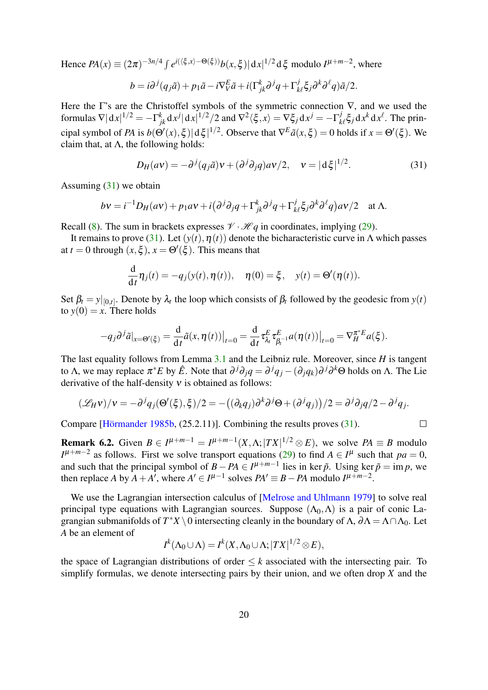Hence  $PA(x) \equiv (2\pi)^{-3n/4} \int e^{i(\langle \xi, x \rangle - \Theta(\xi))} b(x, \xi) |dx|^{1/2} d\xi$  modulo  $I^{\mu+m-2}$ , where

$$
b = i\partial^j(q_j\tilde{a}) + p_1\tilde{a} - i\nabla^E_V\tilde{a} + i(\Gamma^k_{jk}\partial^jq + \Gamma^j_{k\ell}\xi_j\partial^k\partial^\ell q)\tilde{a}/2.
$$

Here the Γ's are the Christoffel symbols of the symmetric connection  $\nabla$ , and we used the formulas  $\nabla |\mathrm{d}x|^{1/2} = -\Gamma_{jk}^k \mathrm{d}x^j |\mathrm{d}x|^{1/2}/2$  and  $\nabla^2 \langle \xi, x \rangle = \nabla \xi_j \mathrm{d}x^j = -\Gamma_k^j$  $\int_{k\ell}^{j} \xi_j \, dx^k dx^{\ell}$ . The principal symbol of *PA* is  $b(\Theta'(x), \xi) |d\xi|^{1/2}$ . Observe that  $\nabla^E \tilde{a}(x, \xi) = 0$  holds if  $x = \Theta'(\xi)$ . We claim that, at  $\Lambda$ , the following holds:

<span id="page-19-0"></span>
$$
D_H(av) = -\partial^j (q_j \tilde{a})v + (\partial^j \partial_j q)av/2, \quad v = |d\xi|^{1/2}.
$$
 (31)

Assuming  $(31)$  we obtain

$$
bv = i^{-1}D_H(av) + p_1av + i(\partial^j\partial_j q + \Gamma^k_{jk}\partial^j q + \Gamma^j_{k\ell}\xi_j\partial^k\partial^\ell q)a\nu/2 \quad \text{at } \Lambda.
$$

Recall [\(8\)](#page-6-1). The sum in brackets expresses  $\mathcal{V} \cdot \mathcal{H} q$  in coordinates, implying [\(29\)](#page-18-1).

It remains to prove [\(31\)](#page-19-0). Let  $(y(t), \eta(t))$  denote the bicharacteristic curve in Λ which passes at  $t = 0$  through  $(x, \xi)$ ,  $x = \Theta'(\xi)$ . This means that

$$
\frac{\mathrm{d}}{\mathrm{d}t}\eta_j(t) = -q_j(y(t), \eta(t)), \quad \eta(0) = \xi, \quad y(t) = \Theta'(\eta(t)).
$$

Set  $\beta_t = y|_{[0,t]}$ . Denote by  $\lambda_t$  the loop which consists of  $\beta_t$  followed by the geodesic from  $y(t)$ to  $y(0) = x$ . There holds

$$
-q_j\partial^j\tilde{a}|_{x=\Theta'(\xi)}=\frac{\mathrm{d}}{\mathrm{d}t}\tilde{a}(x,\eta(t))\big|_{t=0}=\frac{\mathrm{d}}{\mathrm{d}t}\tau^E_{\lambda_t}\tau^E_{\beta_t^{-1}}a(\eta(t))\big|_{t=0}=\nabla_H^{\pi^*E}a(\xi).
$$

The last equality follows from Lemma [3.1](#page-8-2) and the Leibniz rule. Moreover, since *H* is tangent to Λ, we may replace  $\pi^*E$  by  $\hat{E}$ . Note that  $\partial^j\partial_jq = \partial^jq_j - (\partial_jq_k)\partial^j\partial^k\Theta$  holds on Λ. The Lie derivative of the half-density  $v$  is obtained as follows:

$$
(\mathscr{L}_H v)/v = -\partial^j q_j (\Theta'(\xi), \xi)/2 = -((\partial_k q_j)\partial^k \partial^j \Theta + (\partial^j q_j))/2 = \partial^j \partial_j q/2 - \partial^j q_j.
$$

Compare [\[Hörmander 1985b,](#page-39-4) (25.2.11)]. Combining the results proves [\(31\)](#page-19-0).

**Remark 6.2.** Given  $B \in I^{\mu+m-1} = I^{\mu+m-1}(X,\Lambda;|TX|^{1/2} \otimes E)$ , we solve  $PA \equiv B$  modulo  $I^{\mu+m-2}$  as follows. First we solve transport equations [\(29\)](#page-18-1) to find  $A \in I^{\mu}$  such that  $pa = 0$ , and such that the principal symbol of  $B - PA \in I^{\mu+m-1}$  lies in ker  $\tilde{p}$ . Using ker  $\tilde{p} = \text{im } p$ , we then replace *A* by  $A + A'$ , where  $A' \in I^{\mu-1}$  solves  $PA' \equiv B - PA$  modulo  $I^{\mu+m-2}$ .

We use the Lagrangian intersection calculus of [\[Melrose and Uhlmann 1979\]](#page-40-2) to solve real principal type equations with Lagrangian sources. Suppose  $(\Lambda_0, \Lambda)$  is a pair of conic Lagrangian submanifolds of  $T^*X \setminus 0$  intersecting cleanly in the boundary of  $\Lambda$ ,  $\partial \Lambda = \Lambda \cap \Lambda_0$ . Let *A* be an element of

$$
I^k(\Lambda_0\cup\Lambda)=I^k(X,\Lambda_0\cup\Lambda;|TX|^{1/2}\otimes E),
$$

the space of Lagrangian distributions of order  $\leq k$  associated with the intersecting pair. To simplify formulas, we denote intersecting pairs by their union, and we often drop *X* and the

 $\Box$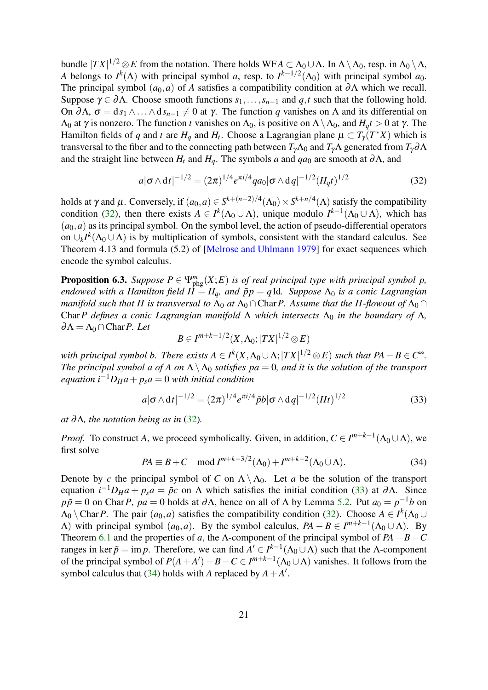bundle  $|TX|^{1/2} \otimes E$  from the notation. There holds WFA  $\subset \Lambda_0 \cup \Lambda$ . In  $\Lambda \setminus \Lambda_0$ , resp. in  $\Lambda_0 \setminus \Lambda$ , *A* belongs to  $I^k(\Lambda)$  with principal symbol *a*, resp. to  $I^{k-1/2}(\Lambda_0)$  with principal symbol *a*<sub>0</sub>. The principal symbol  $(a_0, a)$  of *A* satisfies a compatibility condition at ∂Λ which we recall. Suppose  $\gamma \in \partial \Lambda$ . Choose smooth functions  $s_1, \ldots, s_{n-1}$  and  $q, t$  such that the following hold. On ∂Λ,  $σ = ds_1 ∧ ... ∧ ds_{n-1} ≠ 0$  at γ. The function *q* vanishes on Λ and its differential on  $Λ_0$  at γ is nonzero. The function *t* vanishes on  $Λ_0$ , is positive on  $Λ \Lambda_0$ , and  $H_d t > 0$  at γ. The Hamilton fields of *q* and *t* are  $H_q$  and  $H_t$ . Choose a Lagrangian plane  $\mu \subset T_{\gamma}(T^*X)$  which is transversal to the fiber and to the connecting path between  $T_{\gamma} \Lambda_0$  and  $T_{\gamma} \Lambda$  generated from  $T_{\gamma} \partial \Lambda$ and the straight line between  $H_t$  and  $H_q$ . The symbols *a* and  $qa_0$  are smooth at  $\partial \Lambda$ , and

<span id="page-20-0"></span>
$$
a|\sigma \wedge dt|^{-1/2} = (2\pi)^{1/4} e^{\pi i/4} qa_0 |\sigma \wedge dq|^{-1/2} (H_q t)^{1/2}
$$
 (32)

holds at  $\gamma$  and  $\mu$ . Conversely, if  $(a_0, a) \in S^{k+(n-2)/4}(\Lambda_0) \times S^{k+n/4}(\Lambda)$  satisfy the compatibility condition [\(32\)](#page-20-0), then there exists  $A \in I^k(\Lambda_0 \cup \Lambda)$ , unique modulo  $I^{k-1}(\Lambda_0 \cup \Lambda)$ , which has  $(a_0, a)$  as its principal symbol. On the symbol level, the action of pseudo-differential operators on  $\cup_k I^k(\Lambda_0 \cup \Lambda)$  is by multiplication of symbols, consistent with the standard calculus. See Theorem 4.13 and formula (5.2) of [\[Melrose and Uhlmann 1979\]](#page-40-2) for exact sequences which encode the symbol calculus.

<span id="page-20-3"></span>**Proposition 6.3.** *Suppose*  $P \in \Psi_{\text{phg}}^{m}(X;E)$  *is of real principal type with principal symbol p, endowed with a Hamilton field*  $\dot{H} = H_q$ *, and*  $\tilde{p}p = q$ *Id. Suppose*  $\Lambda_0$  *is a conic Lagrangian manifold such that H is transversal to*  $\Lambda_0$  *at*  $\Lambda_0 \cap$ Char*P.* Assume that the H-flowout of  $\Lambda_0 \cap$ Char P defines a conic Lagrangian manifold  $\Lambda$  which intersects  $\Lambda_0$  in the boundary of  $\Lambda$ ,  $∂Λ = Λ<sub>0</sub> ∩ Char P. Let$ 

$$
B\in I^{m+k-1/2}(X,\Lambda_0;|TX|^{1/2}\otimes E)
$$

*with principal symbol b. There exists*  $A \in I^k(X, \Lambda_0 \cup \Lambda; |TX|^{1/2} \otimes E)$  *such that*  $PA - B \in C^{\infty}$ . *The principal symbol a of A on*  $\Lambda \setminus \Lambda_0$  *satisfies pa* = 0*, and it is the solution of the transport*  $e$ *quation*  $i^{-1}D_Ha + p_s a = 0$  *with initial condition* 

<span id="page-20-1"></span>
$$
a|\sigma \wedge dt|^{-1/2} = (2\pi)^{1/4} e^{\pi i/4} \tilde{p} b|\sigma \wedge dq|^{-1/2} (Ht)^{1/2}
$$
 (33)

*at* ∂Λ*, the notation being as in* [\(32\)](#page-20-0)*.*

*Proof.* To construct *A*, we proceed symbolically. Given, in addition,  $C \in I^{m+k-1}(\Lambda_0 \cup \Lambda)$ , we first solve

<span id="page-20-2"></span>
$$
PA \equiv B + C \mod I^{m+k-3/2}(\Lambda_0) + I^{m+k-2}(\Lambda_0 \cup \Lambda).
$$
 (34)

Denote by *c* the principal symbol of *C* on  $\Lambda \setminus \Lambda_0$ . Let *a* be the solution of the transport equation  $i^{-1}D_H a + p_s a = \tilde{p}c$  on Λ which satisfies the initial condition [\(33\)](#page-20-1) at  $\partial \Lambda$ . Since  $p\tilde{p} = 0$  on Char*P*,  $pa = 0$  holds at  $\partial \Lambda$ , hence on all of  $\Lambda$  by Lemma [5.2.](#page-16-0) Put  $a_0 = p^{-1}b$  on  $\Lambda_0 \setminus \text{Char } P$ . The pair  $(a_0, a)$  satisfies the compatibility condition [\(32\)](#page-20-0). Choose  $A \in I^k(\Lambda_0 \cup$  $Λ$ ) with principal symbol  $(a<sub>0</sub>, a)$ . By the symbol calculus,  $PA - B \in I^{m+k-1}(\Lambda_0 \cup \Lambda)$ . By Theorem [6.1](#page-18-0) and the properties of *a*, the  $\Lambda$ -component of the principal symbol of  $PA - B - C$ ranges in ker  $\tilde{p} = \text{im } p$ . Therefore, we can find  $A' \in I^{k-1}(\Lambda_0 \cup \Lambda)$  such that the  $\Lambda$ -component of the principal symbol of  $P(A + A') - B - C \in I^{m+k-1}(\Lambda_0 \cup \Lambda)$  vanishes. It follows from the symbol calculus that [\(34\)](#page-20-2) holds with *A* replaced by  $A + A'$ .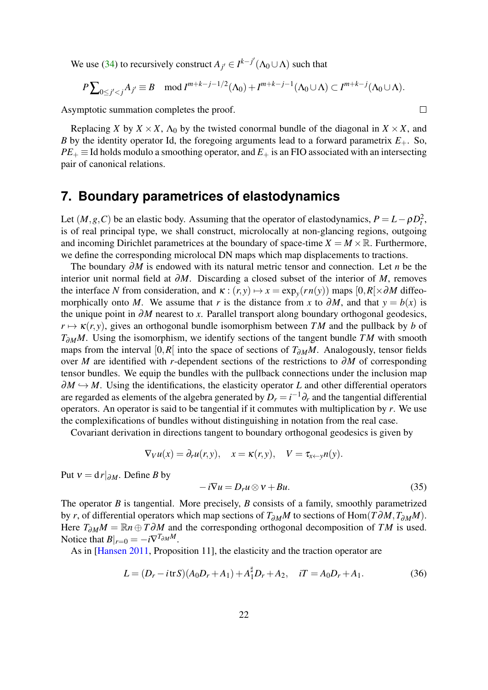We use [\(34\)](#page-20-2) to recursively construct  $A_{j'} \in I^{k-j'}(\Lambda_0 \cup \Lambda)$  such that

$$
P\sum_{0\leq j'
$$

 $\Box$ 

Asymptotic summation completes the proof.

Replacing *X* by  $X \times X$ ,  $\Lambda_0$  by the twisted conormal bundle of the diagonal in  $X \times X$ , and *B* by the identity operator Id, the foregoing arguments lead to a forward parametrix  $E_{+}$ . So,  $PE_+ \equiv$  Id holds modulo a smoothing operator, and  $E_+$  is an FIO associated with an intersecting pair of canonical relations.

# **7. Boundary parametrices of elastodynamics**

Let  $(M, g, C)$  be an elastic body. Assuming that the operator of elastodynamics,  $P = L - \rho D_t^2$ , is of real principal type, we shall construct, microlocally at non-glancing regions, outgoing and incoming Dirichlet parametrices at the boundary of space-time  $X = M \times \mathbb{R}$ . Furthermore, we define the corresponding microlocal DN maps which map displacements to tractions.

The boundary ∂*M* is endowed with its natural metric tensor and connection. Let *n* be the interior unit normal field at ∂*M*. Discarding a closed subset of the interior of *M*, removes the interface *N* from consideration, and  $\kappa : (r, y) \mapsto x = \exp_y(rn(y))$  maps  $[0, R] \times \partial M$  diffeomorphically onto *M*. We assume that *r* is the distance from *x* to  $\partial M$ , and that  $y = b(x)$  is the unique point in ∂*M* nearest to *x*. Parallel transport along boundary orthogonal geodesics,  $r \mapsto \kappa(r, y)$ , gives an orthogonal bundle isomorphism between *TM* and the pullback by *b* of *T*∂<sub>*M</sub>M*. Using the isomorphism, we identify sections of the tangent bundle *TM* with smooth</sub> maps from the interval [0,*R*[ into the space of sections of *T*∂*MM*. Analogously, tensor fields over *M* are identified with *r*-dependent sections of the restrictions to ∂*M* of corresponding tensor bundles. We equip the bundles with the pullback connections under the inclusion map  $\partial M \hookrightarrow M$ . Using the identifications, the elasticity operator *L* and other differential operators are regarded as elements of the algebra generated by  $D_r = i^{-1} \partial_r$  and the tangential differential operators. An operator is said to be tangential if it commutes with multiplication by *r*. We use the complexifications of bundles without distinguishing in notation from the real case.

Covariant derivation in directions tangent to boundary orthogonal geodesics is given by

$$
\nabla_V u(x) = \partial_r u(r, y), \quad x = \kappa(r, y), \quad V = \tau_{x \leftarrow y} n(y).
$$

Put  $v = d r |_{\partial M}$ . Define *B* by

<span id="page-21-1"></span>
$$
-i\nabla u = D_r u \otimes v + Bu. \tag{35}
$$

The operator *B* is tangential. More precisely, *B* consists of a family, smoothly parametrized by *r*, of differential operators which map sections of *T*∂*MM* to sections of Hom(*T*∂*M*,*T*∂*MM*). Here  $T_{\partial M}M = \mathbb{R}n \oplus T\partial M$  and the corresponding orthogonal decomposition of *TM* is used. Notice that  $B|_{r=0} = -i\nabla^{T_{\partial M}M}$ .

As in [\[Hansen 2011,](#page-39-7) Proposition 11], the elasticity and the traction operator are

<span id="page-21-0"></span>
$$
L = (D_r - i \text{tr} S)(A_0 D_r + A_1) + A_1^{\sharp} D_r + A_2, \quad iT = A_0 D_r + A_1.
$$
 (36)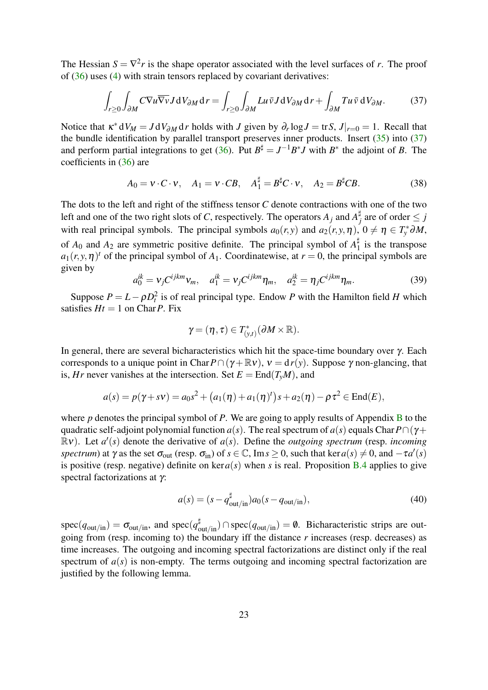The Hessian  $S = \nabla^2 r$  is the shape operator associated with the level surfaces of *r*. The proof of [\(36\)](#page-21-0) uses [\(4\)](#page-3-0) with strain tensors replaced by covariant derivatives:

<span id="page-22-0"></span>
$$
\int_{r\geq 0} \int_{\partial M} C \nabla u \overline{\nabla v} J dV_{\partial M} dr = \int_{r\geq 0} \int_{\partial M} L u \, \overline{v} J dV_{\partial M} dr + \int_{\partial M} T u \, \overline{v} dV_{\partial M}. \tag{37}
$$

Notice that  $\kappa^* dV_M = J dV_{\partial M} dr$  holds with *J* given by  $\partial_r \log J = \text{tr} S$ ,  $J|_{r=0} = 1$ . Recall that the bundle identification by parallel transport preserves inner products. Insert  $(35)$  into  $(37)$ and perform partial integrations to get [\(36\)](#page-21-0). Put  $B^{\sharp} = J^{-1}B^*J$  with  $B^*$  the adjoint of *B*. The coefficients in [\(36\)](#page-21-0) are

<span id="page-22-3"></span>
$$
A_0 = \mathbf{v} \cdot \mathbf{C} \cdot \mathbf{v}, \quad A_1 = \mathbf{v} \cdot \mathbf{C}B, \quad A_1^{\sharp} = B^{\sharp} \mathbf{C} \cdot \mathbf{v}, \quad A_2 = B^{\sharp} \mathbf{C}B. \tag{38}
$$

The dots to the left and right of the stiffness tensor *C* denote contractions with one of the two left and one of the two right slots of *C*, respectively. The operators  $A_j$  and  $A_j^{\sharp}$  $j$ <sub>*j*</sub> are of order  $\leq j$ with real principal symbols. The principal symbols  $a_0(r, y)$  and  $a_2(r, y, \eta)$ ,  $0 \neq \eta \in T_y^* \partial M$ , of  $A_0$  and  $A_2$  are symmetric positive definite. The principal symbol of  $A_1^{\sharp}$  $\frac{1}{1}$  is the transpose  $a_1(r, y, \eta)$ <sup>t</sup> of the principal symbol of  $A_1$ . Coordinatewise, at  $r = 0$ , the principal symbols are given by

<span id="page-22-2"></span>
$$
a_0^{ik} = \nu_j C^{ijkm} \nu_m, \quad a_1^{ik} = \nu_j C^{ijkm} \eta_m, \quad a_2^{ik} = \eta_j C^{ijkm} \eta_m. \tag{39}
$$

Suppose  $P = L - \rho D_t^2$  is of real principal type. Endow *P* with the Hamilton field *H* which satisfies  $Ht = 1$  on Char*P*. Fix

$$
\gamma = (\eta, \tau) \in T^*_{(\mathbf{y},t)}(\partial M \times \mathbb{R}).
$$

In general, there are several bicharacteristics which hit the space-time boundary over γ. Each corresponds to a unique point in Char $P \cap (\gamma + \mathbb{R} \nu)$ ,  $\nu = d r(\gamma)$ . Suppose  $\gamma$  non-glancing, that is, *Hr* never vanishes at the intersection. Set  $E = \text{End}(T_vM)$ , and

$$
a(s) = p(\gamma + s\nu) = a_0s^2 + (a_1(\eta) + a_1(\eta)^t)s + a_2(\eta) - \rho\tau^2 \in \text{End}(E),
$$

where *p* denotes the principal symbol of *P*. We are going to apply results of Appendix [B](#page-32-0) to the quadratic self-adjoint polynomial function *a*(*s*). The real spectrum of *a*(*s*) equals Char  $P \cap (\gamma +$  $\mathbb{R}v$ ). Let  $a'(s)$  denote the derivative of  $a(s)$ . Define the *outgoing spectrum* (resp. *incoming spectrum*) at  $\gamma$  as the set  $\sigma_{out}$  (resp.  $\sigma_{in}$ ) of  $s \in \mathbb{C}$ , Im $s \geq 0$ , such that ker  $a(s) \neq 0$ , and  $-\tau a'(s)$ is positive (resp. negative) definite on  $\text{ker }a(s)$  when *s* is real. Proposition [B.4](#page-35-0) applies to give spectral factorizations at  $γ$ :

<span id="page-22-1"></span>
$$
a(s) = (s - q_{\text{out/in}}^{\sharp})a_0(s - q_{\text{out/in}}),
$$
\n(40)

 $spec(q_{out/in}) = \sigma_{out/in}$ , and  $spec(q_{out/in}^{\sharp}) \cap spec(q_{out/in}) = \emptyset$ . Bicharacteristic strips are outgoing from (resp. incoming to) the boundary iff the distance *r* increases (resp. decreases) as time increases. The outgoing and incoming spectral factorizations are distinct only if the real spectrum of  $a(s)$  is non-empty. The terms outgoing and incoming spectral factorization are justified by the following lemma.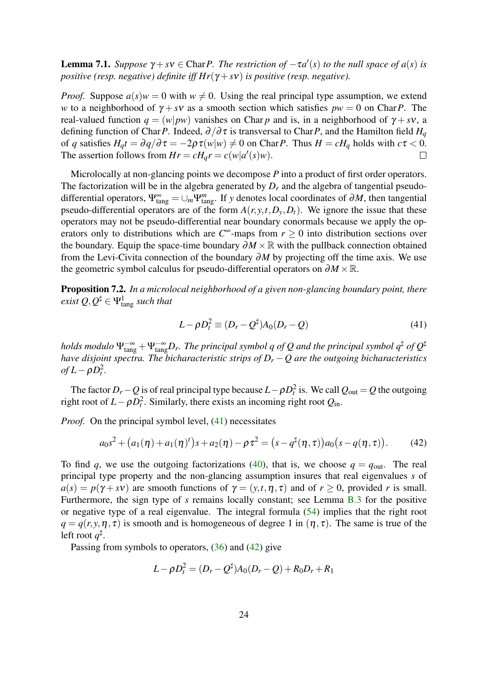<span id="page-23-2"></span>**Lemma 7.1.** *Suppose*  $\gamma + s\gamma \in \text{Char } P$ . *The restriction of*  $-\tau a'(s)$  *to the null space of*  $a(s)$  *is positive (resp. negative) definite iff Hr*(γ + *sv) is positive (resp. negative).* 

*Proof.* Suppose  $a(s)w = 0$  with  $w \neq 0$ . Using the real principal type assumption, we extend *w* to a neighborhood of  $\gamma + s\nu$  as a smooth section which satisfies  $pw = 0$  on Char*P*. The real-valued function  $q = (w|pw)$  vanishes on Char *p* and is, in a neighborhood of  $\gamma + s\nu$ , a defining function of Char*P*. Indeed,  $\partial/\partial \tau$  is transversal to Char*P*, and the Hamilton field  $H_q$ of *q* satisfies  $H_q t = \frac{\partial q}{\partial \tau} = -2\rho \tau(w|w) \neq 0$  on Char*P*. Thus  $H = cH_q$  holds with  $c\tau < 0$ . The assertion follows from  $Hr = cH_qr = c(w|a'(s)w)$ .  $\Box$ 

Microlocally at non-glancing points we decompose *P* into a product of first order operators. The factorization will be in the algebra generated by  $D<sub>r</sub>$  and the algebra of tangential pseudodifferential operators,  $\Psi_{\text{tang}}^{\infty} = \bigcup_m \Psi_{\text{tang}}^m$ . If *y* denotes local coordinates of  $\partial M$ , then tangential pseudo-differential operators are of the form  $A(r, y, t, D_y, D_t)$ . We ignore the issue that these operators may not be pseudo-differential near boundary conormals because we apply the operators only to distributions which are  $C^{\infty}$ -maps from  $r \ge 0$  into distribution sections over the boundary. Equip the space-time boundary  $\partial M \times \mathbb{R}$  with the pullback connection obtained from the Levi-Civita connection of the boundary  $\partial M$  by projecting off the time axis. We use the geometric symbol calculus for pseudo-differential operators on  $\partial M \times \mathbb{R}$ .

Proposition 7.2. *In a microlocal neighborhood of a given non-glancing boundary point, there*  $e$ xist  $Q, Q^\sharp \in \Psi^1_{\text{tang}}$  *such that* 

<span id="page-23-0"></span>
$$
L - \rho D_t^2 \equiv (D_r - Q^{\sharp}) A_0 (D_r - Q) \tag{41}
$$

holds modulo  $\Psi^{-\infty}_{\tang}+\Psi^{-\infty}_{\tang}D_r.$  The principal symbol q of  $Q$  and the principal symbol  $q^\sharp$  of  $Q^\sharp$ *have disjoint spectra. The bicharacteristic strips of D<sup>r</sup>* −*Q are the outgoing bicharacteristics*  $of L - \rho D_t^2$ .

The factor  $D_r - Q$  is of real principal type because  $L - \rho D_t^2$  is. We call  $Q_{\text{out}} = Q$  the outgoing right root of  $L - \rho D_t^2$ . Similarly, there exists an incoming right root  $Q_{\text{in}}$ .

*Proof.* On the principal symbol level, [\(41\)](#page-23-0) necessitates

<span id="page-23-1"></span>
$$
a_0s^2 + (a_1(\eta) + a_1(\eta)^t)s + a_2(\eta) - \rho\tau^2 = (s - q^{\sharp}(\eta, \tau))a_0(s - q(\eta, \tau)).
$$
 (42)

To find *q*, we use the outgoing factorizations [\(40\)](#page-22-1), that is, we choose  $q = q_{\text{out}}$ . The real principal type property and the non-glancing assumption insures that real eigenvalues *s* of  $a(s) = p(\gamma + s\nu)$  are smooth functions of  $\gamma = (\gamma, t, \eta, \tau)$  and of  $r \ge 0$ , provided *r* is small. Furthermore, the sign type of *s* remains locally constant; see Lemma [B.3](#page-34-0) for the positive or negative type of a real eigenvalue. The integral formula [\(54\)](#page-33-0) implies that the right root  $q = q(r, y, \eta, \tau)$  is smooth and is homogeneous of degree 1 in  $(\eta, \tau)$ . The same is true of the left root  $q^{\sharp}$ .

Passing from symbols to operators, [\(36\)](#page-21-0) and [\(42\)](#page-23-1) give

$$
L - \rho D_t^2 = (D_r - Q^{\sharp})A_0(D_r - Q) + R_0D_r + R_1
$$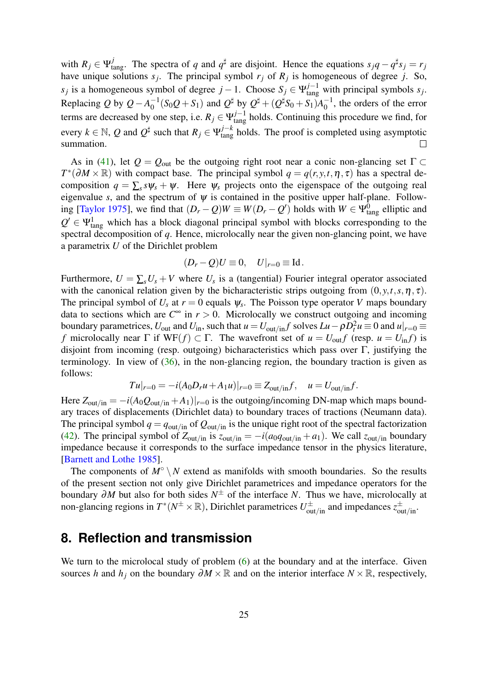with  $R_j \in \Psi_{\text{tang}}^j$ . The spectra of *q* and  $q^{\sharp}$  are disjoint. Hence the equations  $s_j q - q^{\sharp} s_j = r_j$ have unique solutions  $s_j$ . The principal symbol  $r_j$  of  $R_j$  is homogeneous of degree *j*. So,  $s_j$  is a homogeneous symbol of degree  $j - 1$ . Choose  $S_j \in \Psi_{\text{tang}}^{j-1}$  with principal symbols  $s_j$ . Replacing *Q* by  $Q - A_0^{-1}$  $\frac{1}{2}(S_0Q + S_1)$  and  $Q^{\sharp}$  by  $Q^{\sharp} + (Q^{\sharp}S_0 + S_1)A_0^{-1}$  $_0^{-1}$ , the orders of the error terms are decreased by one step, i.e.  $R_j \in \Psi_{\text{tang}}^{j-1}$  holds. Continuing this procedure we find, for every  $k \in \mathbb{N}$ , *Q* and  $Q^{\sharp}$  such that  $R_j \in \Psi_{\text{tang}}^{j-k}$  holds. The proof is completed using asymptotic summation.  $\Box$ 

As in [\(41\)](#page-23-0), let  $Q = Q_{\text{out}}$  be the outgoing right root near a conic non-glancing set  $\Gamma \subset$  $T^*(\partial M \times \mathbb{R})$  with compact base. The principal symbol  $q = q(r, y, t, \eta, \tau)$  has a spectral decomposition  $q = \sum_s s \psi_s + \psi$ . Here  $\psi_s$  projects onto the eigenspace of the outgoing real eigenvalue *s*, and the spectrum of  $\psi$  is contained in the positive upper half-plane. Follow-ing [\[Taylor 1975\]](#page-40-3), we find that  $(D_r - Q)W \equiv W(D_r - Q')$  holds with  $W \in \Psi_{\text{tang}}^0$  elliptic and  $Q' \in \Psi_{\text{tang}}^1$  which has a block diagonal principal symbol with blocks corresponding to the spectral decomposition of *q*. Hence, microlocally near the given non-glancing point, we have a parametrix *U* of the Dirichlet problem

$$
(D_r - Q)U \equiv 0, \quad U|_{r=0} \equiv \text{Id}.
$$

Furthermore,  $U = \sum_{s} U_s + V$  where  $U_s$  is a (tangential) Fourier integral operator associated with the canonical relation given by the bicharacteristic strips outgoing from  $(0, y, t, s, \eta, \tau)$ . The principal symbol of  $U_s$  at  $r = 0$  equals  $\psi_s$ . The Poisson type operator *V* maps boundary data to sections which are  $C^{\infty}$  in  $r > 0$ . Microlocally we construct outgoing and incoming boundary parametrices,  $U_{\text{out}}$  and  $U_{\text{in}}$ , such that  $u = U_{\text{out/in}}f$  solves  $Lu - \rho D_t^2 u \equiv 0$  and  $u|_{r=0} \equiv 0$ *f* microlocally near  $\Gamma$  if WF(*f*)  $\subset \Gamma$ . The wavefront set of  $u = U_{\text{out}} f$  (resp.  $u = U_{\text{in}} f$ ) is disjoint from incoming (resp. outgoing) bicharacteristics which pass over  $\Gamma$ , justifying the terminology. In view of  $(36)$ , in the non-glancing region, the boundary traction is given as follows:

$$
Tu|_{r=0} = -i(A_0D_r u + A_1 u)|_{r=0} \equiv Z_{\text{out/in}}f, \quad u = U_{\text{out/in}}f.
$$

Here  $Z_{\text{out/in}} = -i(A_0Q_{\text{out/in}} + A_1)|_{r=0}$  is the outgoing/incoming DN-map which maps boundary traces of displacements (Dirichlet data) to boundary traces of tractions (Neumann data). The principal symbol  $q = q_{\text{out/in}}$  of  $Q_{\text{out/in}}$  is the unique right root of the spectral factorization [\(42\)](#page-23-1). The principal symbol of  $Z_{\text{out/in}}$  is  $z_{\text{out/in}} = -i(a_0q_{\text{out/in}} + a_1)$ . We call  $z_{\text{out/in}}$  boundary impedance because it corresponds to the surface impedance tensor in the physics literature, [\[Barnett and Lothe 1985\]](#page-38-2).

The components of  $M^\circ \setminus N$  extend as manifolds with smooth boundaries. So the results of the present section not only give Dirichlet parametrices and impedance operators for the boundary ∂*M* but also for both sides *N* <sup>±</sup> of the interface *N*. Thus we have, microlocally at non-glancing regions in  $T^*(N^{\pm}\times\mathbb{R})$ , Dirichlet parametrices  $U^{\pm}_{out/in}$  and impedances  $z^{\pm}_{out/in}$ .

#### <span id="page-24-0"></span>**8. Reflection and transmission**

We turn to the microlocal study of problem [\(6\)](#page-4-1) at the boundary and at the interface. Given sources *h* and *h*<sub>*j*</sub> on the boundary  $\partial M \times \mathbb{R}$  and on the interior interface  $N \times \mathbb{R}$ , respectively,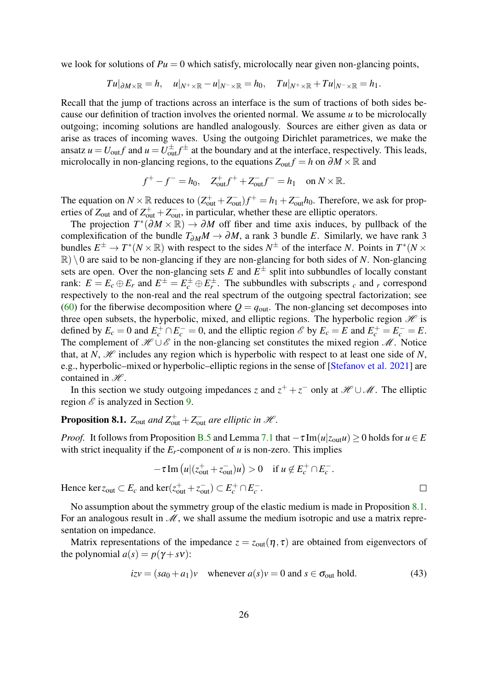we look for solutions of  $Pu = 0$  which satisfy, microlocally near given non-glancing points,

$$
Tu|_{\partial M\times\mathbb{R}}=h,\quad u|_{N^+\times\mathbb{R}}-u|_{N^-\times\mathbb{R}}=h_0,\quad Tu|_{N^+\times\mathbb{R}}+Tu|_{N^-\times\mathbb{R}}=h_1.
$$

Recall that the jump of tractions across an interface is the sum of tractions of both sides because our definition of traction involves the oriented normal. We assume *u* to be microlocally outgoing; incoming solutions are handled analogously. Sources are either given as data or arise as traces of incoming waves. Using the outgoing Dirichlet parametrices, we make the ansatz  $u = U_{\text{out}} f$  and  $u = U_{\text{out}}^{\pm} f^{\pm}$  at the boundary and at the interface, respectively. This leads, microlocally in non-glancing regions, to the equations  $Z_{out} f = h$  on  $\partial M \times \mathbb{R}$  and

$$
f^+ - f^- = h_0
$$
,  $Z_{out}^+ f^+ + Z_{out}^- f^- = h_1$  on  $N \times \mathbb{R}$ .

The equation on  $N \times \mathbb{R}$  reduces to  $(Z_{out}^+ + Z_{out}^-)f^+ = h_1 + Z_{out}^-h_0$ . Therefore, we ask for properties of  $Z_{\text{out}}$  and of  $Z_{\text{out}}^+ + Z_{\text{out}}^-$ , in particular, whether these are elliptic operators.

The projection  $T^*(\partial M \times \mathbb{R}) \to \partial M$  off fiber and time axis induces, by pullback of the complexification of the bundle  $T_{\partial M}M \to \partial M$ , a rank 3 bundle *E*. Similarly, we have rank 3 bundles  $E^{\pm} \to T^*(N \times \mathbb{R})$  with respect to the sides  $N^{\pm}$  of the interface *N*. Points in  $T^*(N \times$  $\mathbb{R}$ )  $\setminus$  0 are said to be non-glancing if they are non-glancing for both sides of *N*. Non-glancing sets are open. Over the non-glancing sets  $E$  and  $E^{\pm}$  split into subbundles of locally constant rank:  $E = E_c \oplus E_r$  and  $E^{\pm} = E_c^{\pm} \oplus E_r^{\pm}$ . The subbundles with subscripts *c* and *r* correspond respectively to the non-real and the real spectrum of the outgoing spectral factorization; see [\(60\)](#page-36-0) for the fiberwise decomposition where  $Q = q_{\text{out}}$ . The non-glancing set decomposes into three open subsets, the hyperbolic, mixed, and elliptic regions. The hyperbolic region  $\mathcal H$  is defined by  $E_c = 0$  and  $E_c^+ \cap E_c^- = 0$ , and the elliptic region  $\mathscr E$  by  $E_c = E$  and  $E_c^+ = E_c^- = E$ . The complement of  $\mathcal{H} \cup \mathcal{E}$  in the non-glancing set constitutes the mixed region  $\mathcal{M}$ . Notice that, at *N*,  $\mathcal{H}$  includes any region which is hyperbolic with respect to at least one side of *N*, e.g., hyperbolic–mixed or hyperbolic–elliptic regions in the sense of [\[Stefanov et al. 2021\]](#page-40-0) are contained in  $\mathcal{H}$ .

In this section we study outgoing impedances *z* and  $z^+ + z^-$  only at  $\mathcal{H} \cup \mathcal{M}$ . The elliptic region  $\mathscr E$  is analyzed in Section [9.](#page-27-0)

# <span id="page-25-0"></span>**Proposition 8.1.**  $Z_{\text{out}}$  and  $Z_{\text{out}}^+ + Z_{\text{out}}^-$  are elliptic in  $\mathcal{H}$ .

*Proof.* It follows from Proposition [B.5](#page-37-0) and Lemma [7.1](#page-23-2) that  $-\tau \text{Im}(u|z_{\text{out}}u) \ge 0$  holds for  $u \in E$ with strict inequality if the  $E_r$ -component of  $u$  is non-zero. This implies

$$
-\tau \operatorname{Im} \left( u \middle| (z_{\text{out}}^+ + z_{\text{out}}^-)u \right) > 0 \quad \text{if } u \notin E_c^+ \cap E_c^-.
$$

Hence  $\ker z_{\text{out}} \subset E_c$  and  $\ker(z_{\text{out}}^+ + z_{\text{out}}^-) \subset E_c^+ \cap E_c^-$ .

No assumption about the symmetry group of the elastic medium is made in Proposition [8.1.](#page-25-0) For an analogous result in  $\mathcal M$ , we shall assume the medium isotropic and use a matrix representation on impedance.

Matrix representations of the impedance  $z = z_{out}(\eta, \tau)$  are obtained from eigenvectors of the polynomial  $a(s) = p(\gamma + s\nu)$ :

<span id="page-25-1"></span>
$$
izv = (sa_0 + a_1)v \quad \text{whenever } a(s)v = 0 \text{ and } s \in \sigma_{\text{out}} \text{ hold.} \tag{43}
$$

 $\Box$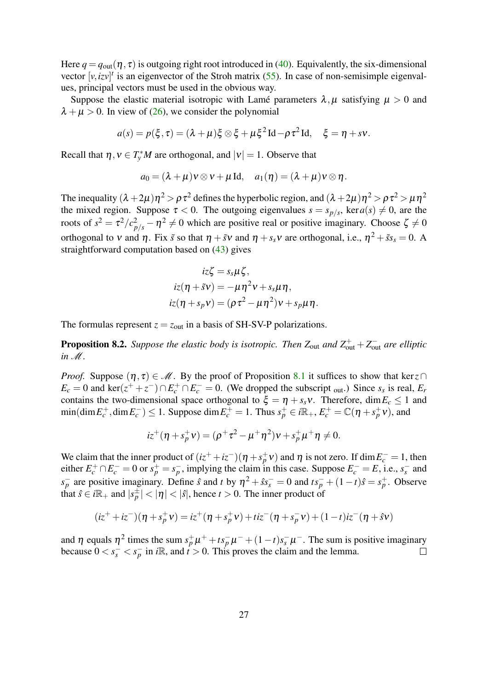Here  $q = q_{out}(\eta, \tau)$  is outgoing right root introduced in [\(40\)](#page-22-1). Equivalently, the six-dimensional vector  $[v, izv]^t$  is an eigenvector of the Stroh matrix [\(55\)](#page-33-1). In case of non-semisimple eigenvalues, principal vectors must be used in the obvious way.

Suppose the elastic material isotropic with Lamé parameters  $\lambda, \mu$  satisfying  $\mu > 0$  and  $\lambda + \mu > 0$ . In view of [\(26\)](#page-16-1), we consider the polynomial

$$
a(s) = p(\xi, \tau) = (\lambda + \mu)\xi \otimes \xi + \mu \xi^2 \operatorname{Id} - \rho \tau^2 \operatorname{Id}, \quad \xi = \eta + s\nu.
$$

Recall that  $\eta, v \in T_y^*M$  are orthogonal, and  $|v| = 1$ . Observe that

$$
a_0 = (\lambda + \mu)v \otimes v + \mu \mathrm{Id}, \quad a_1(\eta) = (\lambda + \mu)v \otimes \eta.
$$

The inequality  $(\lambda + 2\mu)\eta^2 > \rho \tau^2$  defines the hyperbolic region, and  $(\lambda + 2\mu)\eta^2 > \rho \tau^2 > \mu \eta^2$ the mixed region. Suppose  $\tau < 0$ . The outgoing eigenvalues  $s = s_{p/s}$ , ker $a(s) \neq 0$ , are the roots of  $s^2 = \tau^2/c_{p/s}^2 - \eta^2 \neq 0$  which are positive real or positive imaginary. Choose  $\zeta \neq 0$ orthogonal to v and  $\eta$ . Fix  $\tilde{s}$  so that  $\eta + \tilde{s}v$  and  $\eta + s_s v$  are orthogonal, i.e.,  $\eta^2 + \tilde{s} s_s = 0$ . A straightforward computation based on [\(43\)](#page-25-1) gives

$$
iz\zeta = s_s\mu\zeta,
$$
  
\n
$$
iz(\eta + \tilde{s}v) = -\mu\eta^2v + s_s\mu\eta,
$$
  
\n
$$
iz(\eta + s_pv) = (\rho\tau^2 - \mu\eta^2)v + s_p\mu\eta.
$$

The formulas represent  $z = z_{\text{out}}$  in a basis of SH-SV-P polarizations.

<span id="page-26-0"></span>**Proposition 8.2.** Suppose the elastic body is isotropic. Then  $Z_{\text{out}}$  and  $Z_{\text{out}}^+ + Z_{\text{out}}^-$  are elliptic *in* M*.*

*Proof.* Suppose  $(\eta, \tau) \in \mathcal{M}$ . By the proof of Proposition [8.1](#page-25-0) it suffices to show that ker $z \cap$  $E_c = 0$  and ker( $z^+ + z^-$ )∩*E*<sup>+</sup><sub>c</sub> ∩*E*<sub>c</sub><sup>−</sup> = 0. (We dropped the subscript <sub>out</sub>.) Since *s<sub>s</sub>* is real, *E<sub>r</sub>* contains the two-dimensional space orthogonal to  $\xi = \eta + s_s v$ . Therefore, dim  $E_c \le 1$  and  $\min(\dim E_c^+, \dim E_c^-) \le 1$ . Suppose  $\dim E_c^+ = 1$ . Thus  $s_p^+ \in i\mathbb{R}_+, E_c^+ = \mathbb{C}(\eta + s_p^+ \nu)$ , and

$$
iz^{+}(\eta + s_p^{+}v) = (\rho^{+}\tau^{2} - \mu^{+}\eta^{2})v + s_p^{+}\mu^{+}\eta \neq 0.
$$

We claim that the inner product of  $(iz^+ + iz^-)(\eta + s_p^+ \nu)$  and  $\eta$  is not zero. If  $\dim E_c^- = 1$ , then either  $E_c^+ \cap E_c^- = 0$  or  $s_p^+ = s_p^-$ , implying the claim in this case. Suppose  $E_c^- = E$ , i.e.,  $s_s^-$  and  $s_p^-$  are positive imaginary. Define *s* and *t* by  $\eta^2 + s s_s^- = 0$  and  $t s_p^- + (1-t) \hat{s} = s_p^+$ . Observe that  $\hat{s} \in i\mathbb{R}_+$  and  $|s_p^{\pm}| < |\eta| < |\hat{s}|$ , hence  $t > 0$ . The inner product of

$$
(iz^{+} + iz^{-})(\eta + s_{p}^{+}v) = iz^{+}(\eta + s_{p}^{+}v) + tiz^{-}(\eta + s_{p}^{-}v) + (1-t)iz^{-}(\eta + \hat{s}v)
$$

and  $\eta$  equals  $\eta^2$  times the sum  $s_p^+ \mu^+ + t s_p^- \mu^- + (1-t) s_s^- \mu^-$ . The sum is positive imaginary because  $0 < s_s^- < s_p^-$  in *i*R, and  $t > 0$ . This proves the claim and the lemma.  $\Box$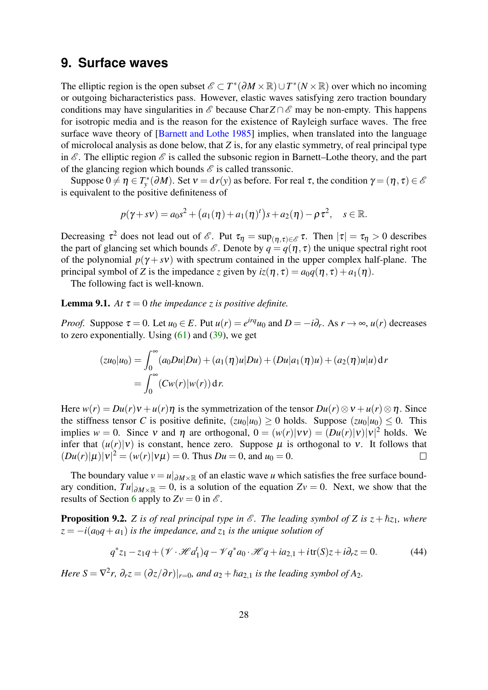#### <span id="page-27-0"></span>**9. Surface waves**

The elliptic region is the open subset  $\mathscr{E} \subset T^*(\partial M \times \mathbb{R}) \cup T^*(N \times \mathbb{R})$  over which no incoming or outgoing bicharacteristics pass. However, elastic waves satisfying zero traction boundary conditions may have singularities in  $\mathscr E$  because Char $Z \cap \mathscr E$  may be non-empty. This happens for isotropic media and is the reason for the existence of Rayleigh surface waves. The free surface wave theory of [\[Barnett and Lothe 1985\]](#page-38-2) implies, when translated into the language of microlocal analysis as done below, that *Z* is, for any elastic symmetry, of real principal type in  $\mathscr E$ . The elliptic region  $\mathscr E$  is called the subsonic region in Barnett–Lothe theory, and the part of the glancing region which bounds  $\mathscr E$  is called transsonic.

Suppose  $0 \neq \eta \in T^*_{y}(\partial M)$ . Set  $v = dr(y)$  as before. For real  $\tau$ , the condition  $\gamma = (\eta, \tau) \in \mathscr{E}$ is equivalent to the positive definiteness of

$$
p(\gamma + s\nu) = a_0s^2 + (a_1(\eta) + a_1(\eta)^t)s + a_2(\eta) - \rho\tau^2, \quad s \in \mathbb{R}.
$$

Decreasing  $\tau^2$  does not lead out of  $\mathscr{E}$ . Put  $\tau_{\eta} = \sup_{(\eta, \tau) \in \mathscr{E}} \tau$ . Then  $|\tau| = \tau_{\eta} > 0$  describes the part of glancing set which bounds  $\mathscr E$ . Denote by  $q = q(\eta, \tau)$  the unique spectral right root of the polynomial  $p(\gamma + s\nu)$  with spectrum contained in the upper complex half-plane. The principal symbol of *Z* is the impedance *z* given by  $iz(\eta, \tau) = a_0 q(\eta, \tau) + a_1(\eta)$ .

The following fact is well-known.

#### <span id="page-27-1"></span>**Lemma 9.1.** *At*  $\tau = 0$  *the impedance z is positive definite.*

*Proof.* Suppose  $\tau = 0$ . Let  $u_0 \in E$ . Put  $u(r) = e^{irq}u_0$  and  $D = -i\partial_r$ . As  $r \to \infty$ ,  $u(r)$  decreases to zero exponentially. Using  $(61)$  and  $(39)$ , we get

$$
(zu_0|u_0) = \int_0^\infty (a_0Du|Du) + (a_1(\eta)u|Du) + (Du|a_1(\eta)u) + (a_2(\eta)u|u) dr
$$
  
= 
$$
\int_0^\infty (Cw(r)|w(r)) dr.
$$

Here  $w(r) = Du(r)v + u(r)\eta$  is the symmetrization of the tensor  $Du(r) \otimes v + u(r) \otimes \eta$ . Since the stiffness tensor *C* is positive definite,  $(zu_0|u_0) \ge 0$  holds. Suppose  $(zu_0|u_0) \le 0$ . This implies  $w = 0$ . Since v and  $\eta$  are orthogonal,  $0 = (w(r)|vv) = (Du(r)|v|v)|^2$  holds. We infer that  $(u(r)|v)$  is constant, hence zero. Suppose  $\mu$  is orthogonal to v. It follows that  $(Du(r)|\mu)|v|^2 = (w(r)|v\mu) = 0$ . Thus  $Du = 0$ , and  $u_0 = 0$ .  $\Box$ 

The boundary value  $v = u|_{\partial M \times \mathbb{R}}$  of an elastic wave *u* which satisfies the free surface boundary condition,  $Tu|_{\partial M \times \mathbb{R}} = 0$ , is a solution of the equation  $Zv = 0$ . Next, we show that the results of Section [6](#page-17-2) apply to  $Zv = 0$  in  $\mathscr E$ .

<span id="page-27-3"></span>**Proposition 9.2.** *Z* is of real principal type in  $\mathscr E$ . The leading symbol of Z is  $z + \hbar z_1$ , where  $z = -i(a_0q + a_1)$  *is the impedance, and*  $z_1$  *is the unique solution of* 

<span id="page-27-2"></span>
$$
q^*z_1 - z_1q + (\mathcal{V} \cdot \mathcal{H}a_1^t)q - \mathcal{V}q^*a_0 \cdot \mathcal{H}q + ia_{2,1} + i\operatorname{tr}(S)z + i\partial_r z = 0.
$$
 (44)

*Here*  $S = \nabla^2 r$ ,  $\partial_r z = (\partial z/\partial r)|_{r=0}$ , and  $a_2 + \hbar a_{2,1}$  is the leading symbol of A<sub>2</sub>.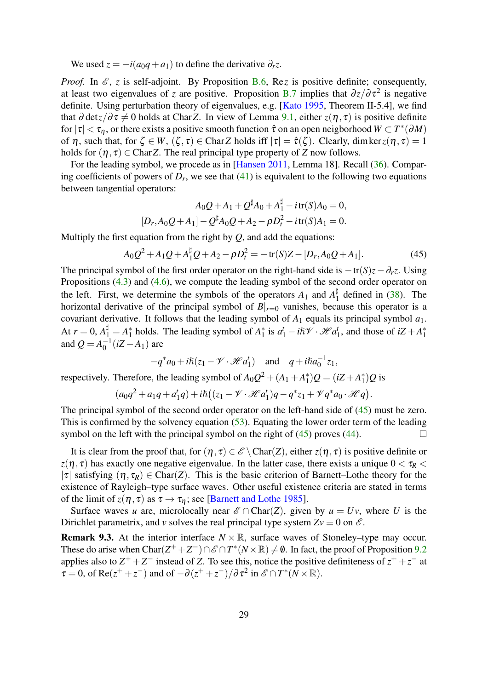We used  $z = -i(a_0q + a_1)$  to define the derivative  $\partial_r z$ .

*Proof.* In  $\mathcal{E}$ , *z* is self-adjoint. By Proposition [B.6,](#page-38-6) Re*z* is positive definite; consequently, at least two eigenvalues of *z* are positive. Proposition [B.7](#page-38-7) implies that  $\partial z/\partial \tau^2$  is negative definite. Using perturbation theory of eigenvalues, e.g. [\[Kato 1995,](#page-39-8) Theorem II-5.4], we find that  $\partial \det z / \partial \tau \neq 0$  holds at Char*Z*. In view of Lemma [9.1,](#page-27-1) either  $z(\eta, \tau)$  is positive definite for  $|\tau| < \tau_\eta$ , or there exists a positive smooth function  $\hat{\tau}$  on an open neigborhood  $W \subset T^*(\partial M)$ of  $\eta$ , such that, for  $\zeta \in W$ ,  $(\zeta, \tau) \in \text{CharZ}$  holds iff  $|\tau| = \hat{\tau}(\zeta)$ . Clearly, dim ker $z(\eta, \tau) = 1$ holds for  $(\eta, \tau) \in \text{Char } Z$ . The real principal type property of *Z* now follows.

For the leading symbol, we procede as in [\[Hansen 2011,](#page-39-7) Lemma 18]. Recall [\(36\)](#page-21-0). Comparing coefficients of powers of  $D_r$ , we see that  $(41)$  is equivalent to the following two equations between tangential operators:

$$
A_0Q + A_1 + Q^{\sharp}A_0 + A_1^{\sharp} - i\operatorname{tr}(S)A_0 = 0,
$$
  

$$
[D_r, A_0Q + A_1] - Q^{\sharp}A_0Q + A_2 - \rho D_t^2 - i\operatorname{tr}(S)A_1 = 0.
$$

Multiply the first equation from the right by *Q*, and add the equations:

<span id="page-28-0"></span>
$$
A_0 Q^2 + A_1 Q + A_1^{\sharp} Q + A_2 - \rho D_t^2 = -\operatorname{tr}(S)Z - [D_r, A_0 Q + A_1].
$$
\n(45)

The principal symbol of the first order operator on the right-hand side is  $-\text{tr}(S)z-\partial_r z$ . Using Propositions [\(4.3\)](#page-12-0) and [\(4.6\)](#page-13-1), we compute the leading symbol of the second order operator on the left. First, we determine the symbols of the operators  $A_1$  and  $A_1^{\dagger}$  $\frac{1}{1}$  defined in [\(38\)](#page-22-3). The horizontal derivative of the principal symbol of  $B|_{r=0}$  vanishes, because this operator is a covariant derivative. It follows that the leading symbol of *A*<sup>1</sup> equals its principal symbol *a*1. At  $r = 0$ ,  $A_1^{\sharp} = A_1^*$  $^{*}_{1}$  holds. The leading symbol of  $A_{1}^{*}$ <sup>\*</sup><sub>1</sub> is  $a_1^t - i\hslash \mathcal{V} \cdot \mathcal{H} a_1^t$  $t_1$ , and those of  $iZ + A_1^*$ 1 and  $Q = A_0^{-1}$  $\int_0^{-1}(iZ - A_1)$  are

$$
-q^*a_0 + i\hbar(z_1 - \mathscr{V} \cdot \mathscr{H}a_1^t) \quad \text{and} \quad q + i\hbar a_0^{-1}z_1,
$$

respectively. Therefore, the leading symbol of  $A_0Q^2 + (A_1 + A_1^*)$ <sup>\*</sup><sub>1</sub>) $Q = (iZ + A_1^*)$  $j_1^*$ ) $Q$  is

$$
(a_0q^2+a_1q+a_1^tq)+i\hslash((z_1-\mathscr{V}\cdot\mathscr{H}a_1^t)q-q^*z_1+\mathscr{V}q^*a_0\cdot\mathscr{H}q).
$$

The principal symbol of the second order operator on the left-hand side of  $(45)$  must be zero. This is confirmed by the solvency equation [\(53\)](#page-33-2). Equating the lower order term of the leading symbol on the left with the principal symbol on the right of [\(45\)](#page-28-0) proves [\(44\)](#page-27-2).  $\Box$ 

It is clear from the proof that, for  $(\eta, \tau) \in \mathscr{E} \setminus \text{Char}(Z)$ , either  $z(\eta, \tau)$  is positive definite or  $z(\eta, \tau)$  has exactly one negative eigenvalue. In the latter case, there exists a unique  $0 < \tau_R <$ |τ| satisfying  $(\eta, \tau_R) \in \text{Char}(Z)$ . This is the basic criterion of Barnett–Lothe theory for the existence of Rayleigh–type surface waves. Other useful existence criteria are stated in terms of the limit of  $z(\eta, \tau)$  as  $\tau \to \tau_n$ ; see [\[Barnett and Lothe 1985\]](#page-38-2).

Surface waves *u* are, microlocally near  $\mathscr{E} \cap \text{Char}(Z)$ , given by  $u = Uv$ , where *U* is the Dirichlet parametrix, and *v* solves the real principal type system  $Zv \equiv 0$  on  $\mathscr{E}$ .

**Remark 9.3.** At the interior interface  $N \times \mathbb{R}$ , surface waves of Stoneley–type may occur. These do arise when  $Char(Z^+ + Z^-) \cap \mathcal{E} \cap T^*(N \times \mathbb{R}) \neq \emptyset$ . In fact, the proof of Proposition [9.2](#page-27-3) applies also to  $Z^+ + Z^-$  instead of *Z*. To see this, notice the positive definiteness of  $z^+ + z^-$  at  $\tau = 0$ , of Re( $z^+ + z^-$ ) and of  $-\partial(z^+ + z^-)/\partial \tau^2$  in  $\mathscr{E} \cap T^*(N \times \mathbb{R})$ .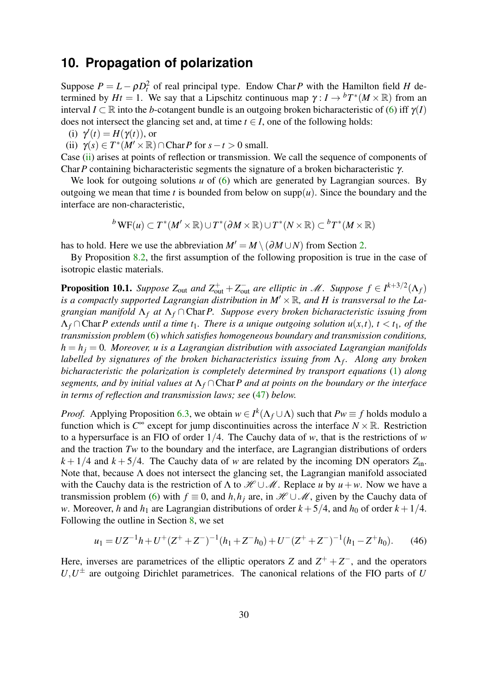### <span id="page-29-0"></span>**10. Propagation of polarization**

Suppose  $P = L - \rho D_t^2$  of real principal type. Endow Char *P* with the Hamilton field *H* determined by  $Ht = 1$ . We say that a Lipschitz continuous map  $\gamma: I \to {}^bT^*(M \times \mathbb{R})$  from an interval  $I \subset \mathbb{R}$  into the *b*-cotangent bundle is an outgoing broken bicharacteristic of [\(6\)](#page-4-1) iff  $\gamma(I)$ does not intersect the glancing set and, at time  $t \in I$ , one of the following holds:

(i)  $\gamma'(t) = H(\gamma(t))$ , or

<span id="page-29-1"></span>(ii)  $\gamma(s) \in T^*(M' \times \mathbb{R}) \cap \text{Char} P$  for  $s - t > 0$  small.

Case [\(ii\)](#page-29-1) arises at points of reflection or transmission. We call the sequence of components of Char*P* containing bicharacteristic segments the signature of a broken bicharacteristic γ.

We look for outgoing solutions *u* of [\(6\)](#page-4-1) which are generated by Lagrangian sources. By outgoing we mean that time *t* is bounded from below on  $supp(u)$ . Since the boundary and the interface are non-characteristic,

 ${}^b\text{WF}(u) \subset T^*(M' \times \mathbb{R}) \cup T^*(\partial M \times \mathbb{R}) \cup T^*(N \times \mathbb{R}) \subset {}^bT^*(M \times \mathbb{R})$ 

has to hold. Here we use the abbreviation  $M' = M \setminus (\partial M \cup N)$  from Section [2.](#page-3-1)

By Proposition [8.2,](#page-26-0) the first assumption of the following proposition is true in the case of isotropic elastic materials.

**Proposition 10.1.** Suppose  $Z_{\text{out}}$  and  $Z_{\text{out}}^+ + Z_{\text{out}}^-$  are elliptic in  $\mathscr{M}$ . Suppose  $f \in I^{k+3/2}(\Lambda_f)$ is a compactly supported Lagrangian distribution in  $M' \times \mathbb{R}$ , and *H* is transversal to the La*grangian manifold* Λ*<sup>f</sup> at* Λ*<sup>f</sup>* ∩ Char*P. Suppose every broken bicharacteristic issuing from*  $\Lambda_f \cap \text{Char } P$  extends until a time  $t_1$ . There is a unique outgoing solution  $u(x,t)$ ,  $t < t_1$ , of the *transmission problem* [\(6\)](#page-4-1) *which satisfies homogeneous boundary and transmission conditions,*  $h = h_i = 0$ *. Moreover, u is a Lagrangian distribution with associated Lagrangian manifolds labelled by signatures of the broken bicharacteristics issuing from* Λ*<sup>f</sup> . Along any broken bicharacteristic the polarization is completely determined by transport equations* [\(1\)](#page-1-0) *along segments, and by initial values at* Λ*<sup>f</sup>* ∩Char*P and at points on the boundary or the interface in terms of reflection and transmission laws; see* [\(47\)](#page-30-0) *below.*

*Proof.* Applying Proposition [6.3,](#page-20-3) we obtain  $w \in I^k(\Lambda_f \cup \Lambda)$  such that  $Pw \equiv f$  holds modulo a function which is  $C^{\infty}$  except for jump discontinuities across the interface  $N \times \mathbb{R}$ . Restriction to a hypersurface is an FIO of order 1/4. The Cauchy data of *w*, that is the restrictions of *w* and the traction *Tw* to the boundary and the interface, are Lagrangian distributions of orders  $k + 1/4$  and  $k + 5/4$ . The Cauchy data of *w* are related by the incoming DN operators  $Z_{\text{in}}$ . Note that, because  $\Lambda$  does not intersect the glancing set, the Lagrangian manifold associated with the Cauchy data is the restriction of  $\Lambda$  to  $\mathcal{H} \cup \mathcal{M}$ . Replace *u* by  $u + w$ . Now we have a transmission problem [\(6\)](#page-4-1) with  $f \equiv 0$ , and  $h, h_i$  are, in  $\mathcal{H} \cup \mathcal{M}$ , given by the Cauchy data of *w*. Moreover, *h* and *h*<sub>1</sub> are Lagrangian distributions of order  $k + 5/4$ , and *h*<sub>0</sub> of order  $k + 1/4$ . Following the outline in Section [8,](#page-24-0) we set

<span id="page-29-2"></span>
$$
u_1 = UZ^{-1}h + U^{+}(Z^{+} + Z^{-})^{-1}(h_1 + Z^{-}h_0) + U^{-}(Z^{+} + Z^{-})^{-1}(h_1 - Z^{+}h_0).
$$
 (46)

Here, inverses are parametrices of the elliptic operators *Z* and  $Z^+ + Z^-$ , and the operators  $U, U^{\pm}$  are outgoing Dirichlet parametrices. The canonical relations of the FIO parts of *U*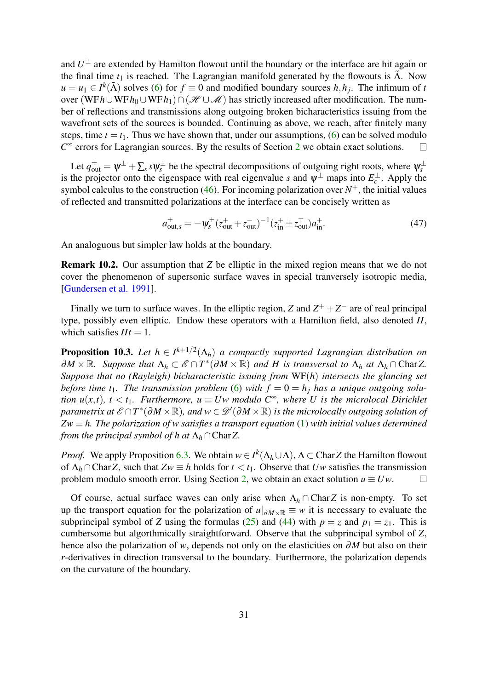and  $U^{\pm}$  are extended by Hamilton flowout until the boundary or the interface are hit again or the final time  $t_1$  is reached. The Lagrangian manifold generated by the flowouts is  $\tilde{\Lambda}$ . Now  $u = u_1 \in I^k(\tilde{\Lambda})$  solves [\(6\)](#page-4-1) for  $f \equiv 0$  and modified boundary sources *h*, *h<sub>j</sub>*. The infimum of *t* over (WF*h*∪WF*h*<sub>0</sub>∪WF*h*<sub>1</sub>)∩(HUM) has strictly increased after modification. The number of reflections and transmissions along outgoing broken bicharacteristics issuing from the wavefront sets of the sources is bounded. Continuing as above, we reach, after finitely many steps, time  $t = t_1$ . Thus we have shown that, under our assumptions, [\(6\)](#page-4-1) can be solved modulo  $C^{\infty}$  errors for Lagrangian sources. By the results of Section [2](#page-3-1) we obtain exact solutions.  $\Box$ 

Let  $q_{out}^{\pm} = \psi^{\pm} + \sum_s s \psi_s^{\pm}$  be the spectral decompositions of outgoing right roots, where  $\psi_s^{\pm}$ is the projector onto the eigenspace with real eigenvalue *s* and  $\psi^{\pm}$  maps into  $E_c^{\pm}$ . Apply the symbol calculus to the construction [\(46\)](#page-29-2). For incoming polarization over  $N^+$ , the initial values of reflected and transmitted polarizations at the interface can be concisely written as

<span id="page-30-0"></span>
$$
a_{\text{out},s}^{\pm} = -\psi_s^{\pm} (z_{\text{out}}^+ + z_{\text{out}}^-)^{-1} (z_{\text{in}}^+ \pm z_{\text{out}}^+ ) a_{\text{in}}^+.
$$
 (47)

An analoguous but simpler law holds at the boundary.

Remark 10.2. Our assumption that *Z* be elliptic in the mixed region means that we do not cover the phenomenon of supersonic surface waves in special tranversely isotropic media, [\[Gundersen et al. 1991\]](#page-39-9).

Finally we turn to surface waves. In the elliptic region, *Z* and  $Z^+ + Z^-$  are of real principal type, possibly even elliptic. Endow these operators with a Hamilton field, also denoted *H*, which satisfies  $Ht = 1$ .

<span id="page-30-1"></span>**Proposition 10.3.** Let  $h \in I^{k+1/2}(\Lambda_h)$  a compactly supported Lagrangian distribution on  $\partial M \times \mathbb{R}$ *. Suppose that*  $\Lambda_h \subset \mathscr{E} \cap T^*(\partial M \times \mathbb{R})$  and H is transversal to  $\Lambda_h$  at  $\Lambda_h \cap \text{CharZ}$ . *Suppose that no (Rayleigh) bicharacteristic issuing from* WF(*h*) *intersects the glancing set before time t*<sub>1</sub>*. The transmission problem* [\(6\)](#page-4-1) with  $f = 0 = h_i$  has a unique outgoing solu*tion u(x,t), t* < *t*<sub>1</sub>*. Furthermore, u*  $\equiv Uw$  *modulo C*<sup>∞</sup>*, where U is the microlocal Dirichlet*  $\hat{p}$  parametrix at  $\mathscr{E}\cap T^*(\partial M\times\mathbb{R})$ , and  $w\in \mathscr{D}'(\partial M\times\mathbb{R})$  is the microlocally outgoing solution of  $Zw \equiv h$ . The polarization of w satisfies a transport equation [\(1\)](#page-1-0) with initial values determined *from the principal symbol of h at*  $\Lambda_h \cap \text{Char }Z$ .

*Proof.* We apply Proposition [6.3.](#page-20-3) We obtain  $w \in I^k(\Lambda_h \cup \Lambda)$ ,  $\Lambda \subset \text{Char }Z$  the Hamilton flowout of  $\Lambda_h \cap \text{Char } Z$ , such that  $Zw \equiv h$  holds for  $t < t_1$ . Observe that *Uw* satisfies the transmission problem modulo smooth error. Using Section [2,](#page-3-1) we obtain an exact solution  $u \equiv Uw$ .  $\Box$ 

Of course, actual surface waves can only arise when  $\Lambda_h \cap \text{CharZ}$  is non-empty. To set up the transport equation for the polarization of  $u|_{\partial M \times \mathbb{R}} \equiv w$  it is necessary to evaluate the subprincipal symbol of *Z* using the formulas [\(25\)](#page-15-1) and [\(44\)](#page-27-2) with  $p = z$  and  $p_1 = z_1$ . This is cumbersome but algorthmically straightforward. Observe that the subprincipal symbol of *Z*, hence also the polarization of *w*, depends not only on the elasticities on ∂*M* but also on their *r*-derivatives in direction transversal to the boundary. Furthermore, the polarization depends on the curvature of the boundary.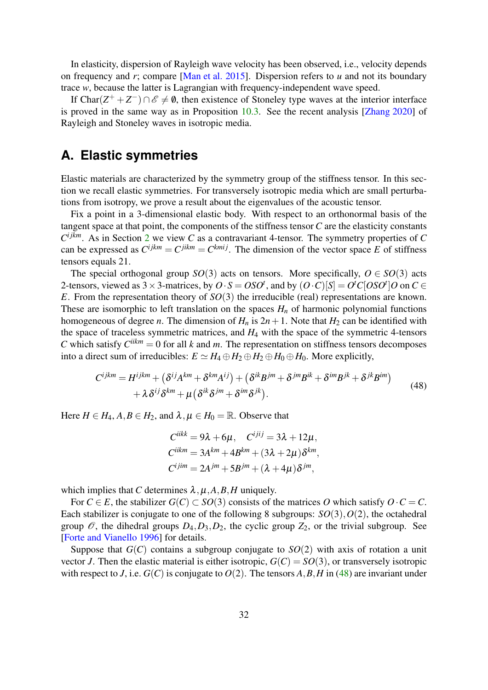In elasticity, dispersion of Rayleigh wave velocity has been observed, i.e., velocity depends on frequency and *r*; compare [\[Man et al. 2015\]](#page-39-10). Dispersion refers to *u* and not its boundary trace *w*, because the latter is Lagrangian with frequency-independent wave speed.

If Char $(Z^+ + Z^-) \cap \mathscr{E} \neq \emptyset$ , then existence of Stoneley type waves at the interior interface is proved in the same way as in Proposition [10.3.](#page-30-1) See the recent analysis [\[Zhang 2020\]](#page-41-2) of Rayleigh and Stoneley waves in isotropic media.

# <span id="page-31-0"></span>**A. Elastic symmetries**

Elastic materials are characterized by the symmetry group of the stiffness tensor. In this section we recall elastic symmetries. For transversely isotropic media which are small perturbations from isotropy, we prove a result about the eigenvalues of the acoustic tensor.

Fix a point in a 3-dimensional elastic body. With respect to an orthonormal basis of the tangent space at that point, the components of the stiffness tensor *C* are the elasticity constants  $C^{ijkm}$ . As in Section [2](#page-3-1) we view *C* as a contravariant 4-tensor. The symmetry properties of *C* can be expressed as  $C^{ijkm} = C^{jikm} = C^{kmij}$ . The dimension of the vector space *E* of stiffness tensors equals 21.

The special orthogonal group *SO*(3) acts on tensors. More specifically,  $O \in SO(3)$  acts 2-tensors, viewed as  $3 \times 3$ -matrices, by  $O \cdot S = OSO^t$ , and by  $(O \cdot C)[S] = O^t C[OSO^t]O$  on  $C \in$ *E*. From the representation theory of *SO*(3) the irreducible (real) representations are known. These are isomorphic to left translation on the spaces  $H_n$  of harmonic polynomial functions homogeneous of degree *n*. The dimension of  $H_n$  is  $2n + 1$ . Note that  $H_2$  can be identified with the space of traceless symmetric matrices, and *H*<sup>4</sup> with the space of the symmetric 4-tensors *C* which satisfy  $C^{iikm} = 0$  for all *k* and *m*. The representation on stiffness tensors decomposes into a direct sum of irreducibles:  $E \simeq H_4 \oplus H_2 \oplus H_2 \oplus H_0 \oplus H_0$ . More explicitly,

<span id="page-31-1"></span>
$$
C^{ijkm} = H^{ijkm} + (\delta^{ij}A^{km} + \delta^{km}A^{ij}) + (\delta^{ik}B^{jm} + \delta^{jm}B^{ik} + \delta^{im}B^{jk} + \delta^{jk}B^{im})
$$
  
+  $\lambda \delta^{ij}\delta^{km} + \mu (\delta^{ik}\delta^{jm} + \delta^{im}\delta^{jk}).$  (48)

Here  $H \in H_4$ ,  $A, B \in H_2$ , and  $\lambda, \mu \in H_0 = \mathbb{R}$ . Observe that

$$
C^{iikk} = 9\lambda + 6\mu, \quad C^{ijij} = 3\lambda + 12\mu,
$$
  
\n
$$
C^{iikm} = 3A^{km} + 4B^{km} + (3\lambda + 2\mu)\delta^{km},
$$
  
\n
$$
C^{ijim} = 2A^{jm} + 5B^{jm} + (\lambda + 4\mu)\delta^{jm},
$$

which implies that *C* determines  $\lambda, \mu, A, B, H$  uniquely.

For  $C \in E$ , the stabilizer  $G(C) \subset SO(3)$  consists of the matrices O which satisfy  $O \cdot C = C$ . Each stabilizer is conjugate to one of the following 8 subgroups: *SO*(3),*O*(2), the octahedral group  $\mathcal{O}$ , the dihedral groups  $D_4, D_3, D_2$ , the cyclic group  $Z_2$ , or the trivial subgroup. See [\[Forte and Vianello 1996\]](#page-39-11) for details.

Suppose that  $G(C)$  contains a subgroup conjugate to  $SO(2)$  with axis of rotation a unit vector *J*. Then the elastic material is either isotropic,  $G(C) = SO(3)$ , or transversely isotropic with respect to *J*, i.e.  $G(C)$  is conjugate to  $O(2)$ . The tensors *A*, *B*, *H* in [\(48\)](#page-31-1) are invariant under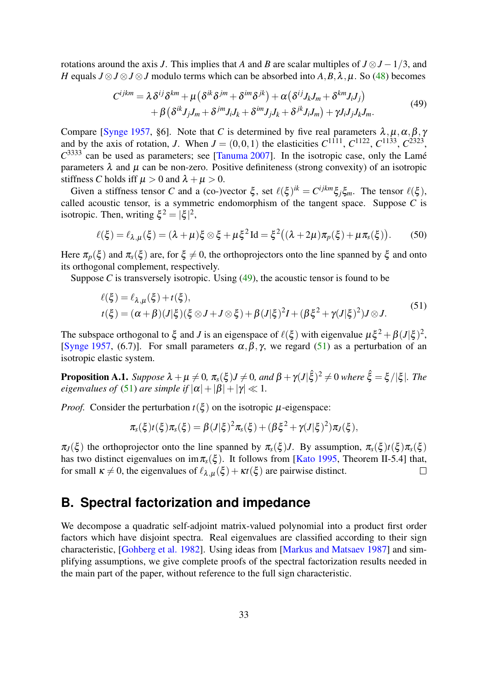rotations around the axis *J*. This implies that *A* and *B* are scalar multiples of  $J \otimes J - 1/3$ , and *H* equals  $J \otimes J \otimes J \otimes J$  modulo terms which can be absorbed into  $A, B, \lambda, \mu$ . So [\(48\)](#page-31-1) becomes

<span id="page-32-3"></span>
$$
C^{ijkm} = \lambda \delta^{ij} \delta^{km} + \mu \left( \delta^{ik} \delta^{jm} + \delta^{im} \delta^{jk} \right) + \alpha \left( \delta^{ij} J_k J_m + \delta^{km} J_i J_j \right) + \beta \left( \delta^{ik} J_j J_m + \delta^{jm} J_i J_k + \delta^{im} J_j J_k + \delta^{jk} J_i J_m \right) + \gamma J_i J_j J_k J_m.
$$
 (49)

Compare [\[Synge 1957,](#page-40-8) §6]. Note that *C* is determined by five real parameters  $\lambda, \mu, \alpha, \beta, \gamma$ and by the axis of rotation, *J*. When  $J = (0,0,1)$  the elasticities  $C^{1111}$ ,  $C^{1122}$ ,  $C^{1133}$ ,  $C^{2323}$ ,  $C^{3333}$  can be used as parameters; see [\[Tanuma 2007\]](#page-40-9). In the isotropic case, only the Lamé parameters  $\lambda$  and  $\mu$  can be non-zero. Positive definiteness (strong convexity) of an isotropic stiffness *C* holds iff  $\mu > 0$  and  $\lambda + \mu > 0$ .

Given a stiffness tensor *C* and a (co-)vector  $\xi$ , set  $\ell(\xi)$ <sup>ik</sup> =  $C^{ijkm}\xi_j\xi_m$ . The tensor  $\ell(\xi)$ , called acoustic tensor, is a symmetric endomorphism of the tangent space. Suppose *C* is isotropic. Then, writing  $\xi^2 = |\xi|^2$ ,

<span id="page-32-1"></span>
$$
\ell(\xi) = \ell_{\lambda,\mu}(\xi) = (\lambda + \mu)\xi \otimes \xi + \mu\xi^2 \operatorname{Id} = \xi^2((\lambda + 2\mu)\pi_p(\xi) + \mu\pi_s(\xi)).\tag{50}
$$

Here  $\pi_p(\xi)$  and  $\pi_s(\xi)$  are, for  $\xi \neq 0$ , the orthoprojectors onto the line spanned by  $\xi$  and onto its orthogonal complement, respectively.

Suppose  $C$  is transversely isotropic. Using  $(49)$ , the acoustic tensor is found to be

<span id="page-32-4"></span>
$$
\ell(\xi) = \ell_{\lambda,\mu}(\xi) + t(\xi),
$$
  

$$
t(\xi) = (\alpha + \beta)(J|\xi)(\xi \otimes J + J \otimes \xi) + \beta(J|\xi)^2 I + (\beta \xi^2 + \gamma(J|\xi)^2) J \otimes J.
$$
 (51)

The subspace orthogonal to  $\xi$  and *J* is an eigenspace of  $\ell(\xi)$  with eigenvalue  $\mu \xi^2 + \beta (J|\xi)^2$ , [\[Synge 1957,](#page-40-8) (6.7)]. For small parameters  $\alpha, \beta, \gamma$ , we regard [\(51\)](#page-32-4) as a perturbation of an isotropic elastic system.

<span id="page-32-2"></span>**Proposition A.1.** *Suppose*  $\lambda + \mu \neq 0$ ,  $\pi_s(\xi)J \neq 0$ , and  $\beta + \gamma(J|\hat{\xi})^2 \neq 0$  where  $\hat{\xi} = \xi/|\xi|$ . The *eigenvalues of* [\(51\)](#page-32-4) *are simple if*  $|\alpha| + |\beta| + |\gamma| \ll 1$ *.* 

*Proof.* Consider the perturbation  $t(\xi)$  on the isotropic  $\mu$ -eigenspace:

$$
\pi_{s}(\xi)t(\xi)\pi_{s}(\xi)=\beta(J|\xi)^{2}\pi_{s}(\xi)+(\beta\xi^{2}+\gamma(J|\xi)^{2})\pi_{J}(\xi),
$$

 $\pi$ <sup>*J*</sup>(ξ) the orthoprojector onto the line spanned by  $\pi$ <sub>*s*</sub>(ξ)*J*. By assumption,  $\pi$ <sub>*s*</sub>(ξ)*t*(ξ) $\pi$ <sub>*s*</sub>(ξ)</sub> has two distinct eigenvalues on im  $\pi_s(\xi)$ . It follows from [\[Kato 1995,](#page-39-8) Theorem II-5.4] that, for small  $\kappa \neq 0$ , the eigenvalues of  $\ell_{\lambda,\mu}(\xi) + \kappa t(\xi)$  are pairwise distinct.  $\Box$ 

# <span id="page-32-0"></span>**B. Spectral factorization and impedance**

We decompose a quadratic self-adjoint matrix-valued polynomial into a product first order factors which have disjoint spectra. Real eigenvalues are classified according to their sign characteristic, [\[Gohberg et al. 1982\]](#page-39-12). Using ideas from [\[Markus and Matsaev 1987\]](#page-40-10) and simplifying assumptions, we give complete proofs of the spectral factorization results needed in the main part of the paper, without reference to the full sign characteristic.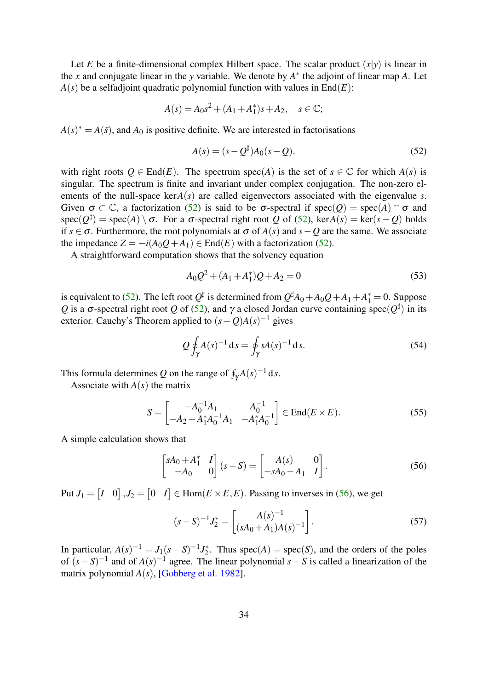Let *E* be a finite-dimensional complex Hilbert space. The scalar product  $(x|y)$  is linear in the *x* and conjugate linear in the *y* variable. We denote by  $A^*$  the adjoint of linear map *A*. Let  $A(s)$  be a selfadjoint quadratic polynomial function with values in  $End(E)$ :

$$
A(s) = A_0 s^2 + (A_1 + A_1^*)s + A_2, \quad s \in \mathbb{C};
$$

 $A(s)^* = A(\bar{s})$ , and  $A_0$  is positive definite. We are interested in factorisations

<span id="page-33-3"></span>
$$
A(s) = (s - Q^{\sharp})A_0(s - Q). \tag{52}
$$

with right roots  $Q \in End(E)$ . The spectrum spec(A) is the set of  $s \in \mathbb{C}$  for which  $A(s)$  is singular. The spectrum is finite and invariant under complex conjugation. The non-zero elements of the null-space ker*A*(*s*) are called eigenvectors associated with the eigenvalue *s*. Given  $\sigma \subset \mathbb{C}$ , a factorization [\(52\)](#page-33-3) is said to be  $\sigma$ -spectral if spec(*Q*) = spec(*A*)  $\cap \sigma$  and spec( $Q^{\sharp}$ ) = spec(A) \ σ. For a σ-spectral right root *Q* of [\(52\)](#page-33-3), ker*A*(*s*) = ker(*s* – *Q*) holds if *s* ∈  $\sigma$ . Furthermore, the root polynomials at  $\sigma$  of *A*(*s*) and *s* − *Q* are the same. We associate the impedance  $Z = -i(A_0Q + A_1) \in \text{End}(E)$  with a factorization [\(52\)](#page-33-3).

A straightforward computation shows that the solvency equation

<span id="page-33-2"></span>
$$
A_0 Q^2 + (A_1 + A_1^*)Q + A_2 = 0 \tag{53}
$$

is equivalent to [\(52\)](#page-33-3). The left root  $Q^{\sharp}$  is determined from  $Q^{\sharp}A_0 + A_0Q + A_1 + A_1^* = 0$ . Suppose *Q* is a σ-spectral right root *Q* of [\(52\)](#page-33-3), and γ a closed Jordan curve containing spec( $Q^{\sharp}$ ) in its exterior. Cauchy's Theorem applied to  $(s - Q)A(s)^{-1}$  gives

<span id="page-33-0"></span>
$$
Q \oint_{\gamma} A(s)^{-1} \, \mathrm{d} s = \oint_{\gamma} s A(s)^{-1} \, \mathrm{d} s. \tag{54}
$$

This formula determines Q on the range of  $\oint_{\gamma} A(s)^{-1} ds$ .

Associate with *A*(*s*) the matrix

<span id="page-33-1"></span>
$$
S = \begin{bmatrix} -A_0^{-1}A_1 & A_0^{-1} \\ -A_2 + A_1^*A_0^{-1}A_1 & -A_1^*A_0^{-1} \end{bmatrix} \in \text{End}(E \times E). \tag{55}
$$

A simple calculation shows that

<span id="page-33-4"></span>
$$
\begin{bmatrix} sA_0 + A_1^* & I \\ -A_0 & 0 \end{bmatrix} (s - S) = \begin{bmatrix} A(s) & 0 \\ -sA_0 - A_1 & I \end{bmatrix}.
$$
 (56)

Put  $J_1 = \begin{bmatrix} I & 0 \end{bmatrix}$ ,  $J_2 = \begin{bmatrix} 0 & I \end{bmatrix} \in \text{Hom}(E \times E, E)$ . Passing to inverses in [\(56\)](#page-33-4), we get

<span id="page-33-5"></span>
$$
(s-S)^{-1}J_2^* = \begin{bmatrix} A(s)^{-1} \\ (sA_0 + A_1)A(s)^{-1} \end{bmatrix}.
$$
 (57)

In particular,  $A(s)^{-1} = J_1(s - S)^{-1} J_2^*$  $2^*$ . Thus spec(*A*) = spec(*S*), and the orders of the poles of  $(s - S)^{-1}$  and of  $A(s)^{-1}$  agree. The linear polynomial  $s - S$  is called a linearization of the matrix polynomial *A*(*s*), [\[Gohberg et al. 1982\]](#page-39-12).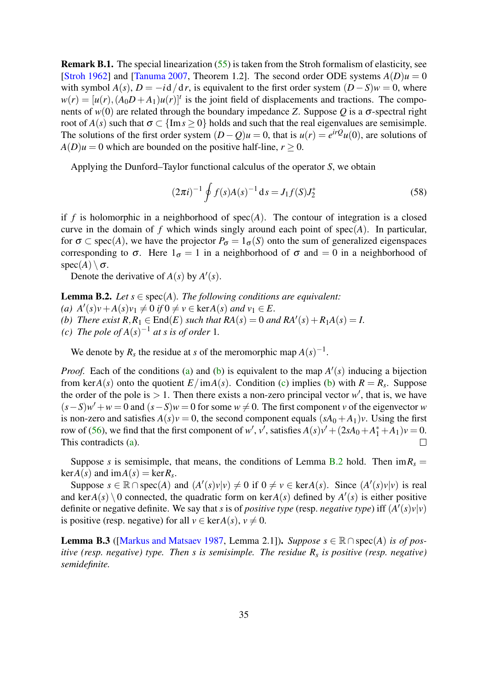Remark B.1. The special linearization [\(55\)](#page-33-1) is taken from the Stroh formalism of elasticity, see [\[Stroh 1962\]](#page-40-11) and [\[Tanuma 2007,](#page-40-9) Theorem 1.2]. The second order ODE systems  $A(D)u = 0$ with symbol  $A(s)$ ,  $D = -i d/dr$ , is equivalent to the first order system  $(D - S)w = 0$ , where  $w(r) = [u(r), (A_0 D + A_1)u(r)]^t$  is the joint field of displacements and tractions. The components of  $w(0)$  are related through the boundary impedance *Z*. Suppose *Q* is a  $\sigma$ -spectral right root of  $A(s)$  such that  $\sigma \subset \{\text{Im } s > 0\}$  holds and such that the real eigenvalues are semisimple. The solutions of the first order system  $(D - Q)u = 0$ , that is  $u(r) = e^{irQ}u(0)$ , are solutions of  $A(D)u = 0$  which are bounded on the positive half-line,  $r \ge 0$ .

Applying the Dunford–Taylor functional calculus of the operator *S*, we obtain

<span id="page-34-5"></span>
$$
(2\pi i)^{-1} \oint f(s)A(s)^{-1} ds = J_1 f(S)J_2^*
$$
\n(58)

if  $f$  is holomorphic in a neighborhood of spec $(A)$ . The contour of integration is a closed curve in the domain of  $f$  which winds singly around each point of  $spec(A)$ . In particular, for  $\sigma \subset \text{spec}(A)$ , we have the projector  $P_{\sigma} = 1_{\sigma}(S)$  onto the sum of generalized eigenspaces corresponding to  $\sigma$ . Here  $1_{\sigma} = 1$  in a neighborhood of  $\sigma$  and  $= 0$  in a neighborhood of spec(*A*)  $\setminus \sigma$ .

Denote the derivative of  $A(s)$  by  $A'(s)$ .

<span id="page-34-4"></span><span id="page-34-2"></span><span id="page-34-1"></span>**Lemma B.2.** *Let*  $s \in spec(A)$ *. The following conditions are equivalent:*  $(a)$   $A'(s)v + A(s)v_1 \neq 0$  *if*  $0 \neq v \in \text{ker}A(s)$  *and*  $v_1 \in E$ . *(b) There exist*  $R, R_1 \in End(E)$  *such that*  $RA(s) = 0$  *and*  $RA'(s) + R_1A(s) = I$ . (*c*) The pole of  $A(s)^{-1}$  at *s* is of order 1.

<span id="page-34-3"></span>We denote by  $R_s$  the residue at *s* of the meromorphic map  $A(s)^{-1}$ .

*Proof.* Each of the conditions [\(a\)](#page-34-1) and [\(b\)](#page-34-2) is equivalent to the map  $A'(s)$  inducing a bijection from ker $A(s)$  onto the quotient  $E/\text{im}A(s)$ . Condition [\(c\)](#page-34-3) implies [\(b\)](#page-34-2) with  $R = R<sub>s</sub>$ . Suppose the order of the pole is  $> 1$ . Then there exists a non-zero principal vector  $w'$ , that is, we have  $(s-S)w' + w = 0$  and  $(s-S)w = 0$  for some  $w \neq 0$ . The first component *v* of the eigenvector *w* is non-zero and satisfies  $A(s)v = 0$ , the second component equals  $(sA_0 + A_1)v$ . Using the first row of [\(56\)](#page-33-4), we find that the first component of *w'*, *v'*, satisfies  $A(s)y' + (2sA_0 + A_1^* + A_1)v = 0$ . This contradicts [\(a\)](#page-34-1).

Suppose *s* is semisimple, that means, the conditions of Lemma [B.2](#page-34-4) hold. Then  $\text{im} R_s =$  $\text{ker}A(s)$  and  $\text{im}A(s) = \text{ker}R_s$ .

Suppose  $s \in \mathbb{R} \cap \text{spec}(A)$  and  $(A'(s)v|v) \neq 0$  if  $0 \neq v \in \text{ker}A(s)$ . Since  $(A'(s)v|v)$  is real and ker $A(s) \setminus 0$  connected, the quadratic form on ker $A(s)$  defined by  $A'(s)$  is either positive definite or negative definite. We say that *s* is of *positive type* (resp. *negative type*) iff  $(A'(s)v|v)$ is positive (resp. negative) for all  $v \in \text{ker}A(s)$ ,  $v \neq 0$ .

<span id="page-34-0"></span>**Lemma B.3** ([\[Markus and Matsaev 1987,](#page-40-10) Lemma 2.1]). *Suppose*  $s \in \mathbb{R} \cap \text{spec}(A)$  *is of positive (resp. negative) type. Then s is semisimple. The residue R<sup>s</sup> is positive (resp. negative) semidefinite.*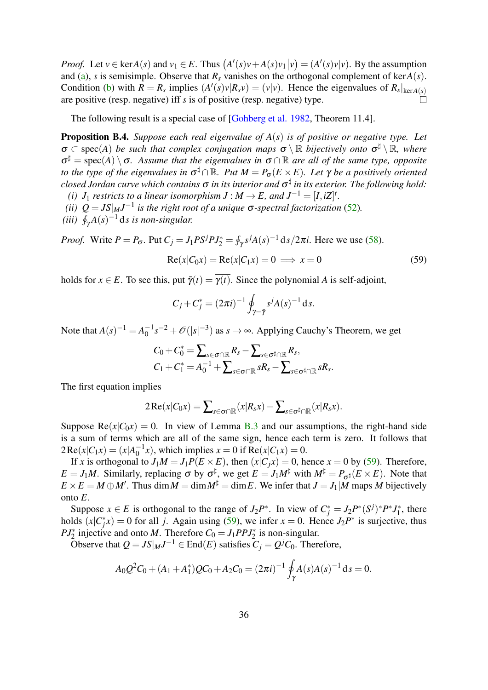*Proof.* Let  $v \in \text{ker}A(s)$  and  $v_1 \in E$ . Thus  $(A'(s)v + A(s)v_1|v) = (A'(s)v)v)$ . By the assumption and [\(a\)](#page-34-1), *s* is semisimple. Observe that  $R_s$  vanishes on the orthogonal complement of ker $A(s)$ . Condition [\(b\)](#page-34-2) with  $R = R_s$  implies  $(A'(s)v|R_s v) = (v|v)$ . Hence the eigenvalues of  $R_s|_{\text{ker }A(s)}$ are positive (resp. negative) iff *s* is of positive (resp. negative) type.

The following result is a special case of [\[Gohberg et al. 1982,](#page-39-12) Theorem 11.4].

<span id="page-35-0"></span>Proposition B.4. *Suppose each real eigenvalue of A*(*s*) *is of positive or negative type. Let*  $\sigma \subset \text{spec}(A)$  *be such that complex conjugation maps*  $\sigma \setminus \mathbb{R}$  *bijectively onto*  $\sigma^{\sharp} \setminus \mathbb{R}$ *, where*  $σ<sup>‡</sup>$  = spec(A) \  $σ$ . Assume that the eigenvalues in  $σ∩ℝ$  are all of the same type, opposite *to the type of the eigenvalues in*  $\sigma^{\sharp} \cap \mathbb{R}$ *. Put*  $M = P_{\sigma}(E \times E)$ *. Let*  $\gamma$  *be a positively oriented closed Jordan curve which contains* σ *in its interior and* σ ] *in its exterior. The following hold:*

- *(i)*  $J_1$  *restricts to a linear isomorphism*  $J : M \to E$ *, and*  $J^{-1} = [I, iZ]^t$ *.*
- *(ii)*  $Q = JS|_M J^{-1}$  is the right root of a unique  $\sigma$ -spectral factorization [\(52\)](#page-33-3).
- (*iii*)  $\oint_{\gamma} A(s)^{-1} ds$  is non-singular.

*Proof.* Write  $P = P_{\sigma}$ . Put  $C_j = J_1 P S^j P J_2^* = \oint_{\gamma} s^j A(s)^{-1} ds / 2\pi i$ . Here we use [\(58\)](#page-34-5).

<span id="page-35-1"></span>
$$
Re(x|C_0x) = Re(x|C_1x) = 0 \implies x = 0 \tag{59}
$$

holds for  $x \in E$ . To see this, put  $\overline{\gamma}(t) = \overline{\gamma(t)}$ . Since the polynomial *A* is self-adjoint,

$$
C_j + C_j^* = (2\pi i)^{-1} \oint_{\gamma - \bar{\gamma}} s^j A(s)^{-1} \, \mathrm{d} s.
$$

Note that  $A(s)^{-1} = A_0^{-1}$  $\int_0^{-1} s^{-2} + \mathcal{O}(|s|^{-3})$  as  $s \to \infty$ . Applying Cauchy's Theorem, we get

$$
C_0 + C_0^* = \sum_{s \in \sigma \cap \mathbb{R}} R_s - \sum_{s \in \sigma^\sharp \cap \mathbb{R}} R_s,
$$
  

$$
C_1 + C_1^* = A_0^{-1} + \sum_{s \in \sigma \cap \mathbb{R}} sR_s - \sum_{s \in \sigma^\sharp \cap \mathbb{R}} sR_s.
$$

The first equation implies

$$
2\operatorname{Re}(x|C_0x)=\sum_{s\in\sigma\cap\mathbb{R}}(x|R_sx)-\sum_{s\in\sigma^\sharp\cap\mathbb{R}}(x|R_sx).
$$

Suppose  $\text{Re}(x|C_0x) = 0$ . In view of Lemma [B.3](#page-34-0) and our assumptions, the right-hand side is a sum of terms which are all of the same sign, hence each term is zero. It follows that  $2 \text{Re}(x|C_1x) = (x|A_0^{-1})$  $^{17}_{0}$ , which implies *x* = 0 if Re(*x*|*C*<sub>1</sub>*x*) = 0.

If *x* is orthogonal to  $J_1M = J_1P(E \times E)$ , then  $(x|C_jx) = 0$ , hence  $x = 0$  by [\(59\)](#page-35-1). Therefore,  $E = J_1M$ . Similarly, replacing  $\sigma$  by  $\sigma^{\sharp}$ , we get  $E = J_1M^{\sharp}$  with  $M^{\sharp} = P_{\sigma^{\sharp}}(E \times E)$ . Note that  $E \times E = M \oplus M'$ . Thus dim  $M = \dim M^{\sharp} = \dim E$ . We infer that  $J = J_1 | M$  maps M bijectively onto *E*.

Suppose  $x \in E$  is orthogonal to the range of  $J_2P^*$ . In view of  $C_j^* = J_2P^*(S^j)^*P^*J_1^*$  $I_1^*$ , there holds  $(x|C_j^*x) = 0$  for all *j*. Again using [\(59\)](#page-35-1), we infer  $x = 0$ . Hence  $J_2P^*$  is surjective, thus *PJ*<sup>\*</sup><sub>2</sub> injective and onto *M*. Therefore  $C_0 = J_1 P P J_2^*$  is non-singular.

Observe that  $Q = JS|_M J^{-1} \in \text{End}(E)$  satisfies  $C_j = Q^j C_0$ . Therefore,

$$
A_0 Q^2 C_0 + (A_1 + A_1^*) Q C_0 + A_2 C_0 = (2\pi i)^{-1} \oint_{\gamma} A(s) A(s)^{-1} ds = 0.
$$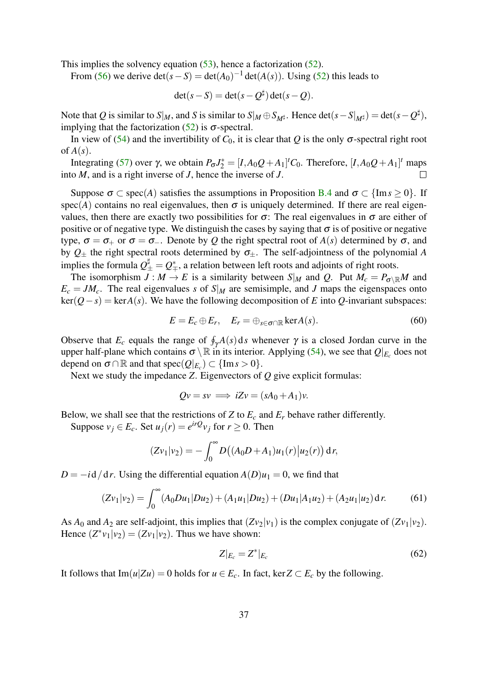This implies the solvency equation [\(53\)](#page-33-2), hence a factorization [\(52\)](#page-33-3).

From [\(56\)](#page-33-4) we derive  $\det(s - S) = \det(A_0)^{-1} \det(A(s))$ . Using [\(52\)](#page-33-3) this leads to

$$
\det(s - S) = \det(s - Q^{\sharp}) \det(s - Q).
$$

Note that  $Q$  is similar to  $S|_M$ , and  $S$  is similar to  $S|_M \oplus S_{M^{\sharp}}$ . Hence  $\det(s - S|_{M^{\sharp}}) = \det(s - Q^{\sharp}),$ implying that the factorization  $(52)$  is  $\sigma$ -spectral.

In view of [\(54\)](#page-33-0) and the invertibility of  $C_0$ , it is clear that  $Q$  is the only  $\sigma$ -spectral right root of  $A(s)$ .

Integrating [\(57\)](#page-33-5) over γ, we obtain  $P_{\sigma}J_2^* = [I, A_0Q + A_1]^tC_0$ . Therefore,  $[I, A_0Q + A_1]^t$  maps into *M*, and is a right inverse of *J*, hence the inverse of *J*.

Suppose  $\sigma \subset \text{spec}(A)$  satisfies the assumptions in Proposition [B.4](#page-35-0) and  $\sigma \subset \{\text{Im } s \geq 0\}$ . If spec(*A*) contains no real eigenvalues, then  $\sigma$  is uniquely determined. If there are real eigenvalues, then there are exactly two possibilities for  $\sigma$ : The real eigenvalues in  $\sigma$  are either of positive or of negative type. We distinguish the cases by saying that  $\sigma$  is of positive or negative type,  $\sigma = \sigma_+$  or  $\sigma = \sigma_-$ . Denote by *Q* the right spectral root of *A*(*s*) determined by  $\sigma$ , and by  $Q_{\pm}$  the right spectral roots determined by  $\sigma_{\pm}$ . The self-adjointness of the polynomial *A* implies the formula  $\mathcal{Q}^\sharp_\pm = \mathcal{Q}^*_\mp$ , a relation between left roots and adjoints of right roots.

The isomorphism  $\overline{J}: M \to E$  is a similarity between  $S|_M$  and  $Q$ . Put  $M_c = P_{\sigma \setminus \mathbb{R}}M$  and  $E_c = JM_c$ . The real eigenvalues *s* of *S*|*M* are semisimple, and *J* maps the eigenspaces onto  $\text{ker}(Q - s) = \text{ker}A(s)$ . We have the following decomposition of *E* into *Q*-invariant subspaces:

<span id="page-36-0"></span>
$$
E = E_c \oplus E_r, \quad E_r = \oplus_{s \in \sigma \cap \mathbb{R}} \ker A(s).
$$
 (60)

Observe that  $E_c$  equals the range of  $\oint_{\gamma} A(s) ds$  whenever  $\gamma$  is a closed Jordan curve in the upper half-plane which contains  $\sigma \setminus \mathbb{R}$  in its interior. Applying [\(54\)](#page-33-0), we see that  $Q|_{E_c}$  does not depend on  $\sigma \cap \mathbb{R}$  and that  $\text{spec}(Q|_{E_c}) \subset \{\text{Im } s > 0\}.$ 

Next we study the impedance *Z*. Eigenvectors of *Q* give explicit formulas:

 $Qv = sv \implies iZv = (sA_0 + A_1)v$ .

Below, we shall see that the restrictions of *Z* to  $E_c$  and  $E_r$  behave rather differently.

Suppose  $v_j \in E_c$ . Set  $u_j(r) = e^{irQ}v_j$  for  $r \ge 0$ . Then

$$
(Zv_1|v_2) = -\int_0^\infty D((A_0D + A_1)u_1(r)|u_2(r))\,\mathrm{d}\,r,
$$

 $D = -i d/dr$ . Using the differential equation  $A(D)u_1 = 0$ , we find that

<span id="page-36-1"></span>
$$
(Zv_1|v_2) = \int_0^\infty (A_0Du_1|Du_2) + (A_1u_1|Du_2) + (Du_1|A_1u_2) + (A_2u_1|u_2) dr.
$$
 (61)

As  $A_0$  and  $A_2$  are self-adjoint, this implies that  $(Zv_2|v_1)$  is the complex conjugate of  $(Zv_1|v_2)$ . Hence  $(Z^*v_1|v_2) = (Zv_1|v_2)$ . Thus we have shown:

<span id="page-36-2"></span>
$$
Z|_{E_c} = Z^*|_{E_c} \tag{62}
$$

It follows that  $Im(u|Zu) = 0$  holds for  $u \in E_c$ . In fact, ker  $Z \subset E_c$  by the following.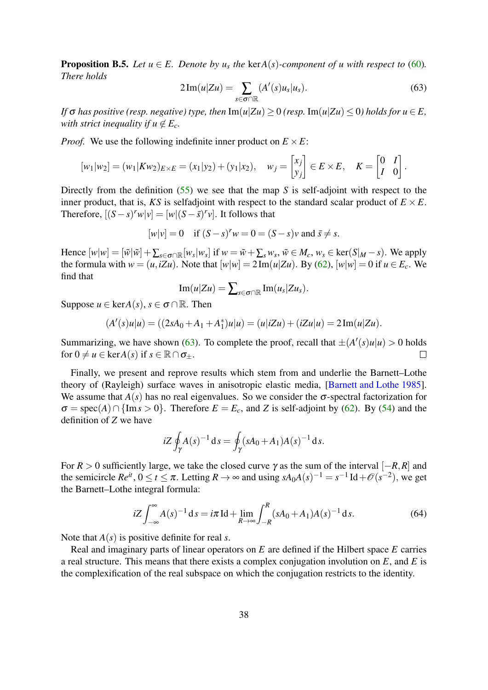<span id="page-37-0"></span>**Proposition B.5.** *Let*  $u \in E$ *. Denote by*  $u_s$  *the* ker $A(s)$ *-component of*  $u$  *with respect to* [\(60\)](#page-36-0)*. There holds*

<span id="page-37-1"></span>
$$
2\operatorname{Im}(u|Zu) = \sum_{s \in \sigma \cap \mathbb{R}} (A'(s)u_s|u_s). \tag{63}
$$

*If*  $\sigma$  *has positive (resp. negative) type, then* Im( $u|Zu$ ) > 0 *(resp.* Im( $u|Zu$ ) < 0*) holds for*  $u \in E$ *, with strict inequality if*  $u \notin E_c$ *.* 

*Proof.* We use the following indefinite inner product on  $E \times E$ :

$$
[w_1|w_2] = (w_1|Kw_2)_{E \times E} = (x_1|y_2) + (y_1|x_2), \quad w_j = \begin{bmatrix} x_j \\ y_j \end{bmatrix} \in E \times E, \quad K = \begin{bmatrix} 0 & I \\ I & 0 \end{bmatrix}.
$$

Directly from the definition [\(55\)](#page-33-1) we see that the map *S* is self-adjoint with respect to the inner product, that is, *KS* is selfadjoint with respect to the standard scalar product of  $E \times E$ . Therefore,  $[(S - s)^r w | v] = [w | (S - \bar{s})^r v]$ . It follows that

$$
[w|v] = 0 \quad \text{if } (S - s)^r w = 0 = (S - s)v \text{ and } \overline{s} \neq s.
$$

Hence  $[w|w] = [\tilde{w}|\tilde{w}] + \sum_{s \in \sigma \cap \mathbb{R}} [w_s|w_s]$  if  $w = \tilde{w} + \sum_s w_s$ ,  $\tilde{w} \in M_c$ ,  $w_s \in \text{ker}(S|M - s)$ . We apply the formula with  $w = (u, iZu)$ . Note that  $[w|w] = 2 \text{Im}(u|Zu)$ . By [\(62\)](#page-36-2),  $[w|w] = 0$  if  $u \in E_c$ . We find that

$$
\operatorname{Im}(u|Zu)=\sum\nolimits_{s\in\sigma\cap\mathbb{R}}\operatorname{Im}(u_s|Zu_s).
$$

Suppose  $u \in \text{ker}A(s)$ ,  $s \in \sigma \cap \mathbb{R}$ . Then

$$
(A'(s)u|u) = ((2sA0 + A1 + A1*)u|u) = (u|iZu) + (iZu|u) = 2Im(u|Zu).
$$

Summarizing, we have shown [\(63\)](#page-37-1). To complete the proof, recall that  $\pm (A'(s)u|u) > 0$  holds for  $0 \neq u \in \text{ker}A(s)$  if  $s \in \mathbb{R} \cap \sigma_{+}$ .  $\Box$ 

Finally, we present and reprove results which stem from and underlie the Barnett–Lothe theory of (Rayleigh) surface waves in anisotropic elastic media, [\[Barnett and Lothe 1985\]](#page-38-2). We assume that  $A(s)$  has no real eigenvalues. So we consider the  $\sigma$ -spectral factorization for  $\sigma = \text{spec}(A) \cap \{\text{Im } s > 0\}$ . Therefore  $E = E_c$ , and *Z* is self-adjoint by [\(62\)](#page-36-2). By [\(54\)](#page-33-0) and the definition of *Z* we have

$$
iZ \oint_{\gamma} A(s)^{-1} ds = \oint_{\gamma} (sA_0 + A_1)A(s)^{-1} ds.
$$

For  $R > 0$  sufficiently large, we take the closed curve  $\gamma$  as the sum of the interval  $[-R, R]$  and the semicircle  $Re^{it}$ ,  $0 \le t \le \pi$ . Letting  $R \to \infty$  and using  $sA_0A(s)^{-1} = s^{-1}Id + \mathcal{O}(s^{-2})$ , we get the Barnett–Lothe integral formula:

<span id="page-37-2"></span>
$$
iZ \int_{-\infty}^{\infty} A(s)^{-1} ds = i\pi \operatorname{Id} + \lim_{R \to \infty} \int_{-R}^{R} (sA_0 + A_1) A(s)^{-1} ds. \tag{64}
$$

Note that *A*(*s*) is positive definite for real *s*.

Real and imaginary parts of linear operators on *E* are defined if the Hilbert space *E* carries a real structure. This means that there exists a complex conjugation involution on *E*, and *E* is the complexification of the real subspace on which the conjugation restricts to the identity.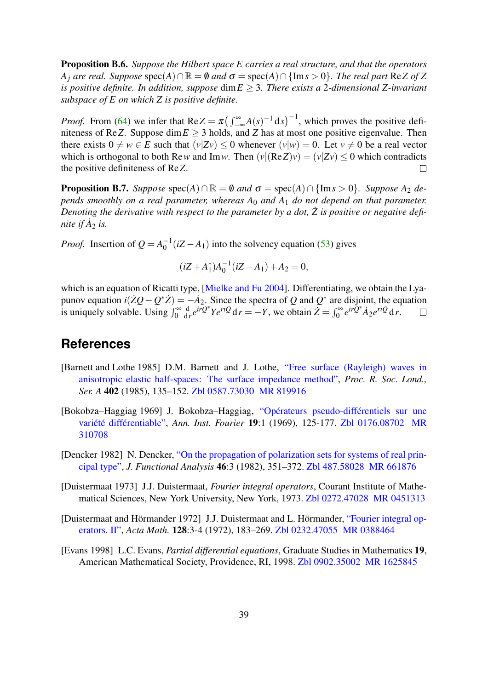<span id="page-38-6"></span>Proposition B.6. *Suppose the Hilbert space E carries a real structure, and that the operators A*<sup>*j*</sup> *are real. Suppose* spec(*A*)∩ $\mathbb{R} = \emptyset$  *and*  $\sigma = \text{spec}(A) \cap \{\text{Im } s > 0\}$ *. The real part* Re*Z* of *Z is positive definite. In addition, suppose* dim*E* ≥ 3*. There exists a* 2*-dimensional Z-invariant subspace of E on which Z is positive definite.*

*Proof.* From [\(64\)](#page-37-2) we infer that  $Re Z = \pi \left( \int_{-\infty}^{\infty} A(s)^{-1} ds \right)^{-1}$ , which proves the positive definiteness of Re*Z*. Suppose dim $E \geq 3$  holds, and *Z* has at most one positive eigenvalue. Then there exists  $0 \neq w \in E$  such that  $(v|Zv) \leq 0$  whenever  $(v|w) = 0$ . Let  $v \neq 0$  be a real vector which is orthogonal to both Re*w* and Im*w*. Then  $(v|(\text{Re }Z)v) = (v|Zv) \le 0$  which contradicts the positive definiteness of Re*Z*.  $\Box$ 

<span id="page-38-7"></span>**Proposition B.7.** *Suppose*  $\text{spec}(A) \cap \mathbb{R} = \emptyset$  *and*  $\sigma = \text{spec}(A) \cap \{\text{Im } s > 0\}$ *. Suppose*  $A_2$  *depends smoothly on a real parameter, whereas A*<sup>0</sup> *and A*<sup>1</sup> *do not depend on that parameter. Denoting the derivative with respect to the parameter by a dot, Z is positive or negative defi-* ˙ *nite if*  $\dot{A}_2$  *is.* 

*Proof.* Insertion of  $Q = A_0^{-1}$  $\int_0^{-1}(iZ - A_1)$  into the solvency equation [\(53\)](#page-33-2) gives

$$
(iZ + A_1^*)A_0^{-1}(iZ - A_1) + A_2 = 0,
$$

which is an equation of Ricatti type, [\[Mielke and Fu 2004\]](#page-40-12). Differentiating, we obtain the Lyapunov equation  $i(\dot{Z}Q - Q^*\dot{Z}) = -\dot{A}_2$ . Since the spectra of *Q* and  $Q^*$  are disjoint, the equation  $\frac{d}{dr}e^{ir\overline{Q}^*}Ye^{riQ}dr = -Y$ , we obtain  $\overline{Z} = \int_0^\infty e^{ir\overline{Q}^*}\overline{A_2}e^{riQ}dr$ . is uniquely solvable. Using  $\int_0^\infty$ d  $\Box$ 

### **References**

- <span id="page-38-2"></span>[Barnett and Lothe 1985] D.M. Barnett and J. Lothe, ["Free surface \(Rayleigh\) waves in](https://dx.doi.org/10.1098/rspa.1985.0111) [anisotropic elastic half-spaces: The surface impedance method",](https://dx.doi.org/10.1098/rspa.1985.0111) *Proc. R. Soc. Lond., Ser. A* 402 (1985), 135–152. [Zbl 0587.73030](https://zbmath.org/?q=an:0587.73030) [MR 819916](http://www.ams.org/mathscinet-getitem?mr=819916)
- <span id="page-38-4"></span>[Bokobza–Haggiag 1969] J. Bokobza–Haggiag, ["Opérateurs pseudo-différentiels sur une](https://dx.doi.org/10.5802/aif.311) [variété différentiable",](https://dx.doi.org/10.5802/aif.311) *Ann. Inst. Fourier* 19:1 (1969), 125-177. [Zbl 0176.08702](https://zbmath.org/?q=an:0176.08702) [MR](http://www.ams.org/mathscinet-getitem?mr=310708) [310708](http://www.ams.org/mathscinet-getitem?mr=310708)
- <span id="page-38-0"></span>[Dencker 1982] N. Dencker, ["On the propagation of polarization sets for systems of real prin](https://dx.doi.org/10.1016/0022-1236(82)90051-9)[cipal type",](https://dx.doi.org/10.1016/0022-1236(82)90051-9) *J. Functional Analysis* 46:3 (1982), 351–372. [Zbl 487.58028](https://zbmath.org/?q=an:487.58028) [MR 661876](http://www.ams.org/mathscinet-getitem?mr=661876)
- <span id="page-38-5"></span>[Duistermaat 1973] J.J. Duistermaat, *Fourier integral operators*, Courant Institute of Mathematical Sciences, New York University, New York, 1973. [Zbl 0272.47028](https://zbmath.org/?q=an:0272.47028) [MR 0451313](http://www.ams.org/mathscinet-getitem?mr=0451313)
- <span id="page-38-1"></span>[Duistermaat and Hörmander 1972] J.J. Duistermaat and L. Hörmander, ["Fourier integral op](https://dx.doi.org/10.1007/BF02392165)[erators. II",](https://dx.doi.org/10.1007/BF02392165) *Acta Math.* 128:3-4 (1972), 183–269. [Zbl 0232.47055](https://zbmath.org/?q=an:0232.47055) [MR 0388464](http://www.ams.org/mathscinet-getitem?mr=0388464)
- <span id="page-38-3"></span>[Evans 1998] L.C. Evans, *Partial differential equations*, Graduate Studies in Mathematics 19, American Mathematical Society, Providence, RI, 1998. [Zbl 0902.35002](https://zbmath.org/?q=an:0902.35002) [MR 1625845](http://www.ams.org/mathscinet-getitem?mr=1625845)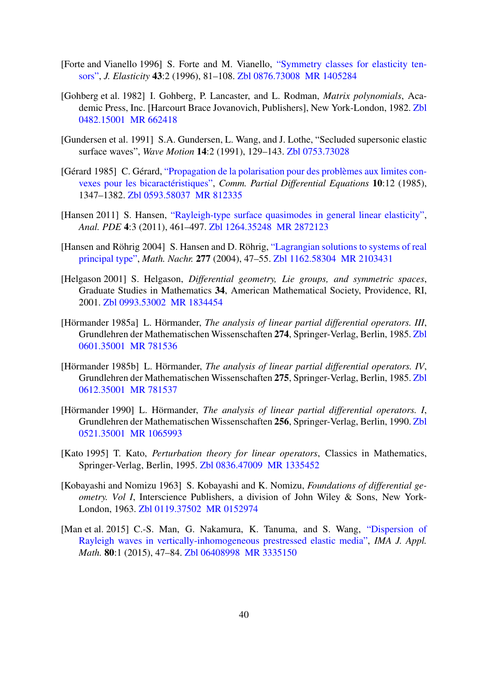- <span id="page-39-11"></span>[Forte and Vianello 1996] S. Forte and M. Vianello, ["Symmetry classes for elasticity ten](https://dx.doi.org/10.1007/BF00042505)[sors",](https://dx.doi.org/10.1007/BF00042505) *J. Elasticity* 43:2 (1996), 81–108. [Zbl 0876.73008](https://zbmath.org/?q=an:0876.73008) [MR 1405284](http://www.ams.org/mathscinet-getitem?mr=1405284)
- <span id="page-39-12"></span>[Gohberg et al. 1982] I. Gohberg, P. Lancaster, and L. Rodman, *Matrix polynomials*, Academic Press, Inc. [Harcourt Brace Jovanovich, Publishers], New York-London, 1982. [Zbl](https://zbmath.org/?q=an:0482.15001) [0482.15001](https://zbmath.org/?q=an:0482.15001) [MR 662418](http://www.ams.org/mathscinet-getitem?mr=662418)
- <span id="page-39-9"></span>[Gundersen et al. 1991] S.A. Gundersen, L. Wang, and J. Lothe, "Secluded supersonic elastic surface waves", *Wave Motion* 14:2 (1991), 129–143. [Zbl 0753.73028](https://zbmath.org/?q=an:0753.73028)
- <span id="page-39-0"></span>[Gérard 1985] C. Gérard, ["Propagation de la polarisation pour des problèmes aux limites con](https://dx.doi.org/10.1080/03605308508820410)[vexes pour les bicaractéristiques",](https://dx.doi.org/10.1080/03605308508820410) *Comm. Partial Differential Equations* 10:12 (1985), 1347–1382. [Zbl 0593.58037](https://zbmath.org/?q=an:0593.58037) [MR 812335](http://www.ams.org/mathscinet-getitem?mr=812335)
- <span id="page-39-7"></span>[Hansen 2011] S. Hansen, ["Rayleigh-type surface quasimodes in general linear elasticity",](https://dx.doi.org/10.2140/apde.2011.4.461) *Anal. PDE* 4:3 (2011), 461–497. [Zbl 1264.35248](https://zbmath.org/?q=an:1264.35248) [MR 2872123](http://www.ams.org/mathscinet-getitem?mr=2872123)
- <span id="page-39-6"></span>[Hansen and Röhrig 2004] S. Hansen and D. Röhrig, ["Lagrangian solutions to systems of real](https://dx.doi.org/10.1002/mana.200310219) [principal type",](https://dx.doi.org/10.1002/mana.200310219) *Math. Nachr.* 277 (2004), 47–55. [Zbl 1162.58304](https://zbmath.org/?q=an:1162.58304) [MR 2103431](http://www.ams.org/mathscinet-getitem?mr=2103431)
- <span id="page-39-2"></span>[Helgason 2001] S. Helgason, *Differential geometry, Lie groups, and symmetric spaces*, Graduate Studies in Mathematics 34, American Mathematical Society, Providence, RI, 2001. [Zbl 0993.53002](https://zbmath.org/?q=an:0993.53002) [MR 1834454](http://www.ams.org/mathscinet-getitem?mr=1834454)
- <span id="page-39-5"></span>[Hörmander 1985a] L. Hörmander, *The analysis of linear partial differential operators. III*, Grundlehren der Mathematischen Wissenschaften 274, Springer-Verlag, Berlin, 1985. [Zbl](https://zbmath.org/?q=an:0601.35001) [0601.35001](https://zbmath.org/?q=an:0601.35001) [MR 781536](http://www.ams.org/mathscinet-getitem?mr=781536)
- <span id="page-39-4"></span>[Hörmander 1985b] L. Hörmander, *The analysis of linear partial differential operators. IV*, Grundlehren der Mathematischen Wissenschaften 275, Springer-Verlag, Berlin, 1985. [Zbl](https://zbmath.org/?q=an:0612.35001) [0612.35001](https://zbmath.org/?q=an:0612.35001) [MR 781537](http://www.ams.org/mathscinet-getitem?mr=781537)
- <span id="page-39-3"></span>[Hörmander 1990] L. Hörmander, *The analysis of linear partial differential operators. I*, Grundlehren der Mathematischen Wissenschaften 256, Springer-Verlag, Berlin, 1990. [Zbl](https://zbmath.org/?q=an:0521.35001) [0521.35001](https://zbmath.org/?q=an:0521.35001) [MR 1065993](http://www.ams.org/mathscinet-getitem?mr=1065993)
- <span id="page-39-8"></span>[Kato 1995] T. Kato, *Perturbation theory for linear operators*, Classics in Mathematics, Springer-Verlag, Berlin, 1995. [Zbl 0836.47009](https://zbmath.org/?q=an:0836.47009) [MR 1335452](http://www.ams.org/mathscinet-getitem?mr=1335452)
- <span id="page-39-1"></span>[Kobayashi and Nomizu 1963] S. Kobayashi and K. Nomizu, *Foundations of differential geometry. Vol I*, Interscience Publishers, a division of John Wiley & Sons, New York-London, 1963. [Zbl 0119.37502](https://zbmath.org/?q=an:0119.37502) [MR 0152974](http://www.ams.org/mathscinet-getitem?mr=0152974)
- <span id="page-39-10"></span>[Man et al. 2015] C.-S. Man, G. Nakamura, K. Tanuma, and S. Wang, ["Dispersion of](https://dx.doi.org/10.1093/imamat/hxt025) [Rayleigh waves in vertically-inhomogeneous prestressed elastic media",](https://dx.doi.org/10.1093/imamat/hxt025) *IMA J. Appl. Math.* 80:1 (2015), 47–84. [Zbl 06408998](https://zbmath.org/?q=an:06408998) [MR 3335150](http://www.ams.org/mathscinet-getitem?mr=3335150)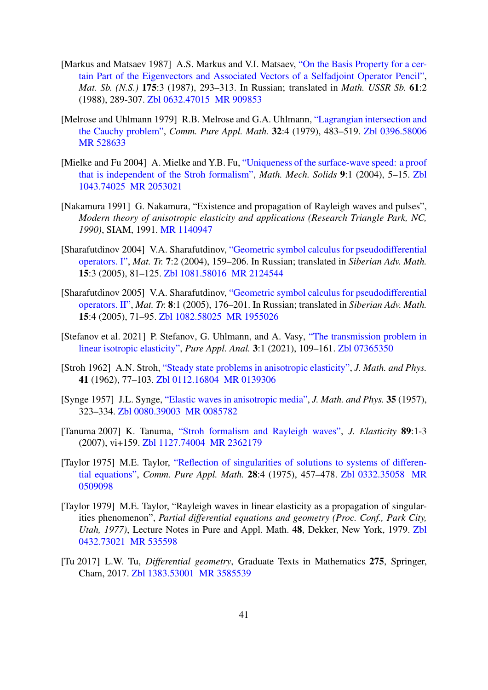- <span id="page-40-10"></span>[Markus and Matsaev 1987] A.S. Markus and V.I. Matsaev, ["On the Basis Property for a cer](https://dx.doi.org/10.1070/sm1988v061n02abeh003208)[tain Part of the Eigenvectors and Associated Vectors of a Selfadjoint Operator Pencil",](https://dx.doi.org/10.1070/sm1988v061n02abeh003208) *Mat. Sb. (N.S.)* 175:3 (1987), 293–313. In Russian; translated in *Math. USSR Sb.* 61:2 (1988), 289-307. [Zbl 0632.47015](https://zbmath.org/?q=an:0632.47015) [MR 909853](http://www.ams.org/mathscinet-getitem?mr=909853)
- <span id="page-40-2"></span>[Melrose and Uhlmann 1979] R.B. Melrose and G.A. Uhlmann, ["Lagrangian intersection and](https://dx.doi.org/10.1002/cpa.3160320403) [the Cauchy problem",](https://dx.doi.org/10.1002/cpa.3160320403) *Comm. Pure Appl. Math.* 32:4 (1979), 483–519. [Zbl 0396.58006](https://zbmath.org/?q=an:0396.58006) [MR 528633](http://www.ams.org/mathscinet-getitem?mr=528633)
- <span id="page-40-12"></span>[Mielke and Fu 2004] A. Mielke and Y.B. Fu, ["Uniqueness of the surface-wave speed: a proof](https://dx.doi.org/10.1177/108128604773685220) [that is independent of the Stroh formalism",](https://dx.doi.org/10.1177/108128604773685220) *Math. Mech. Solids* 9:1 (2004), 5–15. [Zbl](https://zbmath.org/?q=an:1043.74025) [1043.74025](https://zbmath.org/?q=an:1043.74025) [MR 2053021](http://www.ams.org/mathscinet-getitem?mr=2053021)
- <span id="page-40-5"></span>[Nakamura 1991] G. Nakamura, "Existence and propagation of Rayleigh waves and pulses", *Modern theory of anisotropic elasticity and applications (Research Triangle Park, NC, 1990)*, SIAM, 1991. [MR 1140947](http://www.ams.org/mathscinet-getitem?mr=1140947)
- <span id="page-40-7"></span>[Sharafutdinov 2004] V.A. Sharafutdinov, ["Geometric symbol calculus for pseudodifferential](http://www.math.nsc.ru/~sharafutdinov/files/articles/psdos1.pdf) [operators. I",](http://www.math.nsc.ru/~sharafutdinov/files/articles/psdos1.pdf) *Mat. Tr.* 7:2 (2004), 159–206. In Russian; translated in *Siberian Adv. Math.* 15:3 (2005), 81–125. [Zbl 1081.58016](https://zbmath.org/?q=an:1081.58016) [MR 2124544](http://www.ams.org/mathscinet-getitem?mr=2124544)
- <span id="page-40-1"></span>[Sharafutdinov 2005] V.A. Sharafutdinov, ["Geometric symbol calculus for pseudodifferential](http://www.math.nsc.ru/~sharafutdinov/files/articles/psdos2.pdf) [operators. II",](http://www.math.nsc.ru/~sharafutdinov/files/articles/psdos2.pdf) *Mat. Tr.* 8:1 (2005), 176–201. In Russian; translated in *Siberian Adv. Math.* 15:4 (2005), 71–95. [Zbl 1082.58025](https://zbmath.org/?q=an:1082.58025) [MR 1955026](http://www.ams.org/mathscinet-getitem?mr=1955026)
- <span id="page-40-0"></span>[Stefanov et al. 2021] P. Stefanov, G. Uhlmann, and A. Vasy, ["The transmission problem in](https://dx.doi.org/10.2140/paa.2021.3.109) [linear isotropic elasticity",](https://dx.doi.org/10.2140/paa.2021.3.109) *Pure Appl. Anal.* 3:1 (2021), 109–161. [Zbl 07365350](https://zbmath.org/?q=an:07365350)
- <span id="page-40-11"></span>[Stroh 1962] A.N. Stroh, ["Steady state problems in anisotropic elasticity",](https://dx.doi.org/10.1002/sapm196241177) *J. Math. and Phys.* 41 (1962), 77–103. [Zbl 0112.16804](https://zbmath.org/?q=an:0112.16804) [MR 0139306](http://www.ams.org/mathscinet-getitem?mr=0139306)
- <span id="page-40-8"></span>[Synge 1957] J.L. Synge, ["Elastic waves in anisotropic media",](https://dx.doi.org/10.1002/sapm1956351323) *J. Math. and Phys.* 35 (1957), 323–334. [Zbl 0080.39003](https://zbmath.org/?q=an:0080.39003) [MR 0085782](http://www.ams.org/mathscinet-getitem?mr=0085782)
- <span id="page-40-9"></span>[Tanuma 2007] K. Tanuma, ["Stroh formalism and Rayleigh waves",](https://dx.doi.org/10.1007/s10659-007-9117-1) *J. Elasticity* 89:1-3 (2007), vi+159. [Zbl 1127.74004](https://zbmath.org/?q=an:1127.74004) [MR 2362179](http://www.ams.org/mathscinet-getitem?mr=2362179)
- <span id="page-40-3"></span>[Taylor 1975] M.E. Taylor, ["Reflection of singularities of solutions to systems of differen](https://dx.doi.org/10.1002/cpa.3160280403)[tial equations",](https://dx.doi.org/10.1002/cpa.3160280403) *Comm. Pure Appl. Math.* 28:4 (1975), 457–478. [Zbl 0332.35058](https://zbmath.org/?q=an:0332.35058) [MR](http://www.ams.org/mathscinet-getitem?mr=0509098) [0509098](http://www.ams.org/mathscinet-getitem?mr=0509098)
- <span id="page-40-4"></span>[Taylor 1979] M.E. Taylor, "Rayleigh waves in linear elasticity as a propagation of singularities phenomenon", *Partial differential equations and geometry (Proc. Conf., Park City, Utah, 1977)*, Lecture Notes in Pure and Appl. Math. 48, Dekker, New York, 1979. [Zbl](https://zbmath.org/?q=an:0432.73021) [0432.73021](https://zbmath.org/?q=an:0432.73021) [MR 535598](http://www.ams.org/mathscinet-getitem?mr=535598)
- <span id="page-40-6"></span>[Tu 2017] L.W. Tu, *Differential geometry*, Graduate Texts in Mathematics 275, Springer, Cham, 2017. [Zbl 1383.53001](https://zbmath.org/?q=an:1383.53001) [MR 3585539](http://www.ams.org/mathscinet-getitem?mr=3585539)